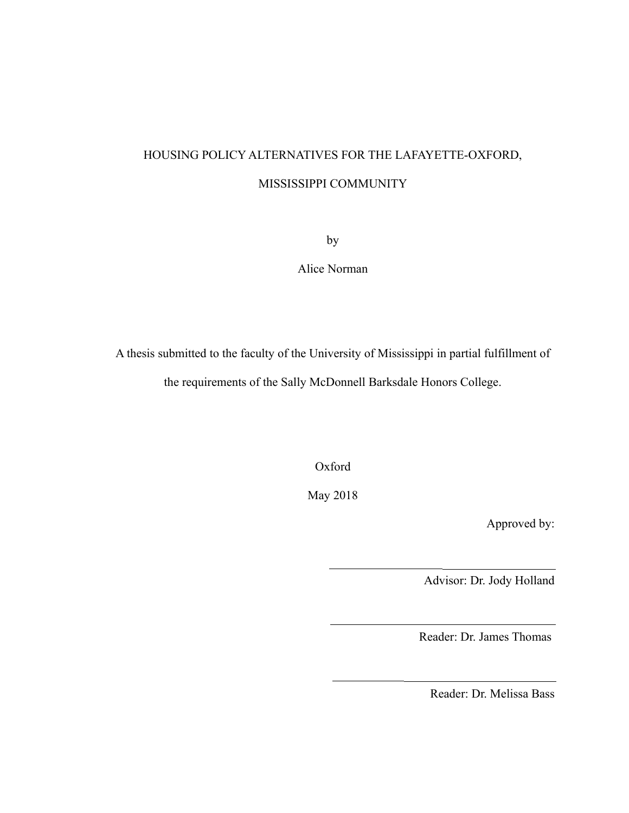# HOUSING POLICY ALTERNATIVES FOR THE LAFAYETTE-OXFORD, MISSISSIPPI COMMUNITY

by

Alice Norman

A thesis submitted to the faculty of the University of Mississippi in partial fulfillment of the requirements of the Sally McDonnell Barksdale Honors College.

Oxford

May 2018

Approved by:

Advisor: Dr. Jody Holland

Reader: Dr. James Thomas

Reader: Dr. Melissa Bass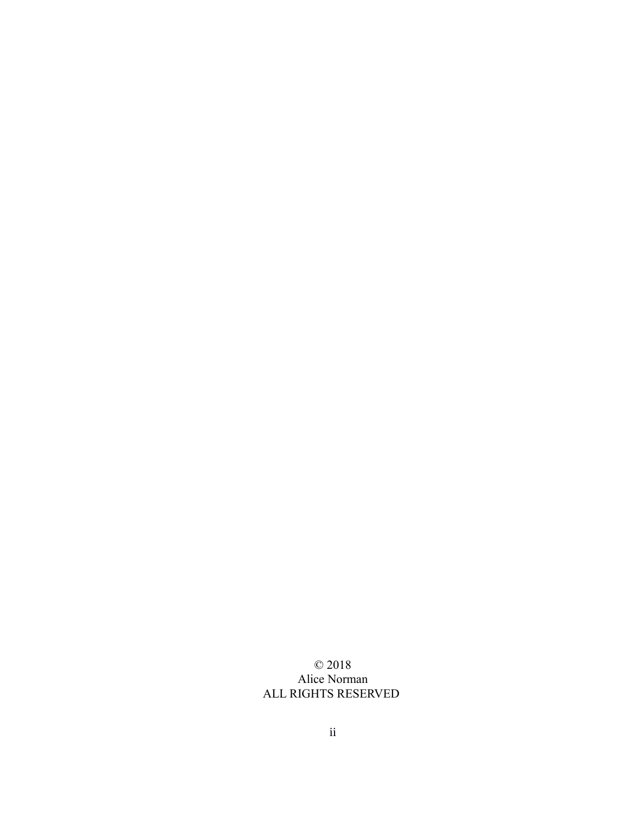## © 2018 Alice Norman ALL RIGHTS RESERVED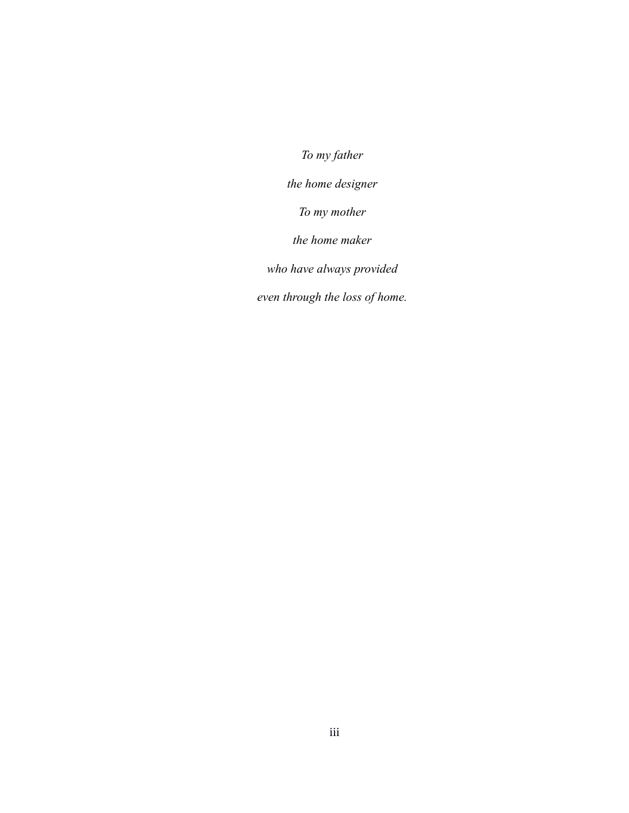*To my father the home designer To my mother the home maker who have always provided even through the loss of home.*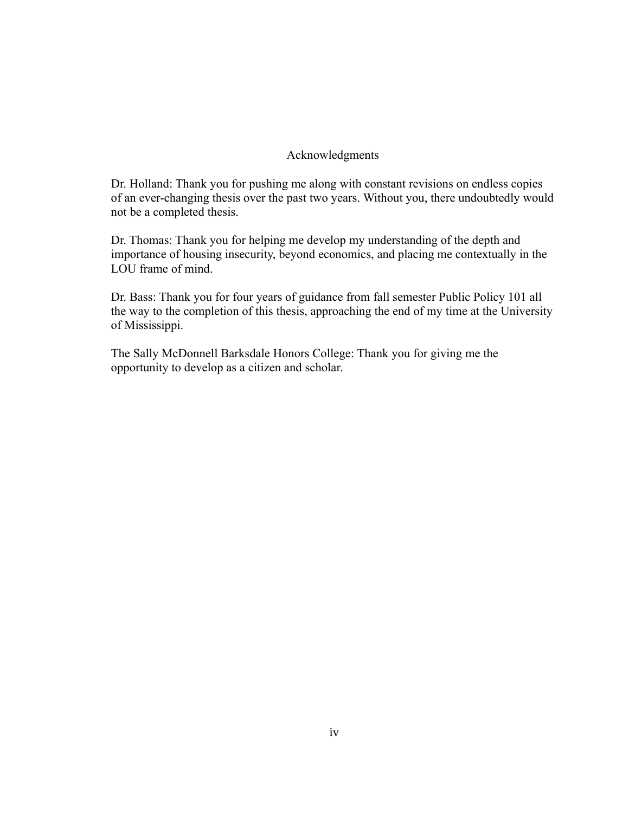## Acknowledgments

Dr. Holland: Thank you for pushing me along with constant revisions on endless copies of an ever-changing thesis over the past two years. Without you, there undoubtedly would not be a completed thesis.

Dr. Thomas: Thank you for helping me develop my understanding of the depth and importance of housing insecurity, beyond economics, and placing me contextually in the LOU frame of mind.

Dr. Bass: Thank you for four years of guidance from fall semester Public Policy 101 all the way to the completion of this thesis, approaching the end of my time at the University of Mississippi.

The Sally McDonnell Barksdale Honors College: Thank you for giving me the opportunity to develop as a citizen and scholar.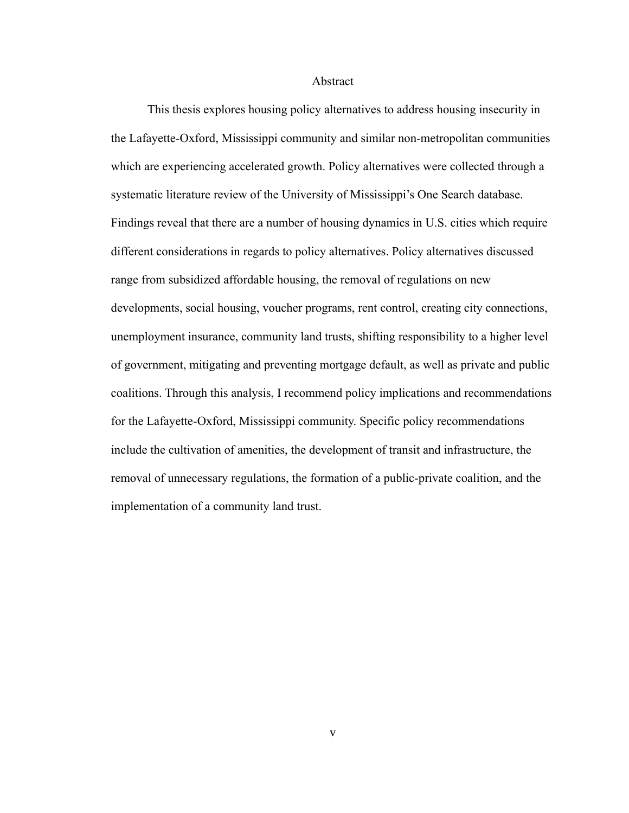#### Abstract

This thesis explores housing policy alternatives to address housing insecurity in the Lafayette-Oxford, Mississippi community and similar non-metropolitan communities which are experiencing accelerated growth. Policy alternatives were collected through a systematic literature review of the University of Mississippi's One Search database. Findings reveal that there are a number of housing dynamics in U.S. cities which require different considerations in regards to policy alternatives. Policy alternatives discussed range from subsidized affordable housing, the removal of regulations on new developments, social housing, voucher programs, rent control, creating city connections, unemployment insurance, community land trusts, shifting responsibility to a higher level of government, mitigating and preventing mortgage default, as well as private and public coalitions. Through this analysis, I recommend policy implications and recommendations for the Lafayette-Oxford, Mississippi community. Specific policy recommendations include the cultivation of amenities, the development of transit and infrastructure, the removal of unnecessary regulations, the formation of a public-private coalition, and the implementation of a community land trust.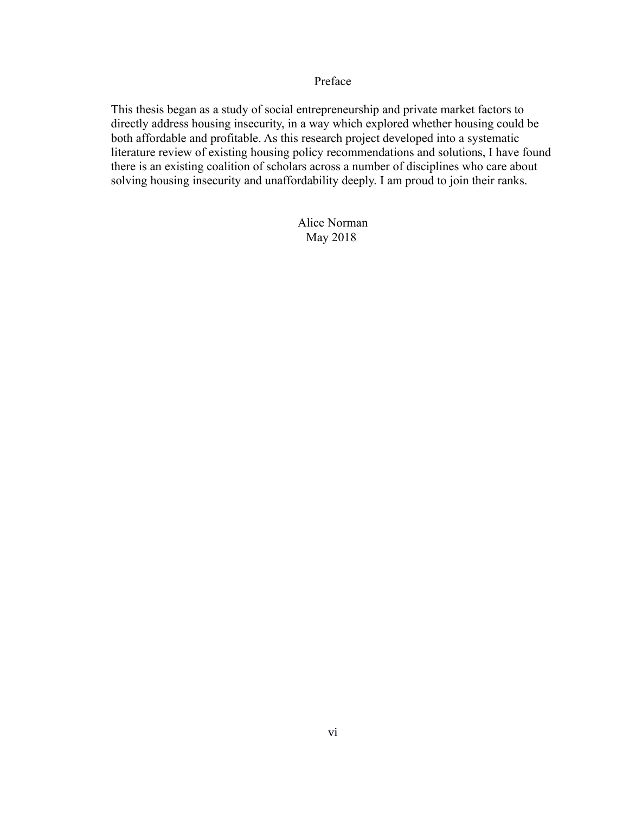## Preface

This thesis began as a study of social entrepreneurship and private market factors to directly address housing insecurity, in a way which explored whether housing could be both affordable and profitable. As this research project developed into a systematic literature review of existing housing policy recommendations and solutions, I have found there is an existing coalition of scholars across a number of disciplines who care about solving housing insecurity and unaffordability deeply. I am proud to join their ranks.

> Alice Norman May 2018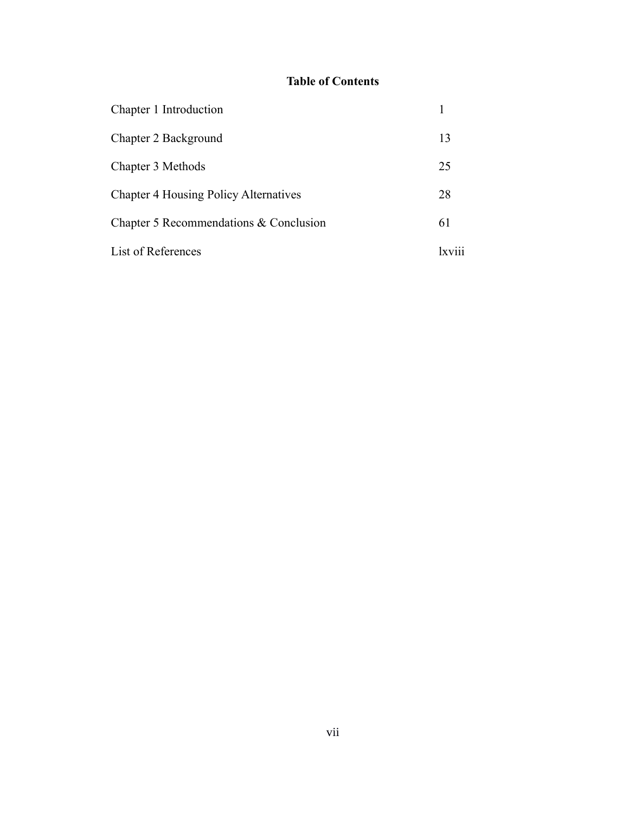# **Table of Contents**

| Chapter 1 Introduction                       |                 |
|----------------------------------------------|-----------------|
| Chapter 2 Background                         | 13              |
| Chapter 3 Methods                            | 25              |
| <b>Chapter 4 Housing Policy Alternatives</b> | 28              |
| Chapter 5 Recommendations & Conclusion       | 61              |
| List of References                           | $x\overline{v}$ |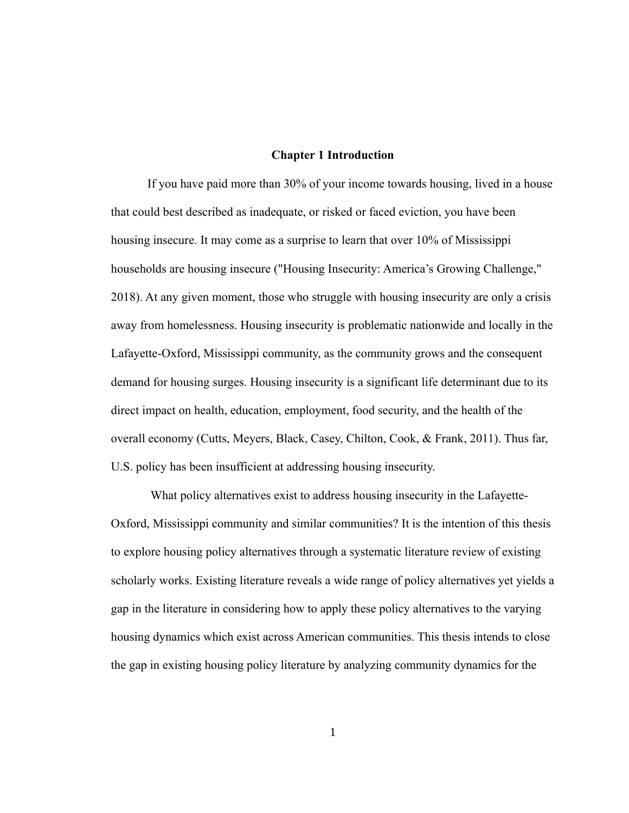### **Chapter 1 Introduction**

If you have paid more than 30% of your income towards housing, lived in a house that could best described as inadequate, or risked or faced eviction, you have been housing insecure. It may come as a surprise to learn that over 10% of Mississippi households are housing insecure ("Housing Insecurity: America's Growing Challenge," 2018). At any given moment, those who struggle with housing insecurity are only a crisis away from homelessness. Housing insecurity is problematic nationwide and locally in the Lafayette-Oxford, Mississippi community, as the community grows and the consequent demand for housing surges. Housing insecurity is a significant life determinant due to its direct impact on health, education, employment, food security, and the health of the overall economy (Cutts, Meyers, Black, Casey, Chilton, Cook, & Frank, 2011). Thus far, U.S. policy has been insufficient at addressing housing insecurity.

What policy alternatives exist to address housing insecurity in the Lafayette-Oxford, Mississippi community and similar communities? It is the intention of this thesis to explore housing policy alternatives through a systematic literature review of existing scholarly works. Existing literature reveals a wide range of policy alternatives yet yields a gap in the literature in considering how to apply these policy alternatives to the varying housing dynamics which exist across American communities. This thesis intends to close the gap in existing housing policy literature by analyzing community dynamics for the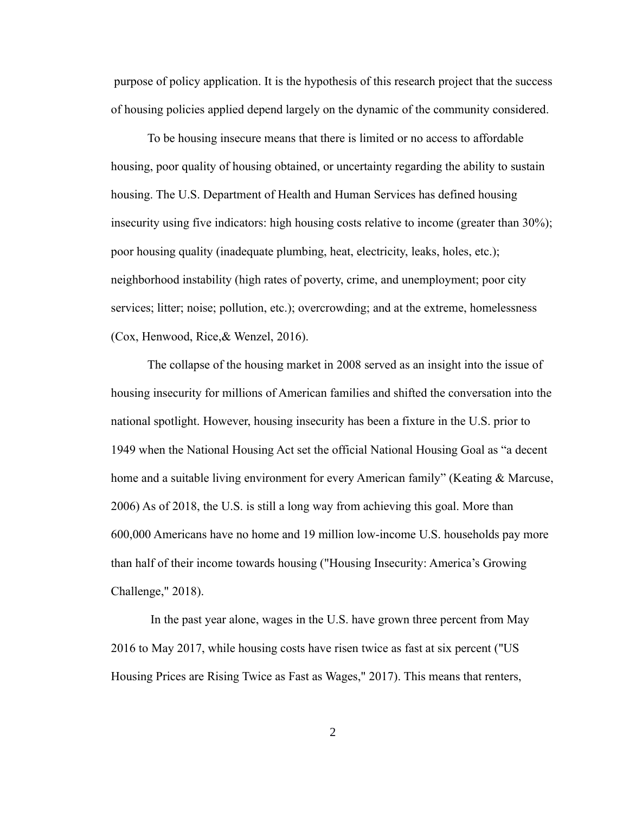purpose of policy application. It is the hypothesis of this research project that the success of housing policies applied depend largely on the dynamic of the community considered.

To be housing insecure means that there is limited or no access to affordable housing, poor quality of housing obtained, or uncertainty regarding the ability to sustain housing. The U.S. Department of Health and Human Services has defined housing insecurity using five indicators: high housing costs relative to income (greater than 30%); poor housing quality (inadequate plumbing, heat, electricity, leaks, holes, etc.); neighborhood instability (high rates of poverty, crime, and unemployment; poor city services; litter; noise; pollution, etc.); overcrowding; and at the extreme, homelessness (Cox, Henwood, Rice,& Wenzel, 2016).

The collapse of the housing market in 2008 served as an insight into the issue of housing insecurity for millions of American families and shifted the conversation into the national spotlight. However, housing insecurity has been a fixture in the U.S. prior to 1949 when the National Housing Act set the official National Housing Goal as "a decent home and a suitable living environment for every American family" (Keating & Marcuse, 2006) As of 2018, the U.S. is still a long way from achieving this goal. More than 600,000 Americans have no home and 19 million low-income U.S. households pay more than half of their income towards housing ("Housing Insecurity: America's Growing Challenge," 2018).

 In the past year alone, wages in the U.S. have grown three percent from May 2016 to May 2017, while housing costs have risen twice as fast at six percent ("US Housing Prices are Rising Twice as Fast as Wages," 2017). This means that renters,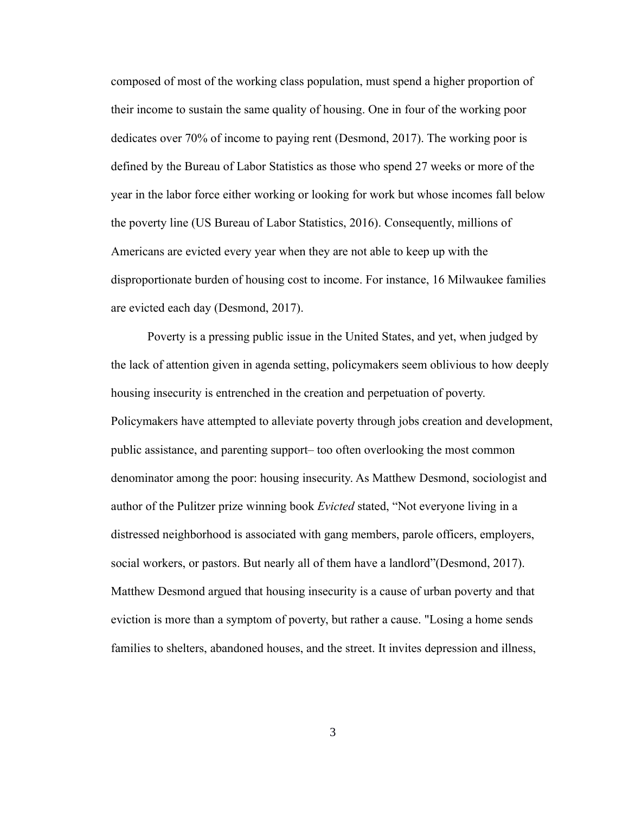composed of most of the working class population, must spend a higher proportion of their income to sustain the same quality of housing. One in four of the working poor dedicates over 70% of income to paying rent (Desmond, 2017). The working poor is defined by the Bureau of Labor Statistics as those who spend 27 weeks or more of the year in the labor force either working or looking for work but whose incomes fall below the poverty line (US Bureau of Labor Statistics, 2016). Consequently, millions of Americans are evicted every year when they are not able to keep up with the disproportionate burden of housing cost to income. For instance, 16 Milwaukee families are evicted each day (Desmond, 2017).

Poverty is a pressing public issue in the United States, and yet, when judged by the lack of attention given in agenda setting, policymakers seem oblivious to how deeply housing insecurity is entrenched in the creation and perpetuation of poverty. Policymakers have attempted to alleviate poverty through jobs creation and development, public assistance, and parenting support– too often overlooking the most common denominator among the poor: housing insecurity. As Matthew Desmond, sociologist and author of the Pulitzer prize winning book *Evicted* stated, "Not everyone living in a distressed neighborhood is associated with gang members, parole officers, employers, social workers, or pastors. But nearly all of them have a landlord"(Desmond, 2017). Matthew Desmond argued that housing insecurity is a cause of urban poverty and that eviction is more than a symptom of poverty, but rather a cause. "Losing a home sends families to shelters, abandoned houses, and the street. It invites depression and illness,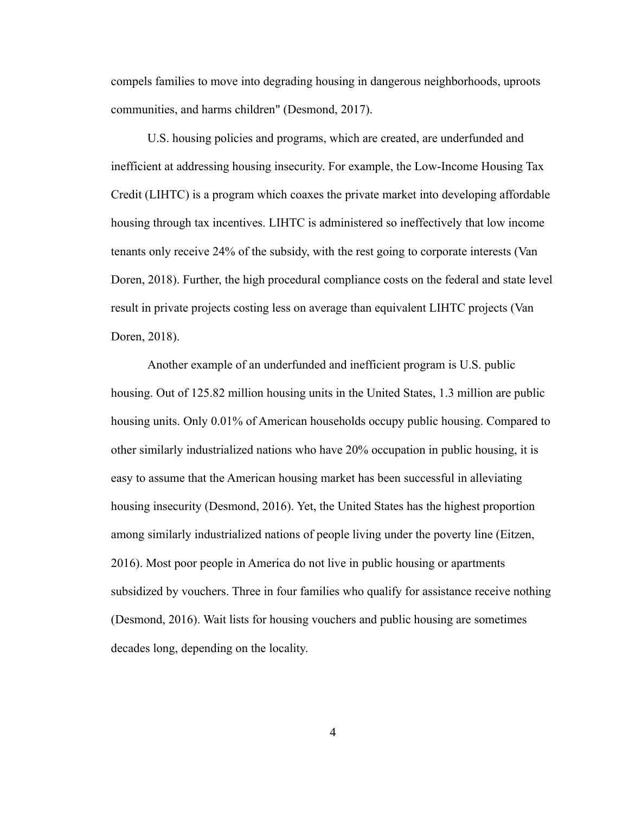compels families to move into degrading housing in dangerous neighborhoods, uproots communities, and harms children" (Desmond, 2017).

U.S. housing policies and programs, which are created, are underfunded and inefficient at addressing housing insecurity. For example, the Low-Income Housing Tax Credit (LIHTC) is a program which coaxes the private market into developing affordable housing through tax incentives. LIHTC is administered so ineffectively that low income tenants only receive 24% of the subsidy, with the rest going to corporate interests (Van Doren, 2018). Further, the high procedural compliance costs on the federal and state level result in private projects costing less on average than equivalent LIHTC projects (Van Doren, 2018).

Another example of an underfunded and inefficient program is U.S. public housing. Out of 125.82 million housing units in the United States, 1.3 million are public housing units. Only 0.01% of American households occupy public housing. Compared to other similarly industrialized nations who have 20% occupation in public housing, it is easy to assume that the American housing market has been successful in alleviating housing insecurity (Desmond, 2016). Yet, the United States has the highest proportion among similarly industrialized nations of people living under the poverty line (Eitzen, 2016). Most poor people in America do not live in public housing or apartments subsidized by vouchers. Three in four families who qualify for assistance receive nothing (Desmond, 2016). Wait lists for housing vouchers and public housing are sometimes decades long, depending on the locality.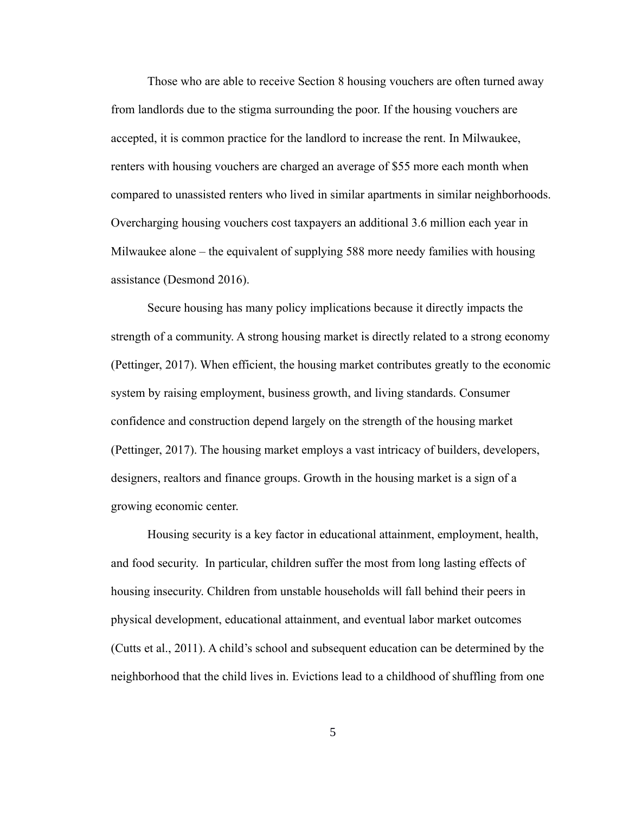Those who are able to receive Section 8 housing vouchers are often turned away from landlords due to the stigma surrounding the poor. If the housing vouchers are accepted, it is common practice for the landlord to increase the rent. In Milwaukee, renters with housing vouchers are charged an average of \$55 more each month when compared to unassisted renters who lived in similar apartments in similar neighborhoods. Overcharging housing vouchers cost taxpayers an additional 3.6 million each year in Milwaukee alone – the equivalent of supplying 588 more needy families with housing assistance (Desmond 2016).

Secure housing has many policy implications because it directly impacts the strength of a community. A strong housing market is directly related to a strong economy (Pettinger, 2017). When efficient, the housing market contributes greatly to the economic system by raising employment, business growth, and living standards. Consumer confidence and construction depend largely on the strength of the housing market (Pettinger, 2017). The housing market employs a vast intricacy of builders, developers, designers, realtors and finance groups. Growth in the housing market is a sign of a growing economic center.

Housing security is a key factor in educational attainment, employment, health, and food security. In particular, children suffer the most from long lasting effects of housing insecurity. Children from unstable households will fall behind their peers in physical development, educational attainment, and eventual labor market outcomes (Cutts et al., 2011). A child's school and subsequent education can be determined by the neighborhood that the child lives in. Evictions lead to a childhood of shuffling from one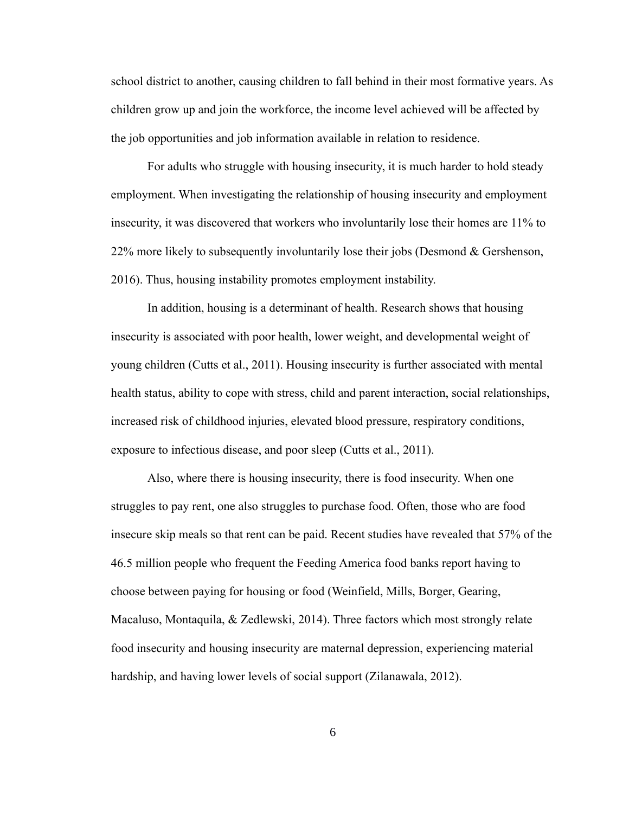school district to another, causing children to fall behind in their most formative years. As children grow up and join the workforce, the income level achieved will be affected by the job opportunities and job information available in relation to residence.

For adults who struggle with housing insecurity, it is much harder to hold steady employment. When investigating the relationship of housing insecurity and employment insecurity, it was discovered that workers who involuntarily lose their homes are 11% to 22% more likely to subsequently involuntarily lose their jobs (Desmond & Gershenson, 2016). Thus, housing instability promotes employment instability.

In addition, housing is a determinant of health. Research shows that housing insecurity is associated with poor health, lower weight, and developmental weight of young children (Cutts et al., 2011). Housing insecurity is further associated with mental health status, ability to cope with stress, child and parent interaction, social relationships, increased risk of childhood injuries, elevated blood pressure, respiratory conditions, exposure to infectious disease, and poor sleep (Cutts et al., 2011).

Also, where there is housing insecurity, there is food insecurity. When one struggles to pay rent, one also struggles to purchase food. Often, those who are food insecure skip meals so that rent can be paid. Recent studies have revealed that 57% of the 46.5 million people who frequent the Feeding America food banks report having to choose between paying for housing or food (Weinfield, Mills, Borger, Gearing, Macaluso, Montaquila, & Zedlewski, 2014). Three factors which most strongly relate food insecurity and housing insecurity are maternal depression, experiencing material hardship, and having lower levels of social support (Zilanawala, 2012).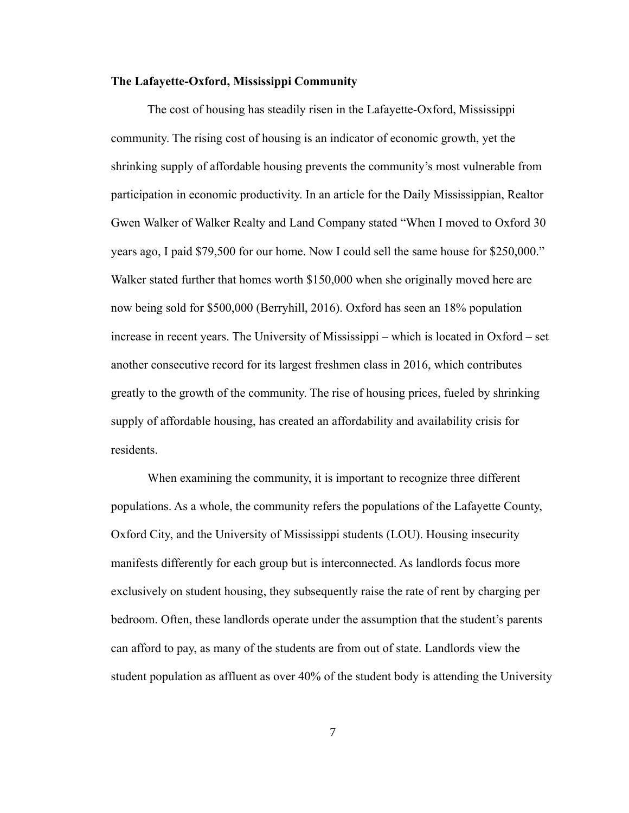#### **The Lafayette-Oxford, Mississippi Community**

The cost of housing has steadily risen in the Lafayette-Oxford, Mississippi community. The rising cost of housing is an indicator of economic growth, yet the shrinking supply of affordable housing prevents the community's most vulnerable from participation in economic productivity. In an article for the Daily Mississippian, Realtor Gwen Walker of Walker Realty and Land Company stated "When I moved to Oxford 30 years ago, I paid \$79,500 for our home. Now I could sell the same house for \$250,000." Walker stated further that homes worth \$150,000 when she originally moved here are now being sold for \$500,000 (Berryhill, 2016). Oxford has seen an 18% population increase in recent years. The University of Mississippi – which is located in Oxford – set another consecutive record for its largest freshmen class in 2016, which contributes greatly to the growth of the community. The rise of housing prices, fueled by shrinking supply of affordable housing, has created an affordability and availability crisis for residents.

When examining the community, it is important to recognize three different populations. As a whole, the community refers the populations of the Lafayette County, Oxford City, and the University of Mississippi students (LOU). Housing insecurity manifests differently for each group but is interconnected. As landlords focus more exclusively on student housing, they subsequently raise the rate of rent by charging per bedroom. Often, these landlords operate under the assumption that the student's parents can afford to pay, as many of the students are from out of state. Landlords view the student population as affluent as over 40% of the student body is attending the University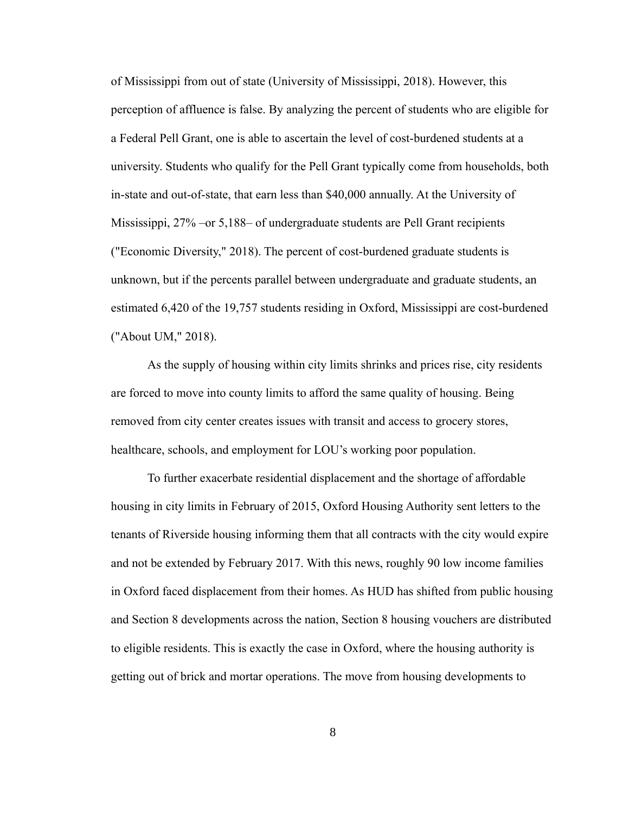of Mississippi from out of state (University of Mississippi, 2018). However, this perception of affluence is false. By analyzing the percent of students who are eligible for a Federal Pell Grant, one is able to ascertain the level of cost-burdened students at a university. Students who qualify for the Pell Grant typically come from households, both in-state and out-of-state, that earn less than \$40,000 annually. At the University of Mississippi, 27% –or 5,188– of undergraduate students are Pell Grant recipients ("Economic Diversity," 2018). The percent of cost-burdened graduate students is unknown, but if the percents parallel between undergraduate and graduate students, an estimated 6,420 of the 19,757 students residing in Oxford, Mississippi are cost-burdened ("About UM," 2018).

As the supply of housing within city limits shrinks and prices rise, city residents are forced to move into county limits to afford the same quality of housing. Being removed from city center creates issues with transit and access to grocery stores, healthcare, schools, and employment for LOU's working poor population.

To further exacerbate residential displacement and the shortage of affordable housing in city limits in February of 2015, Oxford Housing Authority sent letters to the tenants of Riverside housing informing them that all contracts with the city would expire and not be extended by February 2017. With this news, roughly 90 low income families in Oxford faced displacement from their homes. As HUD has shifted from public housing and Section 8 developments across the nation, Section 8 housing vouchers are distributed to eligible residents. This is exactly the case in Oxford, where the housing authority is getting out of brick and mortar operations. The move from housing developments to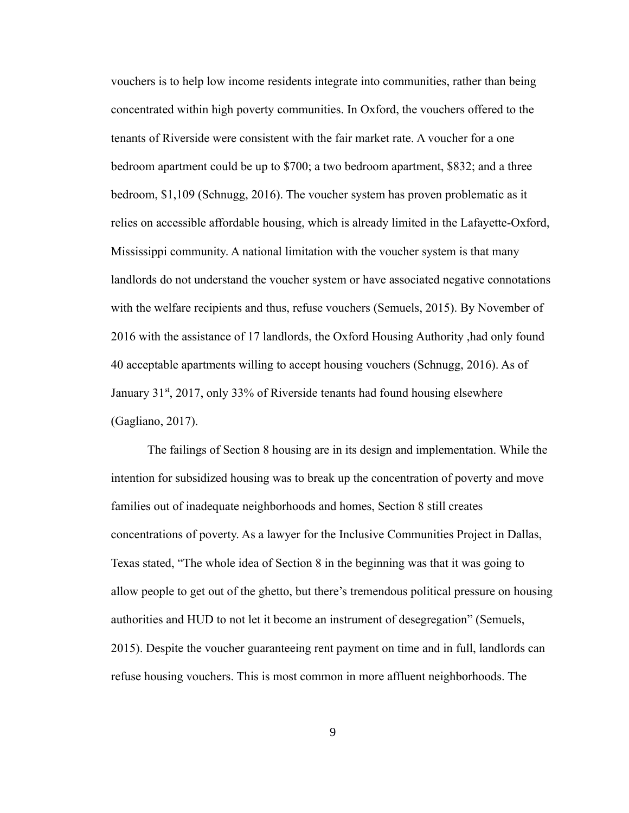vouchers is to help low income residents integrate into communities, rather than being concentrated within high poverty communities. In Oxford, the vouchers offered to the tenants of Riverside were consistent with the fair market rate. A voucher for a one bedroom apartment could be up to \$700; a two bedroom apartment, \$832; and a three bedroom, \$1,109 (Schnugg, 2016). The voucher system has proven problematic as it relies on accessible affordable housing, which is already limited in the Lafayette-Oxford, Mississippi community. A national limitation with the voucher system is that many landlords do not understand the voucher system or have associated negative connotations with the welfare recipients and thus, refuse vouchers (Semuels, 2015). By November of 2016 with the assistance of 17 landlords, the Oxford Housing Authority ,had only found 40 acceptable apartments willing to accept housing vouchers (Schnugg, 2016). As of January 31<sup>st</sup>, 2017, only 33% of Riverside tenants had found housing elsewhere (Gagliano, 2017).

The failings of Section 8 housing are in its design and implementation. While the intention for subsidized housing was to break up the concentration of poverty and move families out of inadequate neighborhoods and homes, Section 8 still creates concentrations of poverty. As a lawyer for the Inclusive Communities Project in Dallas, Texas stated, "The whole idea of Section 8 in the beginning was that it was going to allow people to get out of the ghetto, but there's tremendous political pressure on housing authorities and HUD to not let it become an instrument of desegregation" (Semuels, 2015). Despite the voucher guaranteeing rent payment on time and in full, landlords can refuse housing vouchers. This is most common in more affluent neighborhoods. The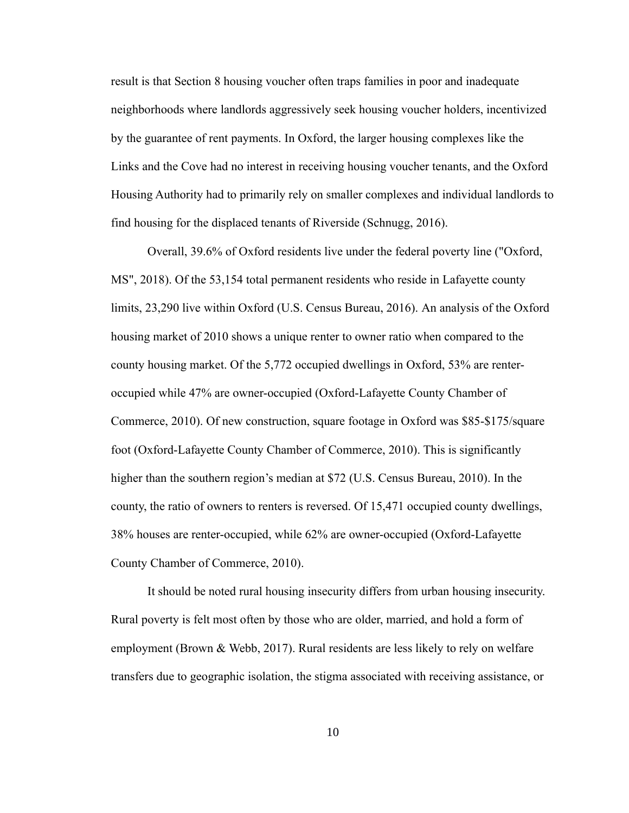result is that Section 8 housing voucher often traps families in poor and inadequate neighborhoods where landlords aggressively seek housing voucher holders, incentivized by the guarantee of rent payments. In Oxford, the larger housing complexes like the Links and the Cove had no interest in receiving housing voucher tenants, and the Oxford Housing Authority had to primarily rely on smaller complexes and individual landlords to find housing for the displaced tenants of Riverside (Schnugg, 2016).

Overall, 39.6% of Oxford residents live under the federal poverty line ("Oxford, MS", 2018). Of the 53,154 total permanent residents who reside in Lafayette county limits, 23,290 live within Oxford (U.S. Census Bureau, 2016). An analysis of the Oxford housing market of 2010 shows a unique renter to owner ratio when compared to the county housing market. Of the 5,772 occupied dwellings in Oxford, 53% are renteroccupied while 47% are owner-occupied (Oxford-Lafayette County Chamber of Commerce, 2010). Of new construction, square footage in Oxford was \$85-\$175/square foot (Oxford-Lafayette County Chamber of Commerce, 2010). This is significantly higher than the southern region's median at \$72 (U.S. Census Bureau, 2010). In the county, the ratio of owners to renters is reversed. Of 15,471 occupied county dwellings, 38% houses are renter-occupied, while 62% are owner-occupied (Oxford-Lafayette County Chamber of Commerce, 2010).

It should be noted rural housing insecurity differs from urban housing insecurity. Rural poverty is felt most often by those who are older, married, and hold a form of employment (Brown & Webb, 2017). Rural residents are less likely to rely on welfare transfers due to geographic isolation, the stigma associated with receiving assistance, or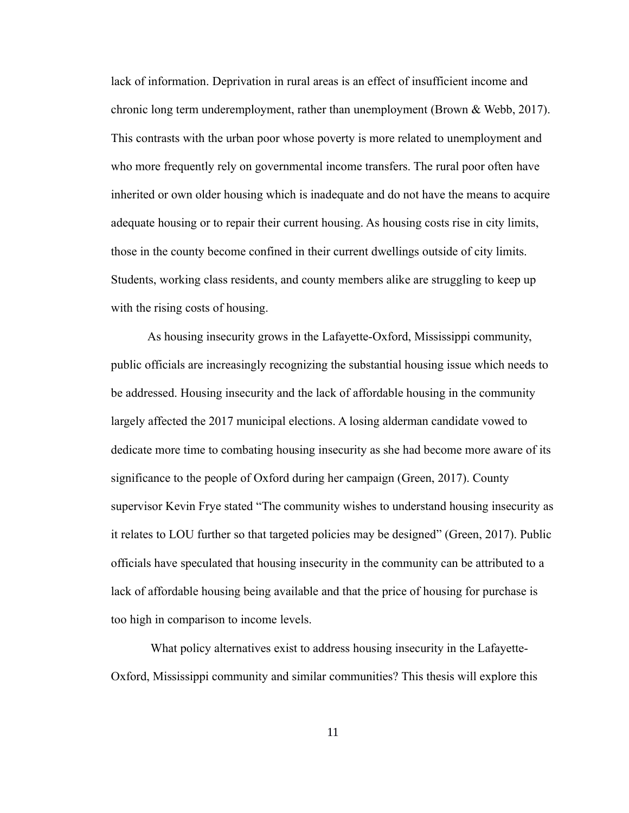lack of information. Deprivation in rural areas is an effect of insufficient income and chronic long term underemployment, rather than unemployment (Brown  $\&$  Webb, 2017). This contrasts with the urban poor whose poverty is more related to unemployment and who more frequently rely on governmental income transfers. The rural poor often have inherited or own older housing which is inadequate and do not have the means to acquire adequate housing or to repair their current housing. As housing costs rise in city limits, those in the county become confined in their current dwellings outside of city limits. Students, working class residents, and county members alike are struggling to keep up with the rising costs of housing.

As housing insecurity grows in the Lafayette-Oxford, Mississippi community, public officials are increasingly recognizing the substantial housing issue which needs to be addressed. Housing insecurity and the lack of affordable housing in the community largely affected the 2017 municipal elections. A losing alderman candidate vowed to dedicate more time to combating housing insecurity as she had become more aware of its significance to the people of Oxford during her campaign (Green, 2017). County supervisor Kevin Frye stated "The community wishes to understand housing insecurity as it relates to LOU further so that targeted policies may be designed" (Green, 2017). Public officials have speculated that housing insecurity in the community can be attributed to a lack of affordable housing being available and that the price of housing for purchase is too high in comparison to income levels.

What policy alternatives exist to address housing insecurity in the Lafayette-Oxford, Mississippi community and similar communities? This thesis will explore this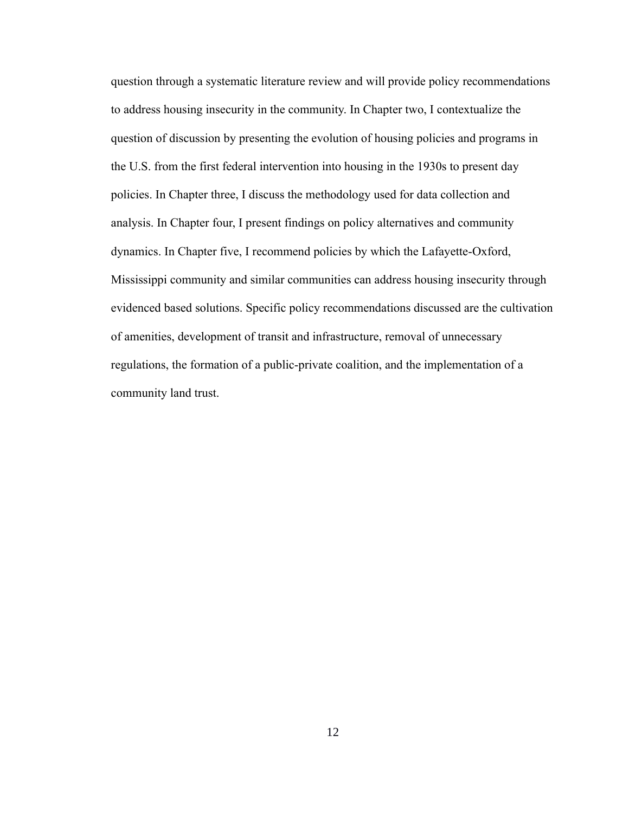question through a systematic literature review and will provide policy recommendations to address housing insecurity in the community. In Chapter two, I contextualize the question of discussion by presenting the evolution of housing policies and programs in the U.S. from the first federal intervention into housing in the 1930s to present day policies. In Chapter three, I discuss the methodology used for data collection and analysis. In Chapter four, I present findings on policy alternatives and community dynamics. In Chapter five, I recommend policies by which the Lafayette-Oxford, Mississippi community and similar communities can address housing insecurity through evidenced based solutions. Specific policy recommendations discussed are the cultivation of amenities, development of transit and infrastructure, removal of unnecessary regulations, the formation of a public-private coalition, and the implementation of a community land trust.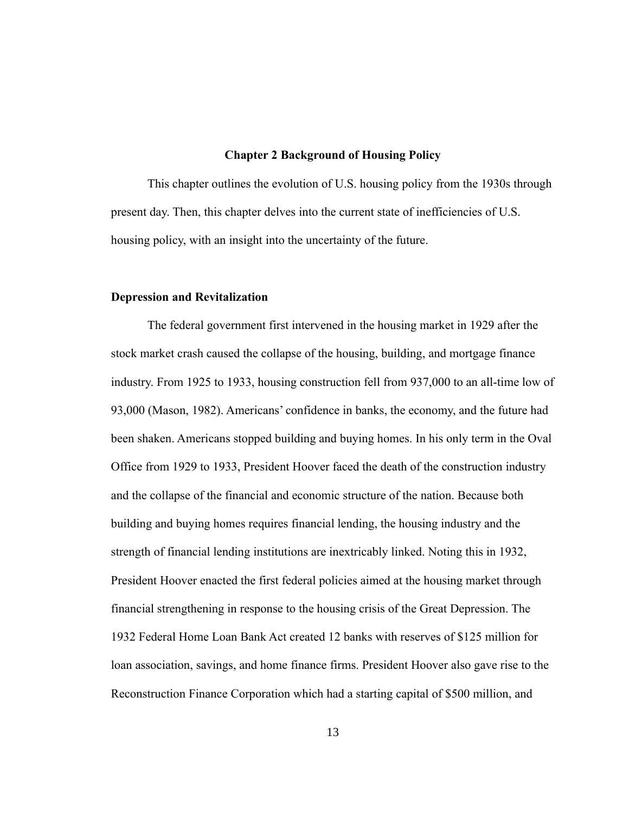#### **Chapter 2 Background of Housing Policy**

This chapter outlines the evolution of U.S. housing policy from the 1930s through present day. Then, this chapter delves into the current state of inefficiencies of U.S. housing policy, with an insight into the uncertainty of the future.

#### **Depression and Revitalization**

The federal government first intervened in the housing market in 1929 after the stock market crash caused the collapse of the housing, building, and mortgage finance industry. From 1925 to 1933, housing construction fell from 937,000 to an all-time low of 93,000 (Mason, 1982). Americans' confidence in banks, the economy, and the future had been shaken. Americans stopped building and buying homes. In his only term in the Oval Office from 1929 to 1933, President Hoover faced the death of the construction industry and the collapse of the financial and economic structure of the nation. Because both building and buying homes requires financial lending, the housing industry and the strength of financial lending institutions are inextricably linked. Noting this in 1932, President Hoover enacted the first federal policies aimed at the housing market through financial strengthening in response to the housing crisis of the Great Depression. The 1932 Federal Home Loan Bank Act created 12 banks with reserves of \$125 million for loan association, savings, and home finance firms. President Hoover also gave rise to the Reconstruction Finance Corporation which had a starting capital of \$500 million, and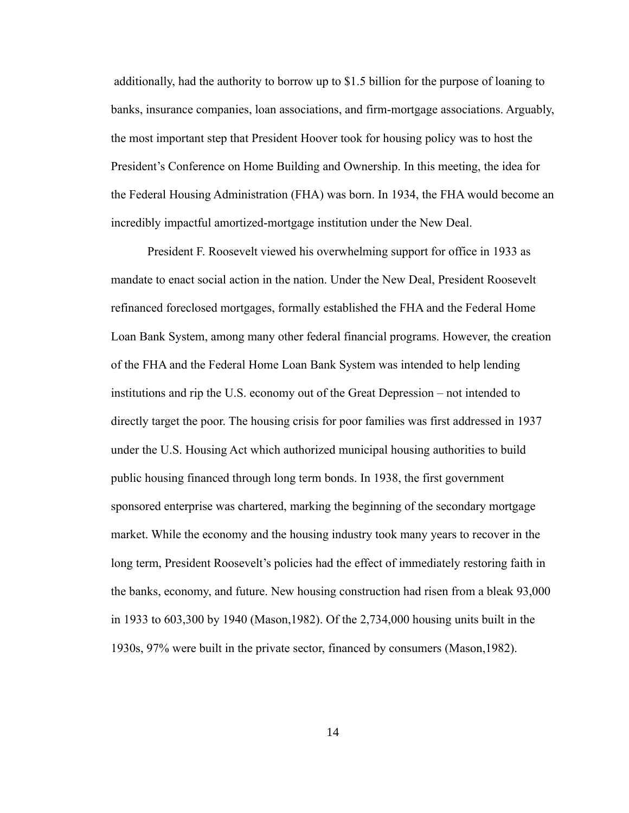additionally, had the authority to borrow up to \$1.5 billion for the purpose of loaning to banks, insurance companies, loan associations, and firm-mortgage associations. Arguably, the most important step that President Hoover took for housing policy was to host the President's Conference on Home Building and Ownership. In this meeting, the idea for the Federal Housing Administration (FHA) was born. In 1934, the FHA would become an incredibly impactful amortized-mortgage institution under the New Deal.

President F. Roosevelt viewed his overwhelming support for office in 1933 as mandate to enact social action in the nation. Under the New Deal, President Roosevelt refinanced foreclosed mortgages, formally established the FHA and the Federal Home Loan Bank System, among many other federal financial programs. However, the creation of the FHA and the Federal Home Loan Bank System was intended to help lending institutions and rip the U.S. economy out of the Great Depression – not intended to directly target the poor. The housing crisis for poor families was first addressed in 1937 under the U.S. Housing Act which authorized municipal housing authorities to build public housing financed through long term bonds. In 1938, the first government sponsored enterprise was chartered, marking the beginning of the secondary mortgage market. While the economy and the housing industry took many years to recover in the long term, President Roosevelt's policies had the effect of immediately restoring faith in the banks, economy, and future. New housing construction had risen from a bleak 93,000 in 1933 to 603,300 by 1940 (Mason,1982). Of the 2,734,000 housing units built in the 1930s, 97% were built in the private sector, financed by consumers (Mason,1982).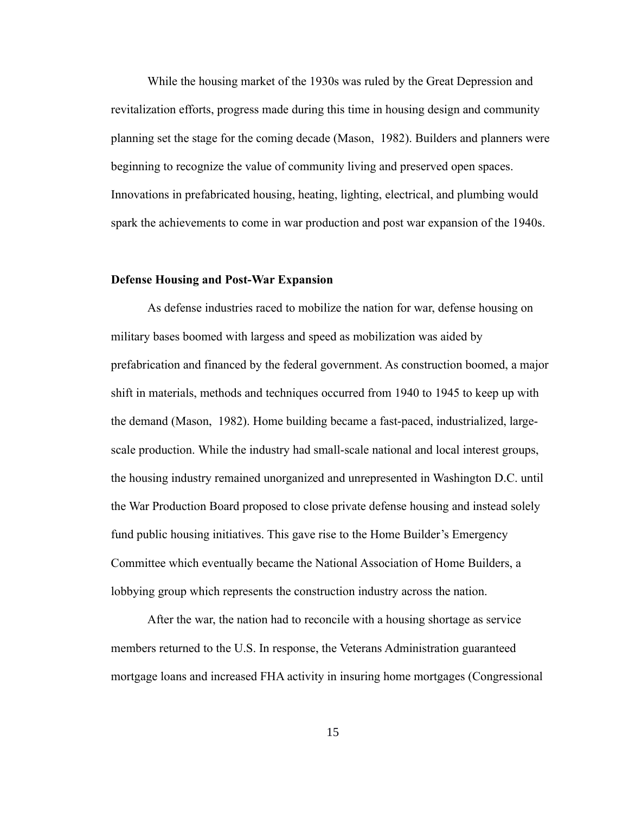While the housing market of the 1930s was ruled by the Great Depression and revitalization efforts, progress made during this time in housing design and community planning set the stage for the coming decade (Mason, 1982). Builders and planners were beginning to recognize the value of community living and preserved open spaces. Innovations in prefabricated housing, heating, lighting, electrical, and plumbing would spark the achievements to come in war production and post war expansion of the 1940s.

#### **Defense Housing and Post-War Expansion**

As defense industries raced to mobilize the nation for war, defense housing on military bases boomed with largess and speed as mobilization was aided by prefabrication and financed by the federal government. As construction boomed, a major shift in materials, methods and techniques occurred from 1940 to 1945 to keep up with the demand (Mason, 1982). Home building became a fast-paced, industrialized, largescale production. While the industry had small-scale national and local interest groups, the housing industry remained unorganized and unrepresented in Washington D.C. until the War Production Board proposed to close private defense housing and instead solely fund public housing initiatives. This gave rise to the Home Builder's Emergency Committee which eventually became the National Association of Home Builders, a lobbying group which represents the construction industry across the nation.

After the war, the nation had to reconcile with a housing shortage as service members returned to the U.S. In response, the Veterans Administration guaranteed mortgage loans and increased FHA activity in insuring home mortgages (Congressional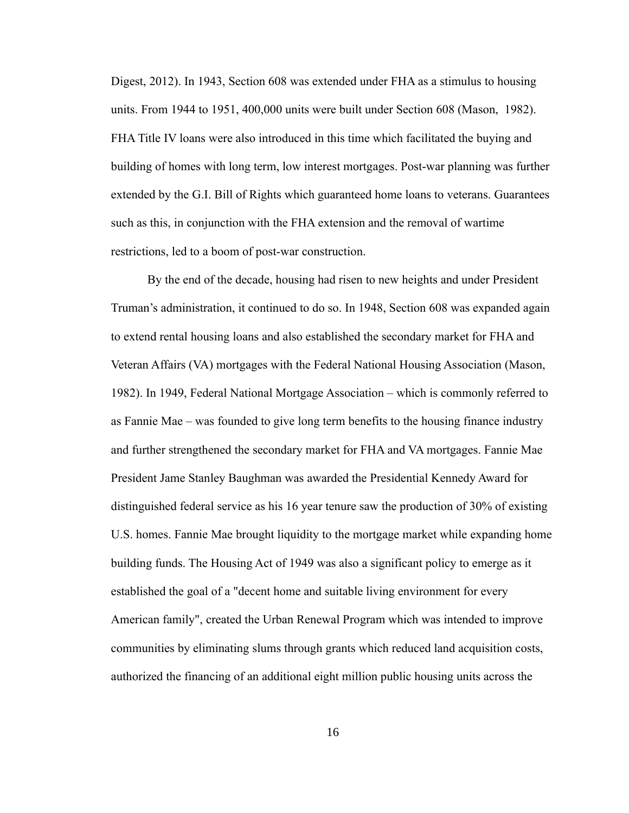Digest, 2012). In 1943, Section 608 was extended under FHA as a stimulus to housing units. From 1944 to 1951, 400,000 units were built under Section 608 (Mason, 1982). FHA Title IV loans were also introduced in this time which facilitated the buying and building of homes with long term, low interest mortgages. Post-war planning was further extended by the G.I. Bill of Rights which guaranteed home loans to veterans. Guarantees such as this, in conjunction with the FHA extension and the removal of wartime restrictions, led to a boom of post-war construction.

By the end of the decade, housing had risen to new heights and under President Truman's administration, it continued to do so. In 1948, Section 608 was expanded again to extend rental housing loans and also established the secondary market for FHA and Veteran Affairs (VA) mortgages with the Federal National Housing Association (Mason, 1982). In 1949, Federal National Mortgage Association – which is commonly referred to as Fannie Mae – was founded to give long term benefits to the housing finance industry and further strengthened the secondary market for FHA and VA mortgages. Fannie Mae President Jame Stanley Baughman was awarded the Presidential Kennedy Award for distinguished federal service as his 16 year tenure saw the production of 30% of existing U.S. homes. Fannie Mae brought liquidity to the mortgage market while expanding home building funds. The Housing Act of 1949 was also a significant policy to emerge as it established the goal of a "decent home and suitable living environment for every American family", created the Urban Renewal Program which was intended to improve communities by eliminating slums through grants which reduced land acquisition costs, authorized the financing of an additional eight million public housing units across the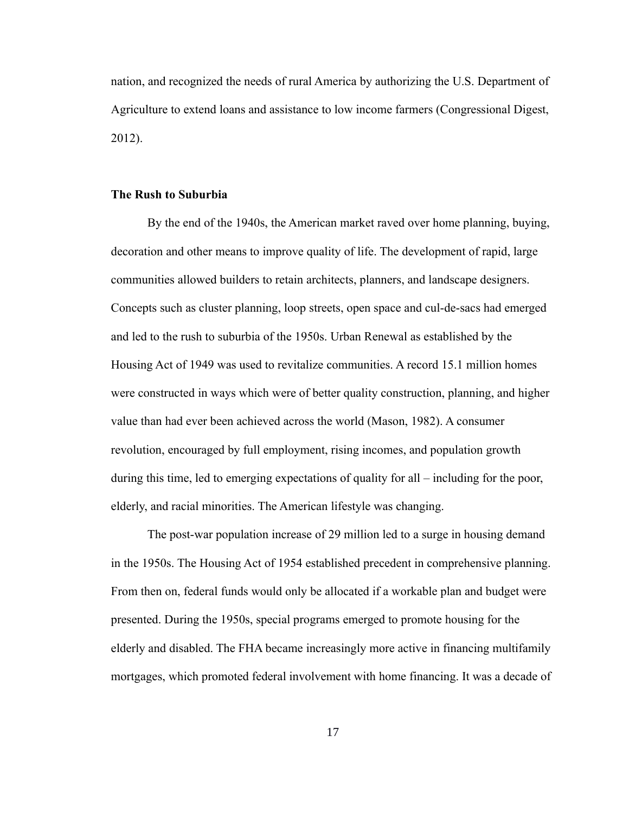nation, and recognized the needs of rural America by authorizing the U.S. Department of Agriculture to extend loans and assistance to low income farmers (Congressional Digest, 2012).

#### **The Rush to Suburbia**

By the end of the 1940s, the American market raved over home planning, buying, decoration and other means to improve quality of life. The development of rapid, large communities allowed builders to retain architects, planners, and landscape designers. Concepts such as cluster planning, loop streets, open space and cul-de-sacs had emerged and led to the rush to suburbia of the 1950s. Urban Renewal as established by the Housing Act of 1949 was used to revitalize communities. A record 15.1 million homes were constructed in ways which were of better quality construction, planning, and higher value than had ever been achieved across the world (Mason, 1982). A consumer revolution, encouraged by full employment, rising incomes, and population growth during this time, led to emerging expectations of quality for all – including for the poor, elderly, and racial minorities. The American lifestyle was changing.

The post-war population increase of 29 million led to a surge in housing demand in the 1950s. The Housing Act of 1954 established precedent in comprehensive planning. From then on, federal funds would only be allocated if a workable plan and budget were presented. During the 1950s, special programs emerged to promote housing for the elderly and disabled. The FHA became increasingly more active in financing multifamily mortgages, which promoted federal involvement with home financing. It was a decade of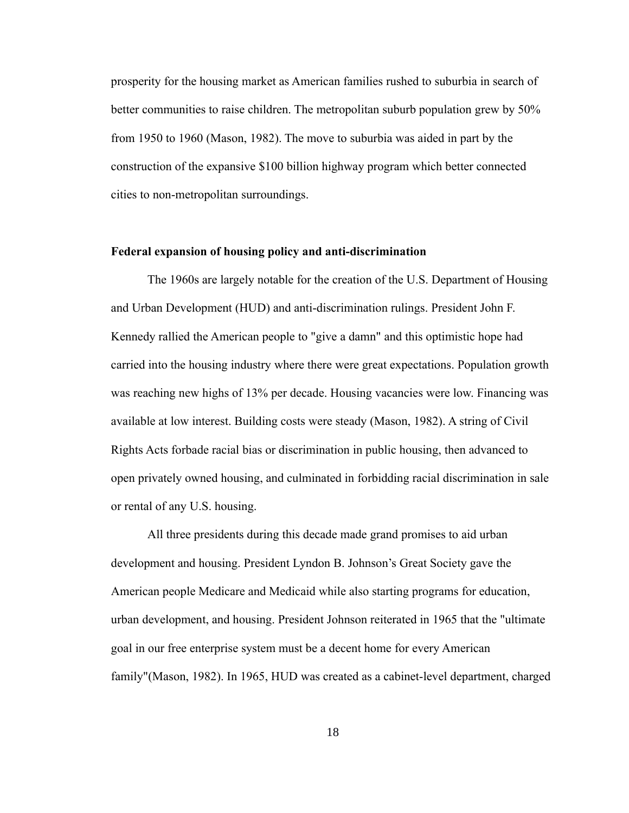prosperity for the housing market as American families rushed to suburbia in search of better communities to raise children. The metropolitan suburb population grew by 50% from 1950 to 1960 (Mason, 1982). The move to suburbia was aided in part by the construction of the expansive \$100 billion highway program which better connected cities to non-metropolitan surroundings.

#### **Federal expansion of housing policy and anti-discrimination**

The 1960s are largely notable for the creation of the U.S. Department of Housing and Urban Development (HUD) and anti-discrimination rulings. President John F. Kennedy rallied the American people to "give a damn" and this optimistic hope had carried into the housing industry where there were great expectations. Population growth was reaching new highs of 13% per decade. Housing vacancies were low. Financing was available at low interest. Building costs were steady (Mason, 1982). A string of Civil Rights Acts forbade racial bias or discrimination in public housing, then advanced to open privately owned housing, and culminated in forbidding racial discrimination in sale or rental of any U.S. housing.

All three presidents during this decade made grand promises to aid urban development and housing. President Lyndon B. Johnson's Great Society gave the American people Medicare and Medicaid while also starting programs for education, urban development, and housing. President Johnson reiterated in 1965 that the "ultimate goal in our free enterprise system must be a decent home for every American family"(Mason, 1982). In 1965, HUD was created as a cabinet-level department, charged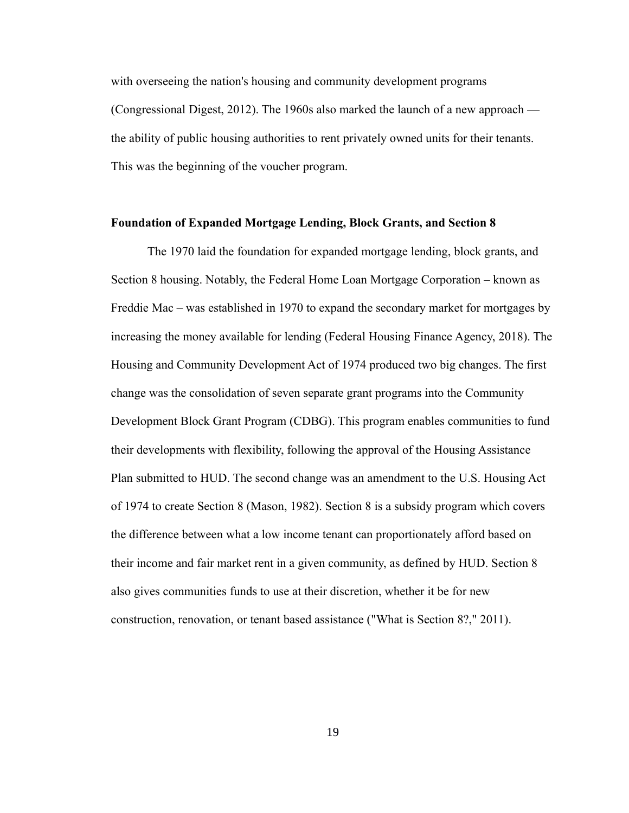with overseeing the nation's housing and community development programs (Congressional Digest, 2012). The 1960s also marked the launch of a new approach the ability of public housing authorities to rent privately owned units for their tenants. This was the beginning of the voucher program.

#### **Foundation of Expanded Mortgage Lending, Block Grants, and Section 8**

The 1970 laid the foundation for expanded mortgage lending, block grants, and Section 8 housing. Notably, the Federal Home Loan Mortgage Corporation – known as Freddie Mac – was established in 1970 to expand the secondary market for mortgages by increasing the money available for lending (Federal Housing Finance Agency, 2018). The Housing and Community Development Act of 1974 produced two big changes. The first change was the consolidation of seven separate grant programs into the Community Development Block Grant Program (CDBG). This program enables communities to fund their developments with flexibility, following the approval of the Housing Assistance Plan submitted to HUD. The second change was an amendment to the U.S. Housing Act of 1974 to create Section 8 (Mason, 1982). Section 8 is a subsidy program which covers the difference between what a low income tenant can proportionately afford based on their income and fair market rent in a given community, as defined by HUD. Section 8 also gives communities funds to use at their discretion, whether it be for new construction, renovation, or tenant based assistance ("What is Section 8?," 2011).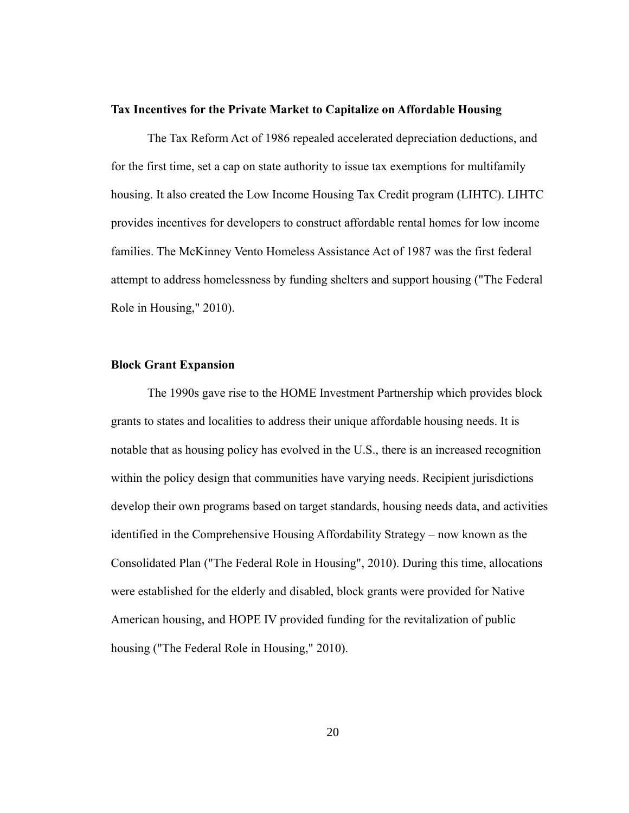#### **Tax Incentives for the Private Market to Capitalize on Affordable Housing**

The Tax Reform Act of 1986 repealed accelerated depreciation deductions, and for the first time, set a cap on state authority to issue tax exemptions for multifamily housing. It also created the Low Income Housing Tax Credit program (LIHTC). LIHTC provides incentives for developers to construct affordable rental homes for low income families. The McKinney Vento Homeless Assistance Act of 1987 was the first federal attempt to address homelessness by funding shelters and support housing ("The Federal Role in Housing," 2010).

#### **Block Grant Expansion**

The 1990s gave rise to the HOME Investment Partnership which provides block grants to states and localities to address their unique affordable housing needs. It is notable that as housing policy has evolved in the U.S., there is an increased recognition within the policy design that communities have varying needs. Recipient jurisdictions develop their own programs based on target standards, housing needs data, and activities identified in the Comprehensive Housing Affordability Strategy – now known as the Consolidated Plan ("The Federal Role in Housing", 2010). During this time, allocations were established for the elderly and disabled, block grants were provided for Native American housing, and HOPE IV provided funding for the revitalization of public housing ("The Federal Role in Housing," 2010).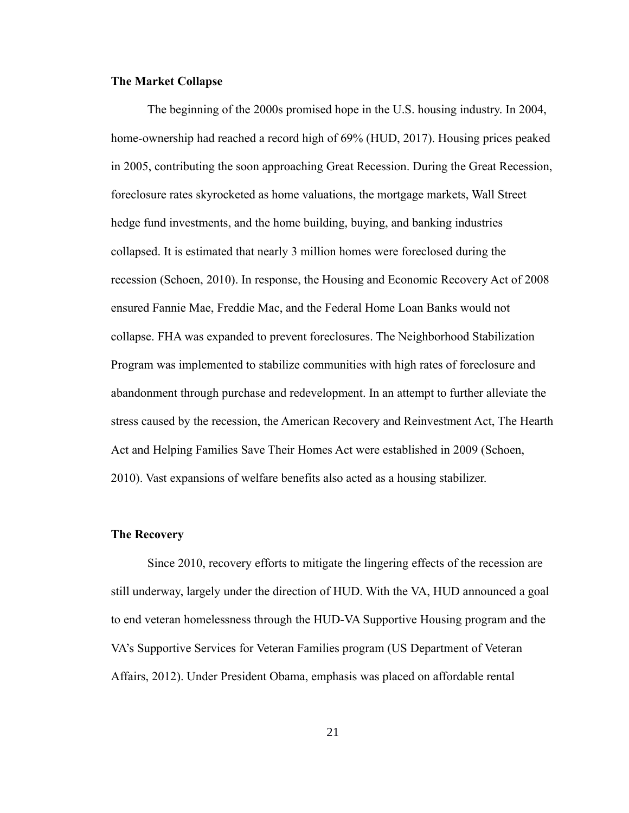#### **The Market Collapse**

The beginning of the 2000s promised hope in the U.S. housing industry. In 2004, home-ownership had reached a record high of 69% (HUD, 2017). Housing prices peaked in 2005, contributing the soon approaching Great Recession. During the Great Recession, foreclosure rates skyrocketed as home valuations, the mortgage markets, Wall Street hedge fund investments, and the home building, buying, and banking industries collapsed. It is estimated that nearly 3 million homes were foreclosed during the recession (Schoen, 2010). In response, the Housing and Economic Recovery Act of 2008 ensured Fannie Mae, Freddie Mac, and the Federal Home Loan Banks would not collapse. FHA was expanded to prevent foreclosures. The Neighborhood Stabilization Program was implemented to stabilize communities with high rates of foreclosure and abandonment through purchase and redevelopment. In an attempt to further alleviate the stress caused by the recession, the American Recovery and Reinvestment Act, The Hearth Act and Helping Families Save Their Homes Act were established in 2009 (Schoen, 2010). Vast expansions of welfare benefits also acted as a housing stabilizer.

#### **The Recovery**

Since 2010, recovery efforts to mitigate the lingering effects of the recession are still underway, largely under the direction of HUD. With the VA, HUD announced a goal to end veteran homelessness through the HUD-VA Supportive Housing program and the VA's Supportive Services for Veteran Families program (US Department of Veteran Affairs, 2012). Under President Obama, emphasis was placed on affordable rental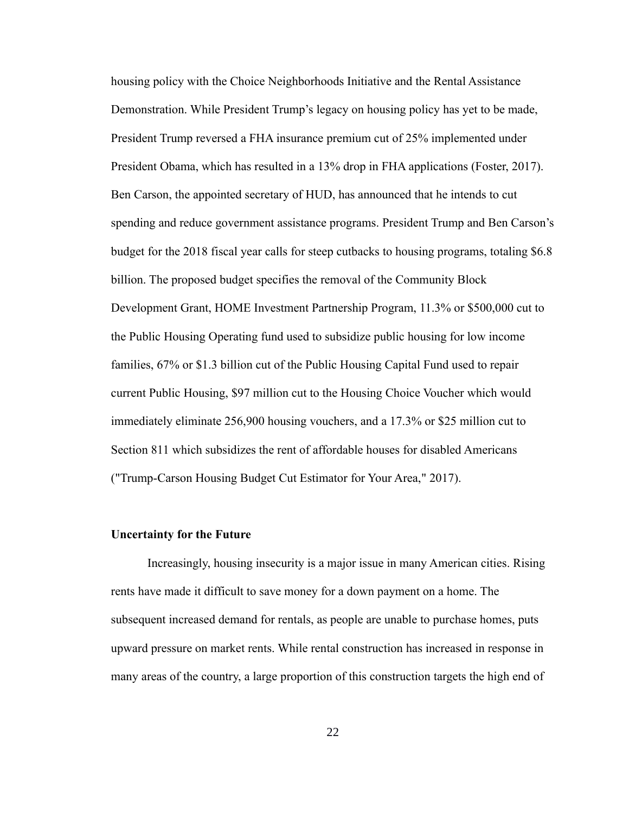housing policy with the Choice Neighborhoods Initiative and the Rental Assistance Demonstration. While President Trump's legacy on housing policy has yet to be made, President Trump reversed a FHA insurance premium cut of 25% implemented under President Obama, which has resulted in a 13% drop in FHA applications (Foster, 2017). Ben Carson, the appointed secretary of HUD, has announced that he intends to cut spending and reduce government assistance programs. President Trump and Ben Carson's budget for the 2018 fiscal year calls for steep cutbacks to housing programs, totaling \$6.8 billion. The proposed budget specifies the removal of the Community Block Development Grant, HOME Investment Partnership Program, 11.3% or \$500,000 cut to the Public Housing Operating fund used to subsidize public housing for low income families, 67% or \$1.3 billion cut of the Public Housing Capital Fund used to repair current Public Housing, \$97 million cut to the Housing Choice Voucher which would immediately eliminate 256,900 housing vouchers, and a 17.3% or \$25 million cut to Section 811 which subsidizes the rent of affordable houses for disabled Americans ("Trump-Carson Housing Budget Cut Estimator for Your Area," 2017).

#### **Uncertainty for the Future**

Increasingly, housing insecurity is a major issue in many American cities. Rising rents have made it difficult to save money for a down payment on a home. The subsequent increased demand for rentals, as people are unable to purchase homes, puts upward pressure on market rents. While rental construction has increased in response in many areas of the country, a large proportion of this construction targets the high end of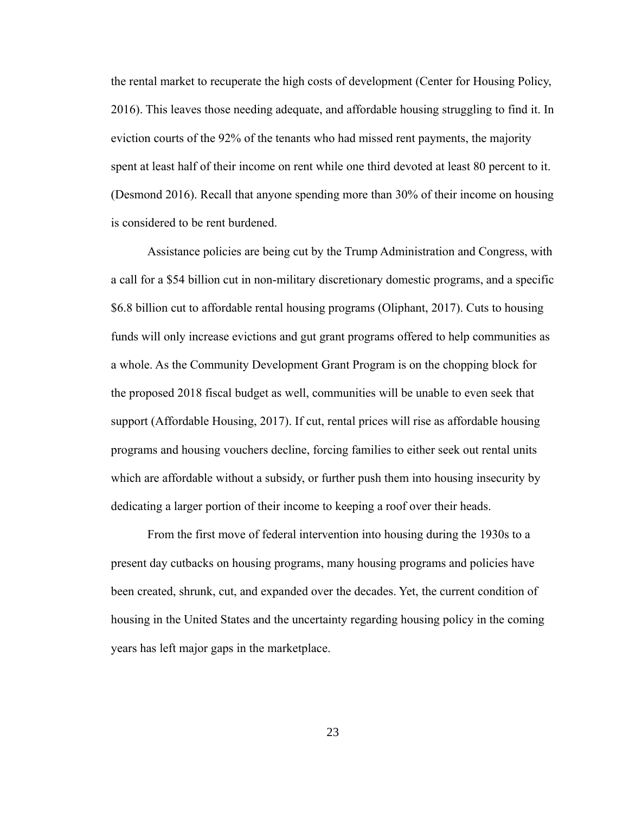the rental market to recuperate the high costs of development (Center for Housing Policy, 2016). This leaves those needing adequate, and affordable housing struggling to find it. In eviction courts of the 92% of the tenants who had missed rent payments, the majority spent at least half of their income on rent while one third devoted at least 80 percent to it. (Desmond 2016). Recall that anyone spending more than 30% of their income on housing is considered to be rent burdened.

Assistance policies are being cut by the Trump Administration and Congress, with a call for a \$54 billion cut in non-military discretionary domestic programs, and a specific \$6.8 billion cut to affordable rental housing programs (Oliphant, 2017). Cuts to housing funds will only increase evictions and gut grant programs offered to help communities as a whole. As the Community Development Grant Program is on the chopping block for the proposed 2018 fiscal budget as well, communities will be unable to even seek that support (Affordable Housing, 2017). If cut, rental prices will rise as affordable housing programs and housing vouchers decline, forcing families to either seek out rental units which are affordable without a subsidy, or further push them into housing insecurity by dedicating a larger portion of their income to keeping a roof over their heads.

From the first move of federal intervention into housing during the 1930s to a present day cutbacks on housing programs, many housing programs and policies have been created, shrunk, cut, and expanded over the decades. Yet, the current condition of housing in the United States and the uncertainty regarding housing policy in the coming years has left major gaps in the marketplace.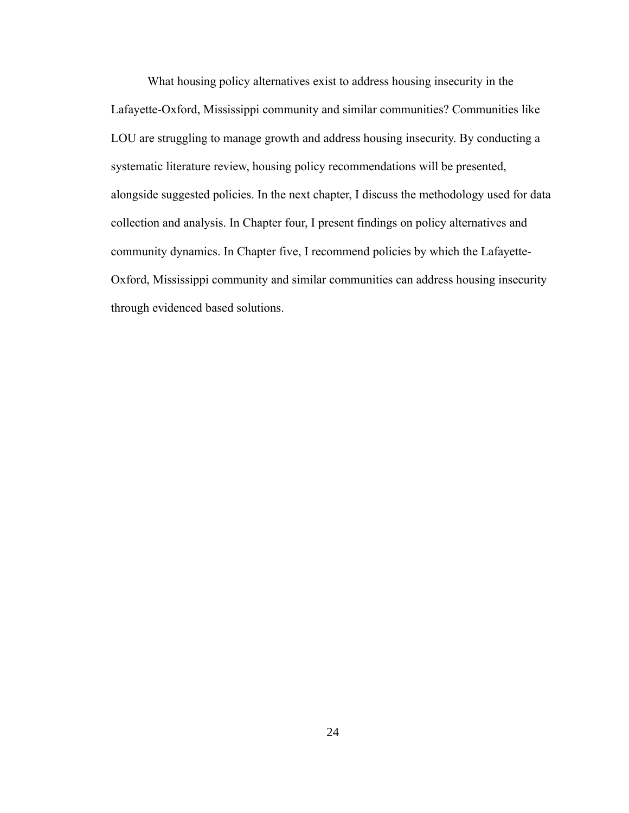What housing policy alternatives exist to address housing insecurity in the Lafayette-Oxford, Mississippi community and similar communities? Communities like LOU are struggling to manage growth and address housing insecurity. By conducting a systematic literature review, housing policy recommendations will be presented, alongside suggested policies. In the next chapter, I discuss the methodology used for data collection and analysis. In Chapter four, I present findings on policy alternatives and community dynamics. In Chapter five, I recommend policies by which the Lafayette-Oxford, Mississippi community and similar communities can address housing insecurity through evidenced based solutions.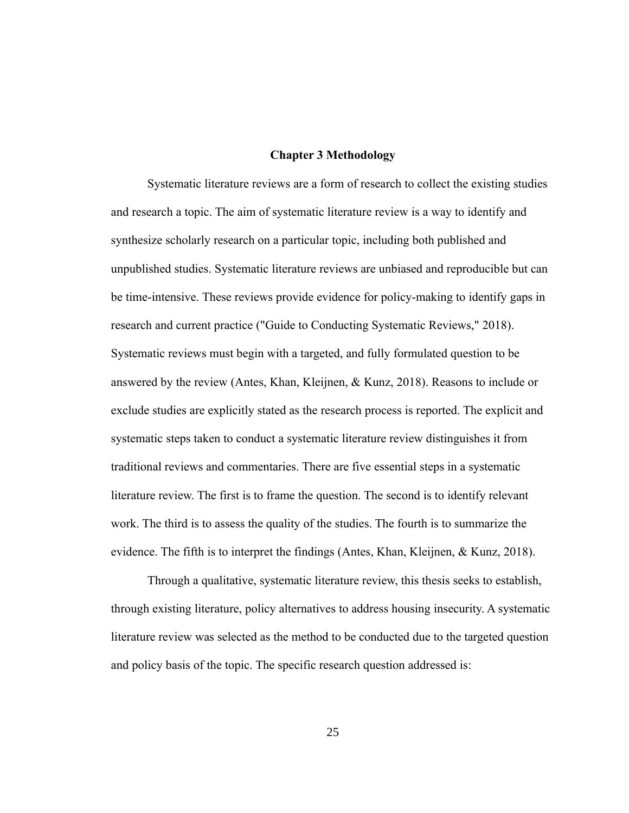#### **Chapter 3 Methodology**

Systematic literature reviews are a form of research to collect the existing studies and research a topic. The aim of systematic literature review is a way to identify and synthesize scholarly research on a particular topic, including both published and unpublished studies. Systematic literature reviews are unbiased and reproducible but can be time-intensive. These reviews provide evidence for policy-making to identify gaps in research and current practice ("Guide to Conducting Systematic Reviews," 2018). Systematic reviews must begin with a targeted, and fully formulated question to be answered by the review (Antes, Khan, Kleijnen, & Kunz, 2018). Reasons to include or exclude studies are explicitly stated as the research process is reported. The explicit and systematic steps taken to conduct a systematic literature review distinguishes it from traditional reviews and commentaries. There are five essential steps in a systematic literature review. The first is to frame the question. The second is to identify relevant work. The third is to assess the quality of the studies. The fourth is to summarize the evidence. The fifth is to interpret the findings (Antes, Khan, Kleijnen, & Kunz, 2018).

Through a qualitative, systematic literature review, this thesis seeks to establish, through existing literature, policy alternatives to address housing insecurity. A systematic literature review was selected as the method to be conducted due to the targeted question and policy basis of the topic. The specific research question addressed is: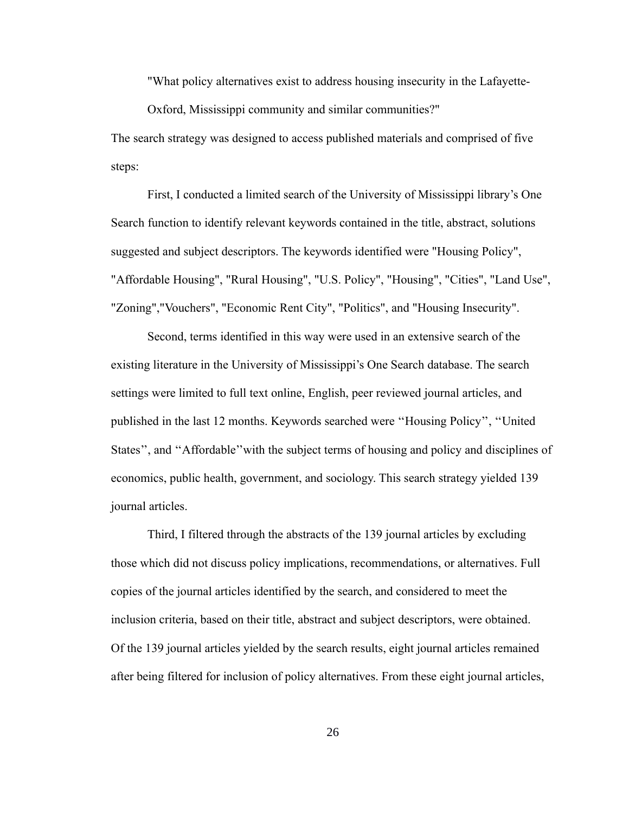"What policy alternatives exist to address housing insecurity in the Lafayette-

Oxford, Mississippi community and similar communities?"

The search strategy was designed to access published materials and comprised of five steps:

First, I conducted a limited search of the University of Mississippi library's One Search function to identify relevant keywords contained in the title, abstract, solutions suggested and subject descriptors. The keywords identified were "Housing Policy", "Affordable Housing", "Rural Housing", "U.S. Policy", "Housing", "Cities", "Land Use", "Zoning","Vouchers", "Economic Rent City", "Politics", and "Housing Insecurity".

Second, terms identified in this way were used in an extensive search of the existing literature in the University of Mississippi's One Search database. The search settings were limited to full text online, English, peer reviewed journal articles, and published in the last 12 months. Keywords searched were ''Housing Policy'', ''United States'', and ''Affordable''with the subject terms of housing and policy and disciplines of economics, public health, government, and sociology. This search strategy yielded 139 journal articles.

Third, I filtered through the abstracts of the 139 journal articles by excluding those which did not discuss policy implications, recommendations, or alternatives. Full copies of the journal articles identified by the search, and considered to meet the inclusion criteria, based on their title, abstract and subject descriptors, were obtained. Of the 139 journal articles yielded by the search results, eight journal articles remained after being filtered for inclusion of policy alternatives. From these eight journal articles,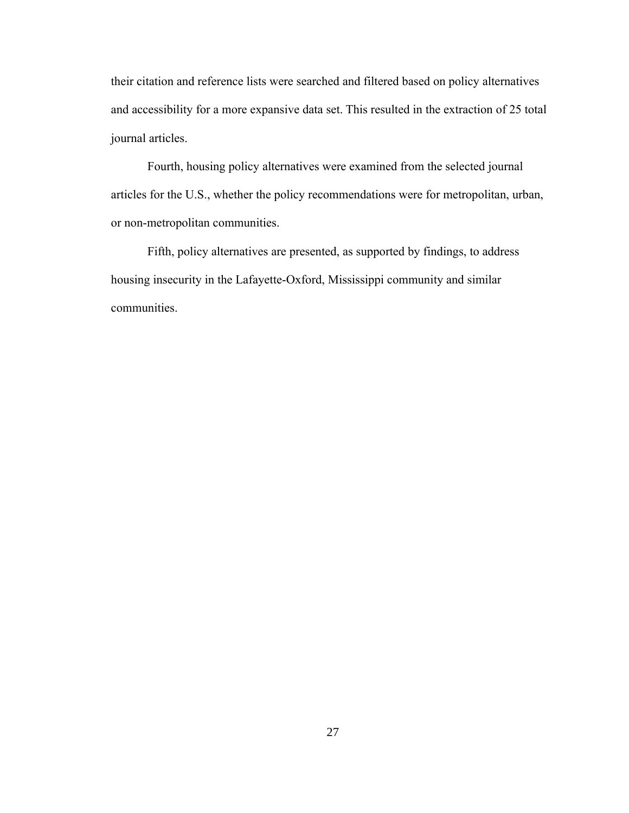their citation and reference lists were searched and filtered based on policy alternatives and accessibility for a more expansive data set. This resulted in the extraction of 25 total journal articles.

Fourth, housing policy alternatives were examined from the selected journal articles for the U.S., whether the policy recommendations were for metropolitan, urban, or non-metropolitan communities.

Fifth, policy alternatives are presented, as supported by findings, to address housing insecurity in the Lafayette-Oxford, Mississippi community and similar communities.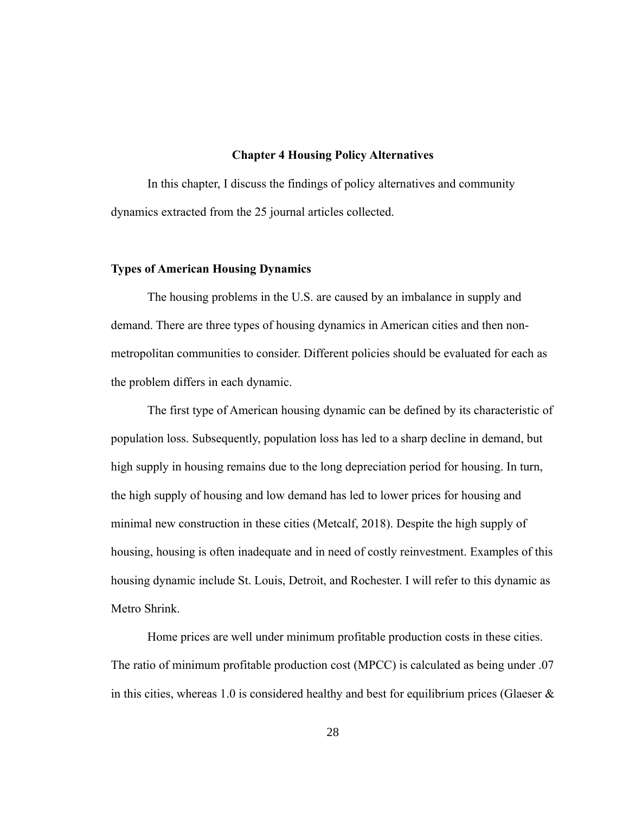#### **Chapter 4 Housing Policy Alternatives**

In this chapter, I discuss the findings of policy alternatives and community dynamics extracted from the 25 journal articles collected.

#### **Types of American Housing Dynamics**

The housing problems in the U.S. are caused by an imbalance in supply and demand. There are three types of housing dynamics in American cities and then nonmetropolitan communities to consider. Different policies should be evaluated for each as the problem differs in each dynamic.

The first type of American housing dynamic can be defined by its characteristic of population loss. Subsequently, population loss has led to a sharp decline in demand, but high supply in housing remains due to the long depreciation period for housing. In turn, the high supply of housing and low demand has led to lower prices for housing and minimal new construction in these cities (Metcalf, 2018). Despite the high supply of housing, housing is often inadequate and in need of costly reinvestment. Examples of this housing dynamic include St. Louis, Detroit, and Rochester. I will refer to this dynamic as Metro Shrink.

Home prices are well under minimum profitable production costs in these cities. The ratio of minimum profitable production cost (MPCC) is calculated as being under .07 in this cities, whereas 1.0 is considered healthy and best for equilibrium prices (Glaeser  $\&$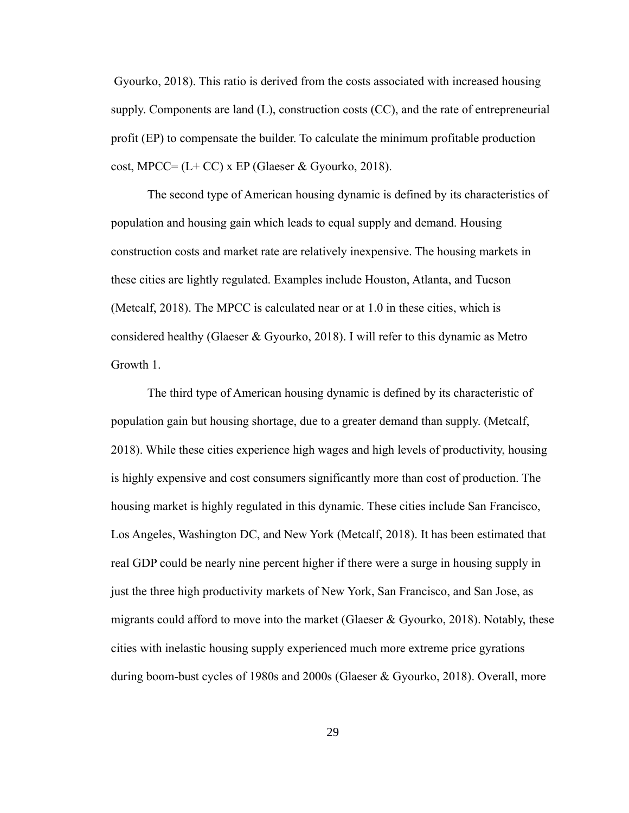Gyourko, 2018). This ratio is derived from the costs associated with increased housing supply. Components are land (L), construction costs (CC), and the rate of entrepreneurial profit (EP) to compensate the builder. To calculate the minimum profitable production cost, MPCC=  $(L+CC)$  x EP (Glaeser & Gyourko, 2018).

The second type of American housing dynamic is defined by its characteristics of population and housing gain which leads to equal supply and demand. Housing construction costs and market rate are relatively inexpensive. The housing markets in these cities are lightly regulated. Examples include Houston, Atlanta, and Tucson (Metcalf, 2018). The MPCC is calculated near or at 1.0 in these cities, which is considered healthy (Glaeser & Gyourko, 2018). I will refer to this dynamic as Metro Growth 1.

The third type of American housing dynamic is defined by its characteristic of population gain but housing shortage, due to a greater demand than supply. (Metcalf, 2018). While these cities experience high wages and high levels of productivity, housing is highly expensive and cost consumers significantly more than cost of production. The housing market is highly regulated in this dynamic. These cities include San Francisco, Los Angeles, Washington DC, and New York (Metcalf, 2018). It has been estimated that real GDP could be nearly nine percent higher if there were a surge in housing supply in just the three high productivity markets of New York, San Francisco, and San Jose, as migrants could afford to move into the market (Glaeser & Gyourko, 2018). Notably, these cities with inelastic housing supply experienced much more extreme price gyrations during boom-bust cycles of 1980s and 2000s (Glaeser & Gyourko, 2018). Overall, more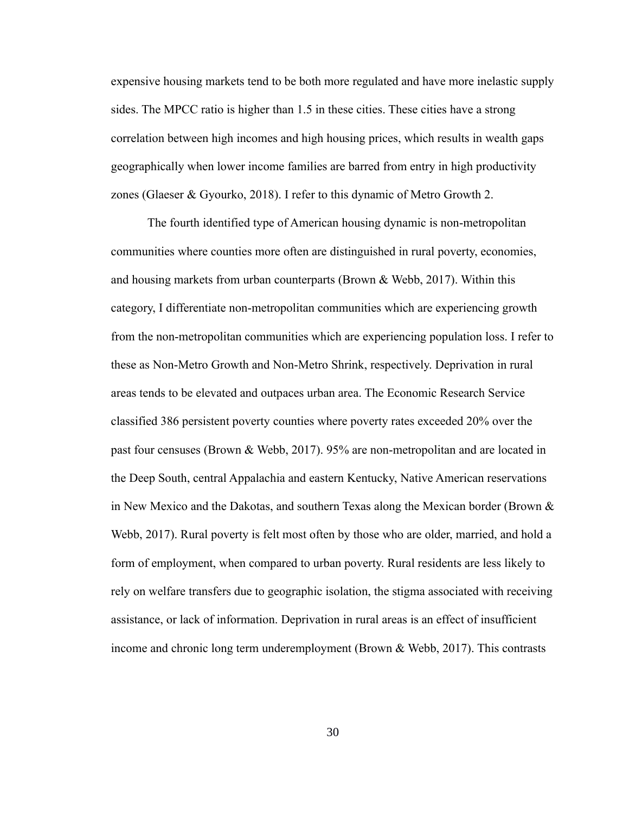expensive housing markets tend to be both more regulated and have more inelastic supply sides. The MPCC ratio is higher than 1.5 in these cities. These cities have a strong correlation between high incomes and high housing prices, which results in wealth gaps geographically when lower income families are barred from entry in high productivity zones (Glaeser & Gyourko, 2018). I refer to this dynamic of Metro Growth 2.

The fourth identified type of American housing dynamic is non-metropolitan communities where counties more often are distinguished in rural poverty, economies, and housing markets from urban counterparts (Brown & Webb, 2017). Within this category, I differentiate non-metropolitan communities which are experiencing growth from the non-metropolitan communities which are experiencing population loss. I refer to these as Non-Metro Growth and Non-Metro Shrink, respectively. Deprivation in rural areas tends to be elevated and outpaces urban area. The Economic Research Service classified 386 persistent poverty counties where poverty rates exceeded 20% over the past four censuses (Brown & Webb, 2017). 95% are non-metropolitan and are located in the Deep South, central Appalachia and eastern Kentucky, Native American reservations in New Mexico and the Dakotas, and southern Texas along the Mexican border (Brown & Webb, 2017). Rural poverty is felt most often by those who are older, married, and hold a form of employment, when compared to urban poverty. Rural residents are less likely to rely on welfare transfers due to geographic isolation, the stigma associated with receiving assistance, or lack of information. Deprivation in rural areas is an effect of insufficient income and chronic long term underemployment (Brown & Webb, 2017). This contrasts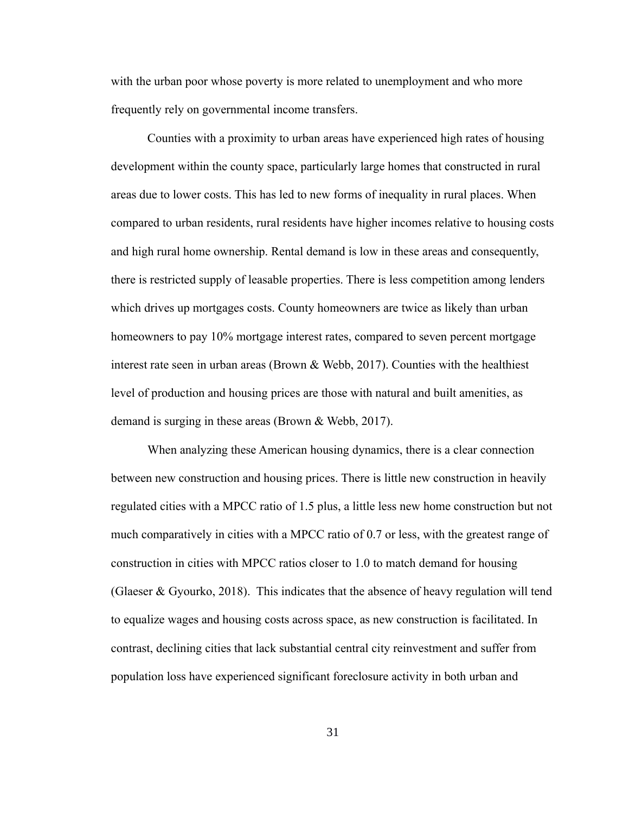with the urban poor whose poverty is more related to unemployment and who more frequently rely on governmental income transfers.

Counties with a proximity to urban areas have experienced high rates of housing development within the county space, particularly large homes that constructed in rural areas due to lower costs. This has led to new forms of inequality in rural places. When compared to urban residents, rural residents have higher incomes relative to housing costs and high rural home ownership. Rental demand is low in these areas and consequently, there is restricted supply of leasable properties. There is less competition among lenders which drives up mortgages costs. County homeowners are twice as likely than urban homeowners to pay 10% mortgage interest rates, compared to seven percent mortgage interest rate seen in urban areas (Brown & Webb, 2017). Counties with the healthiest level of production and housing prices are those with natural and built amenities, as demand is surging in these areas (Brown & Webb, 2017).

When analyzing these American housing dynamics, there is a clear connection between new construction and housing prices. There is little new construction in heavily regulated cities with a MPCC ratio of 1.5 plus, a little less new home construction but not much comparatively in cities with a MPCC ratio of 0.7 or less, with the greatest range of construction in cities with MPCC ratios closer to 1.0 to match demand for housing (Glaeser & Gyourko, 2018). This indicates that the absence of heavy regulation will tend to equalize wages and housing costs across space, as new construction is facilitated. In contrast, declining cities that lack substantial central city reinvestment and suffer from population loss have experienced significant foreclosure activity in both urban and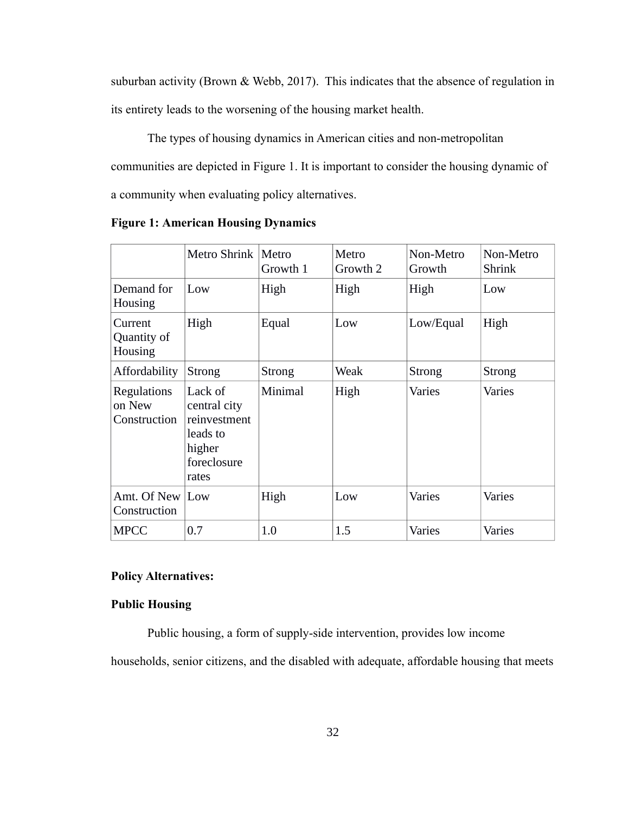suburban activity (Brown & Webb, 2017). This indicates that the absence of regulation in its entirety leads to the worsening of the housing market health.

The types of housing dynamics in American cities and non-metropolitan communities are depicted in Figure 1. It is important to consider the housing dynamic of a community when evaluating policy alternatives.

|                                              | Metro Shrink   Metro                                                                  | Growth 1      | Metro<br>Growth 2 | Non-Metro<br>Growth | Non-Metro<br><b>Shrink</b> |
|----------------------------------------------|---------------------------------------------------------------------------------------|---------------|-------------------|---------------------|----------------------------|
| Demand for<br><b>Housing</b>                 | Low                                                                                   | High          | High              | High                | Low                        |
| Current<br>Quantity of<br><b>Housing</b>     | High                                                                                  | Equal         | Low               | Low/Equal           | High                       |
| Affordability                                | <b>Strong</b>                                                                         | <b>Strong</b> | Weak              | <b>Strong</b>       | <b>Strong</b>              |
| <b>Regulations</b><br>on New<br>Construction | Lack of<br>central city<br>reinvestment<br>leads to<br>higher<br>foreclosure<br>rates | Minimal       | High              | <b>Varies</b>       | <b>Varies</b>              |
| Amt. Of New Low<br>Construction              |                                                                                       | High          | Low               | <b>Varies</b>       | <b>Varies</b>              |
| <b>MPCC</b>                                  | 0.7                                                                                   | 1.0           | 1.5               | <b>Varies</b>       | <b>Varies</b>              |

**Figure 1: American Housing Dynamics**

# **Policy Alternatives:**

# **Public Housing**

Public housing, a form of supply-side intervention, provides low income

households, senior citizens, and the disabled with adequate, affordable housing that meets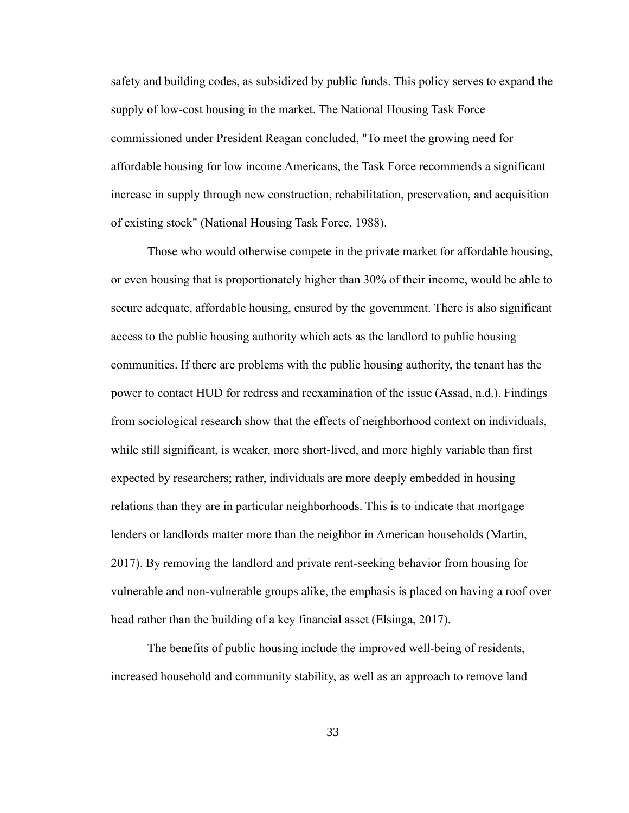safety and building codes, as subsidized by public funds. This policy serves to expand the supply of low-cost housing in the market. The National Housing Task Force commissioned under President Reagan concluded, "To meet the growing need for affordable housing for low income Americans, the Task Force recommends a significant increase in supply through new construction, rehabilitation, preservation, and acquisition of existing stock" (National Housing Task Force, 1988).

Those who would otherwise compete in the private market for affordable housing, or even housing that is proportionately higher than 30% of their income, would be able to secure adequate, affordable housing, ensured by the government. There is also significant access to the public housing authority which acts as the landlord to public housing communities. If there are problems with the public housing authority, the tenant has the power to contact HUD for redress and reexamination of the issue (Assad, n.d.). Findings from sociological research show that the effects of neighborhood context on individuals, while still significant, is weaker, more short-lived, and more highly variable than first expected by researchers; rather, individuals are more deeply embedded in housing relations than they are in particular neighborhoods. This is to indicate that mortgage lenders or landlords matter more than the neighbor in American households (Martin, 2017). By removing the landlord and private rent-seeking behavior from housing for vulnerable and non-vulnerable groups alike, the emphasis is placed on having a roof over head rather than the building of a key financial asset (Elsinga, 2017).

The benefits of public housing include the improved well-being of residents, increased household and community stability, as well as an approach to remove land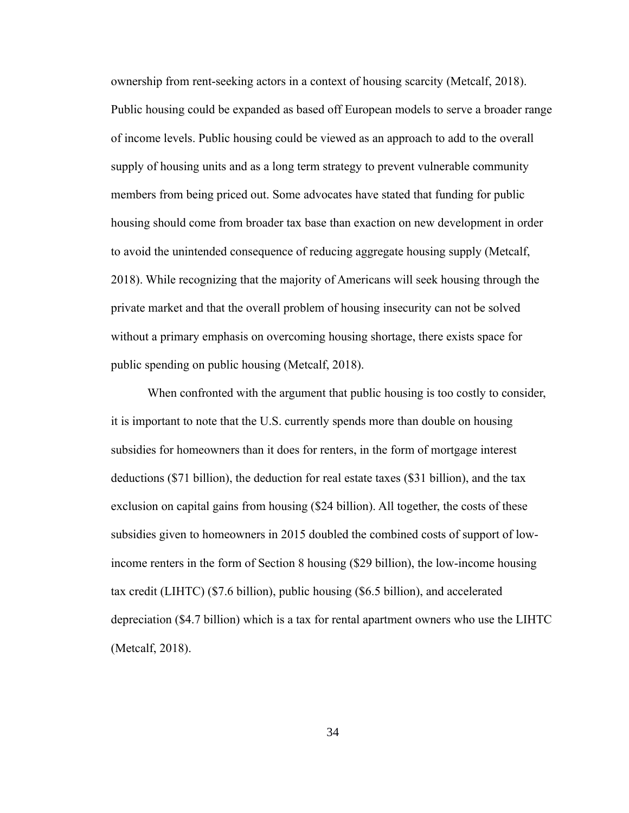ownership from rent-seeking actors in a context of housing scarcity (Metcalf, 2018). Public housing could be expanded as based off European models to serve a broader range of income levels. Public housing could be viewed as an approach to add to the overall supply of housing units and as a long term strategy to prevent vulnerable community members from being priced out. Some advocates have stated that funding for public housing should come from broader tax base than exaction on new development in order to avoid the unintended consequence of reducing aggregate housing supply (Metcalf, 2018). While recognizing that the majority of Americans will seek housing through the private market and that the overall problem of housing insecurity can not be solved without a primary emphasis on overcoming housing shortage, there exists space for public spending on public housing (Metcalf, 2018).

When confronted with the argument that public housing is too costly to consider, it is important to note that the U.S. currently spends more than double on housing subsidies for homeowners than it does for renters, in the form of mortgage interest deductions (\$71 billion), the deduction for real estate taxes (\$31 billion), and the tax exclusion on capital gains from housing (\$24 billion). All together, the costs of these subsidies given to homeowners in 2015 doubled the combined costs of support of lowincome renters in the form of Section 8 housing (\$29 billion), the low-income housing tax credit (LIHTC) (\$7.6 billion), public housing (\$6.5 billion), and accelerated depreciation (\$4.7 billion) which is a tax for rental apartment owners who use the LIHTC (Metcalf, 2018).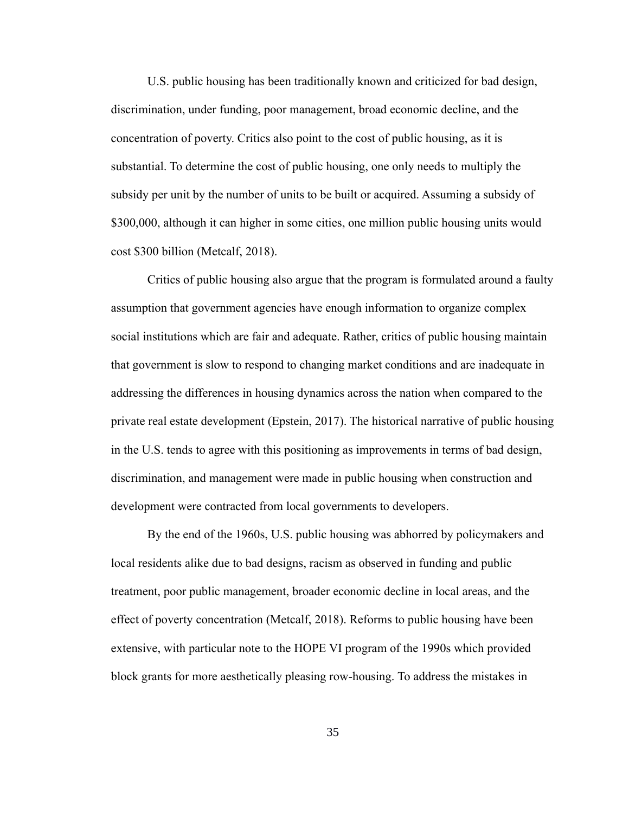U.S. public housing has been traditionally known and criticized for bad design, discrimination, under funding, poor management, broad economic decline, and the concentration of poverty. Critics also point to the cost of public housing, as it is substantial. To determine the cost of public housing, one only needs to multiply the subsidy per unit by the number of units to be built or acquired. Assuming a subsidy of \$300,000, although it can higher in some cities, one million public housing units would cost \$300 billion (Metcalf, 2018).

Critics of public housing also argue that the program is formulated around a faulty assumption that government agencies have enough information to organize complex social institutions which are fair and adequate. Rather, critics of public housing maintain that government is slow to respond to changing market conditions and are inadequate in addressing the differences in housing dynamics across the nation when compared to the private real estate development (Epstein, 2017). The historical narrative of public housing in the U.S. tends to agree with this positioning as improvements in terms of bad design, discrimination, and management were made in public housing when construction and development were contracted from local governments to developers.

By the end of the 1960s, U.S. public housing was abhorred by policymakers and local residents alike due to bad designs, racism as observed in funding and public treatment, poor public management, broader economic decline in local areas, and the effect of poverty concentration (Metcalf, 2018). Reforms to public housing have been extensive, with particular note to the HOPE VI program of the 1990s which provided block grants for more aesthetically pleasing row-housing. To address the mistakes in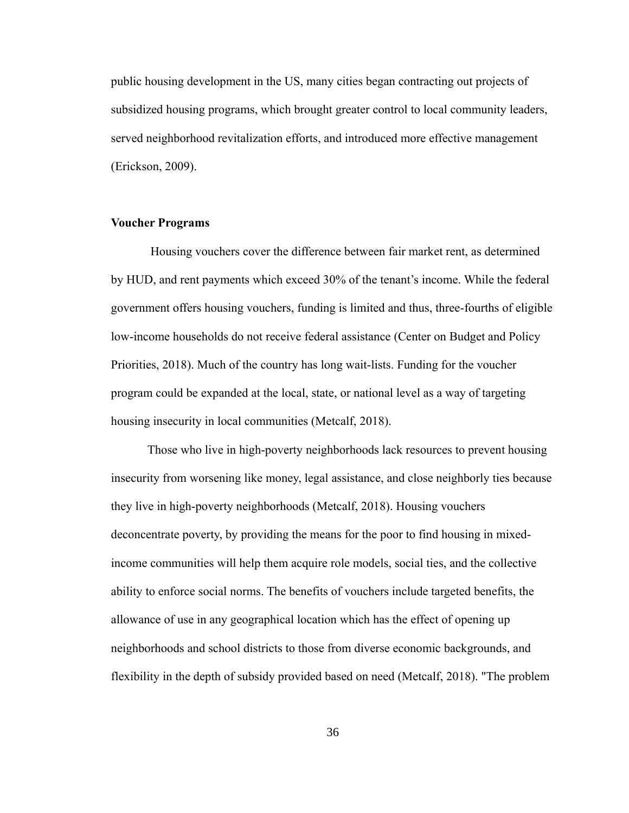public housing development in the US, many cities began contracting out projects of subsidized housing programs, which brought greater control to local community leaders, served neighborhood revitalization efforts, and introduced more effective management (Erickson, 2009).

## **Voucher Programs**

 Housing vouchers cover the difference between fair market rent, as determined by HUD, and rent payments which exceed 30% of the tenant's income. While the federal government offers housing vouchers, funding is limited and thus, three-fourths of eligible low-income households do not receive federal assistance (Center on Budget and Policy Priorities, 2018). Much of the country has long wait-lists. Funding for the voucher program could be expanded at the local, state, or national level as a way of targeting housing insecurity in local communities (Metcalf, 2018).

Those who live in high-poverty neighborhoods lack resources to prevent housing insecurity from worsening like money, legal assistance, and close neighborly ties because they live in high-poverty neighborhoods (Metcalf, 2018). Housing vouchers deconcentrate poverty, by providing the means for the poor to find housing in mixedincome communities will help them acquire role models, social ties, and the collective ability to enforce social norms. The benefits of vouchers include targeted benefits, the allowance of use in any geographical location which has the effect of opening up neighborhoods and school districts to those from diverse economic backgrounds, and flexibility in the depth of subsidy provided based on need (Metcalf, 2018). "The problem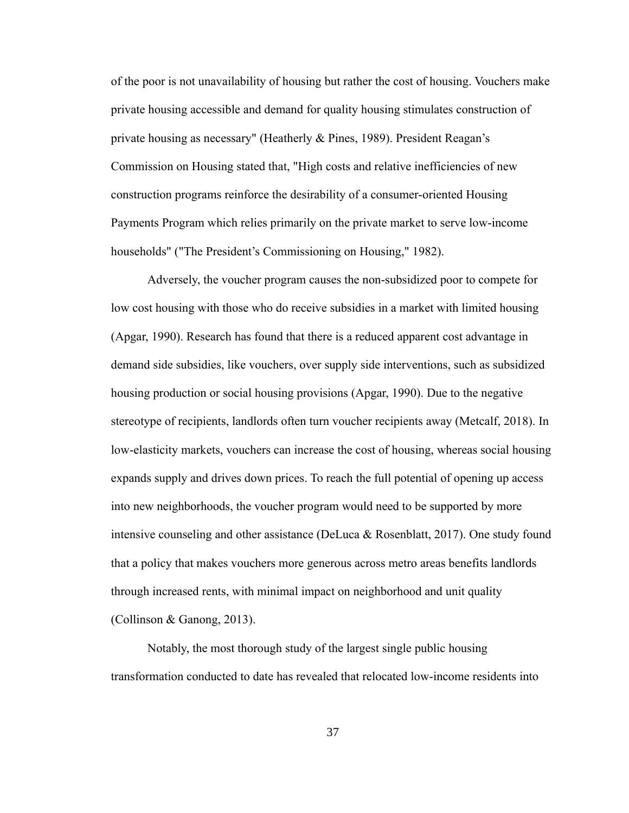of the poor is not unavailability of housing but rather the cost of housing. Vouchers make private housing accessible and demand for quality housing stimulates construction of private housing as necessary" (Heatherly & Pines, 1989). President Reagan's Commission on Housing stated that, "High costs and relative inefficiencies of new construction programs reinforce the desirability of a consumer-oriented Housing Payments Program which relies primarily on the private market to serve low-income households" ("The President's Commissioning on Housing," 1982).

Adversely, the voucher program causes the non-subsidized poor to compete for low cost housing with those who do receive subsidies in a market with limited housing (Apgar, 1990). Research has found that there is a reduced apparent cost advantage in demand side subsidies, like vouchers, over supply side interventions, such as subsidized housing production or social housing provisions (Apgar, 1990). Due to the negative stereotype of recipients, landlords often turn voucher recipients away (Metcalf, 2018). In low-elasticity markets, vouchers can increase the cost of housing, whereas social housing expands supply and drives down prices. To reach the full potential of opening up access into new neighborhoods, the voucher program would need to be supported by more intensive counseling and other assistance (DeLuca & Rosenblatt, 2017). One study found that a policy that makes vouchers more generous across metro areas benefits landlords through increased rents, with minimal impact on neighborhood and unit quality (Collinson & Ganong, 2013).

Notably, the most thorough study of the largest single public housing transformation conducted to date has revealed that relocated low-income residents into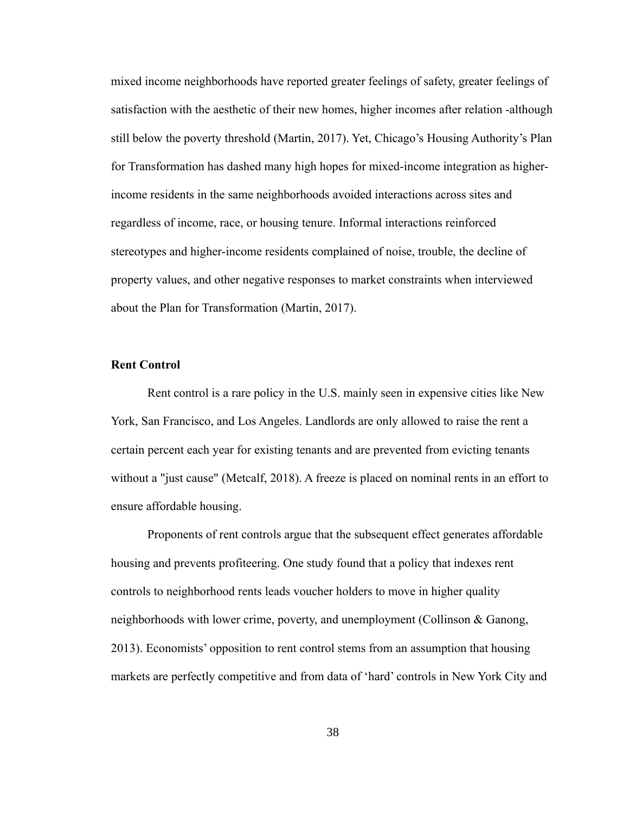mixed income neighborhoods have reported greater feelings of safety, greater feelings of satisfaction with the aesthetic of their new homes, higher incomes after relation -although still below the poverty threshold (Martin, 2017). Yet, Chicago's Housing Authority's Plan for Transformation has dashed many high hopes for mixed-income integration as higherincome residents in the same neighborhoods avoided interactions across sites and regardless of income, race, or housing tenure. Informal interactions reinforced stereotypes and higher-income residents complained of noise, trouble, the decline of property values, and other negative responses to market constraints when interviewed about the Plan for Transformation (Martin, 2017).

## **Rent Control**

Rent control is a rare policy in the U.S. mainly seen in expensive cities like New York, San Francisco, and Los Angeles. Landlords are only allowed to raise the rent a certain percent each year for existing tenants and are prevented from evicting tenants without a "just cause" (Metcalf, 2018). A freeze is placed on nominal rents in an effort to ensure affordable housing.

Proponents of rent controls argue that the subsequent effect generates affordable housing and prevents profiteering. One study found that a policy that indexes rent controls to neighborhood rents leads voucher holders to move in higher quality neighborhoods with lower crime, poverty, and unemployment (Collinson & Ganong, 2013). Economists' opposition to rent control stems from an assumption that housing markets are perfectly competitive and from data of 'hard' controls in New York City and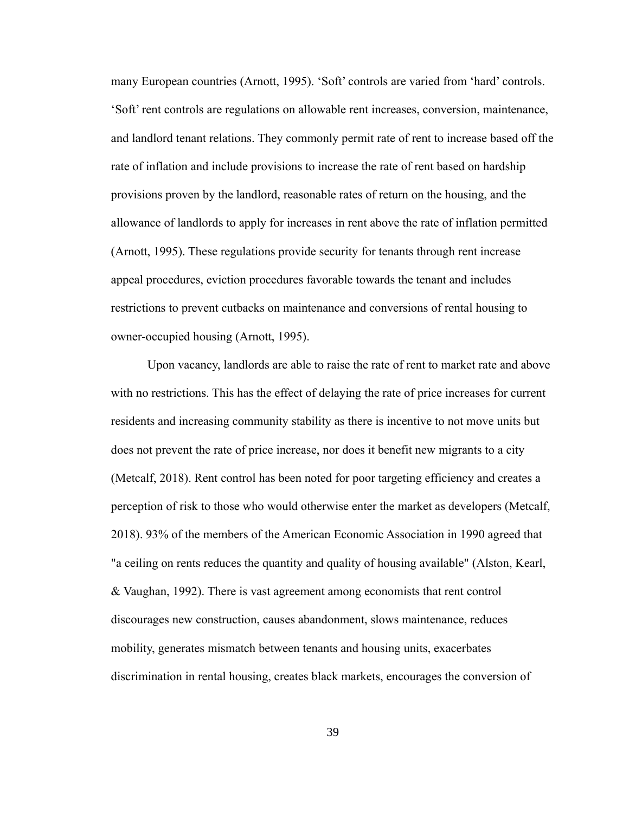many European countries (Arnott, 1995). 'Soft' controls are varied from 'hard' controls. 'Soft' rent controls are regulations on allowable rent increases, conversion, maintenance, and landlord tenant relations. They commonly permit rate of rent to increase based off the rate of inflation and include provisions to increase the rate of rent based on hardship provisions proven by the landlord, reasonable rates of return on the housing, and the allowance of landlords to apply for increases in rent above the rate of inflation permitted (Arnott, 1995). These regulations provide security for tenants through rent increase appeal procedures, eviction procedures favorable towards the tenant and includes restrictions to prevent cutbacks on maintenance and conversions of rental housing to owner-occupied housing (Arnott, 1995).

Upon vacancy, landlords are able to raise the rate of rent to market rate and above with no restrictions. This has the effect of delaying the rate of price increases for current residents and increasing community stability as there is incentive to not move units but does not prevent the rate of price increase, nor does it benefit new migrants to a city (Metcalf, 2018). Rent control has been noted for poor targeting efficiency and creates a perception of risk to those who would otherwise enter the market as developers (Metcalf, 2018). 93% of the members of the American Economic Association in 1990 agreed that "a ceiling on rents reduces the quantity and quality of housing available" (Alston, Kearl, & Vaughan, 1992). There is vast agreement among economists that rent control discourages new construction, causes abandonment, slows maintenance, reduces mobility, generates mismatch between tenants and housing units, exacerbates discrimination in rental housing, creates black markets, encourages the conversion of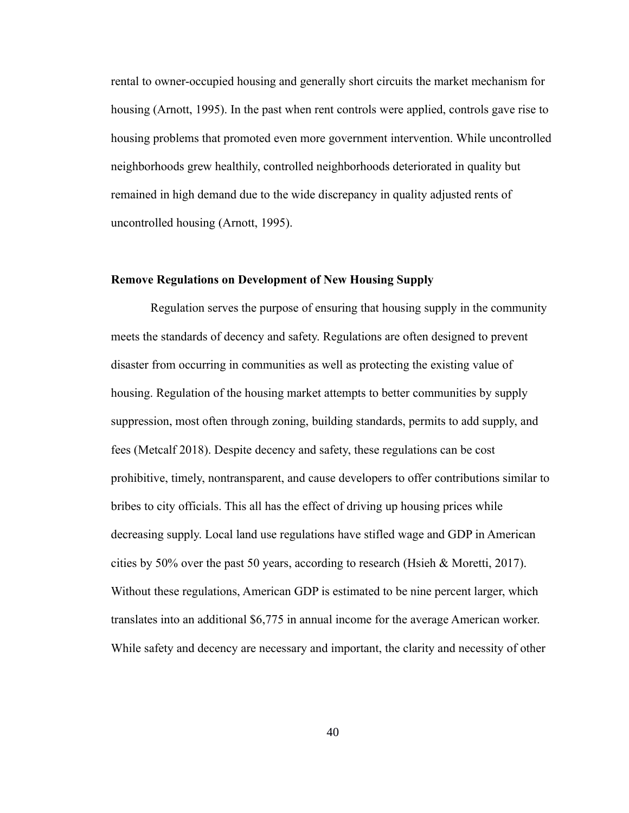rental to owner-occupied housing and generally short circuits the market mechanism for housing (Arnott, 1995). In the past when rent controls were applied, controls gave rise to housing problems that promoted even more government intervention. While uncontrolled neighborhoods grew healthily, controlled neighborhoods deteriorated in quality but remained in high demand due to the wide discrepancy in quality adjusted rents of uncontrolled housing (Arnott, 1995).

## **Remove Regulations on Development of New Housing Supply**

 Regulation serves the purpose of ensuring that housing supply in the community meets the standards of decency and safety. Regulations are often designed to prevent disaster from occurring in communities as well as protecting the existing value of housing. Regulation of the housing market attempts to better communities by supply suppression, most often through zoning, building standards, permits to add supply, and fees (Metcalf 2018). Despite decency and safety, these regulations can be cost prohibitive, timely, nontransparent, and cause developers to offer contributions similar to bribes to city officials. This all has the effect of driving up housing prices while decreasing supply. Local land use regulations have stifled wage and GDP in American cities by 50% over the past 50 years, according to research (Hsieh & Moretti, 2017). Without these regulations, American GDP is estimated to be nine percent larger, which translates into an additional \$6,775 in annual income for the average American worker. While safety and decency are necessary and important, the clarity and necessity of other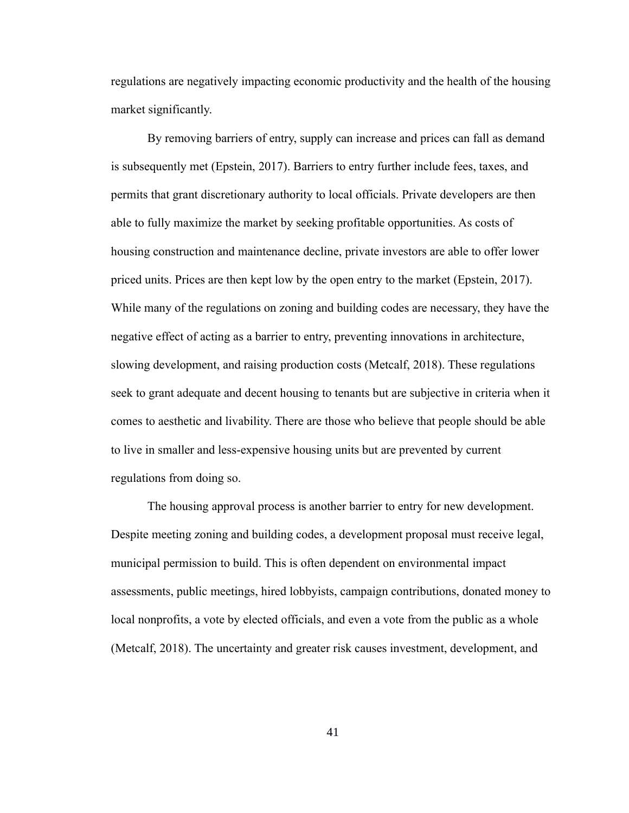regulations are negatively impacting economic productivity and the health of the housing market significantly.

By removing barriers of entry, supply can increase and prices can fall as demand is subsequently met (Epstein, 2017). Barriers to entry further include fees, taxes, and permits that grant discretionary authority to local officials. Private developers are then able to fully maximize the market by seeking profitable opportunities. As costs of housing construction and maintenance decline, private investors are able to offer lower priced units. Prices are then kept low by the open entry to the market (Epstein, 2017). While many of the regulations on zoning and building codes are necessary, they have the negative effect of acting as a barrier to entry, preventing innovations in architecture, slowing development, and raising production costs (Metcalf, 2018). These regulations seek to grant adequate and decent housing to tenants but are subjective in criteria when it comes to aesthetic and livability. There are those who believe that people should be able to live in smaller and less-expensive housing units but are prevented by current regulations from doing so.

The housing approval process is another barrier to entry for new development. Despite meeting zoning and building codes, a development proposal must receive legal, municipal permission to build. This is often dependent on environmental impact assessments, public meetings, hired lobbyists, campaign contributions, donated money to local nonprofits, a vote by elected officials, and even a vote from the public as a whole (Metcalf, 2018). The uncertainty and greater risk causes investment, development, and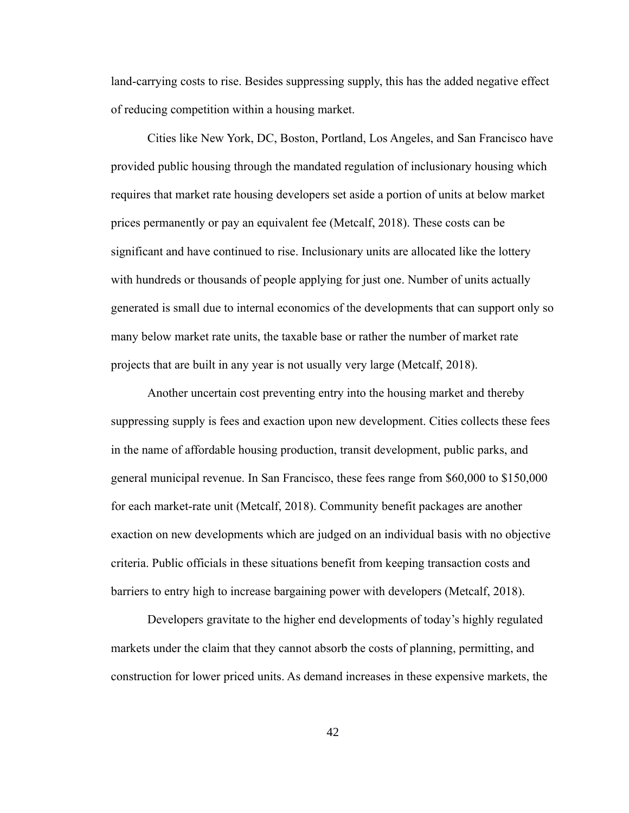land-carrying costs to rise. Besides suppressing supply, this has the added negative effect of reducing competition within a housing market.

Cities like New York, DC, Boston, Portland, Los Angeles, and San Francisco have provided public housing through the mandated regulation of inclusionary housing which requires that market rate housing developers set aside a portion of units at below market prices permanently or pay an equivalent fee (Metcalf, 2018). These costs can be significant and have continued to rise. Inclusionary units are allocated like the lottery with hundreds or thousands of people applying for just one. Number of units actually generated is small due to internal economics of the developments that can support only so many below market rate units, the taxable base or rather the number of market rate projects that are built in any year is not usually very large (Metcalf, 2018).

Another uncertain cost preventing entry into the housing market and thereby suppressing supply is fees and exaction upon new development. Cities collects these fees in the name of affordable housing production, transit development, public parks, and general municipal revenue. In San Francisco, these fees range from \$60,000 to \$150,000 for each market-rate unit (Metcalf, 2018). Community benefit packages are another exaction on new developments which are judged on an individual basis with no objective criteria. Public officials in these situations benefit from keeping transaction costs and barriers to entry high to increase bargaining power with developers (Metcalf, 2018).

Developers gravitate to the higher end developments of today's highly regulated markets under the claim that they cannot absorb the costs of planning, permitting, and construction for lower priced units. As demand increases in these expensive markets, the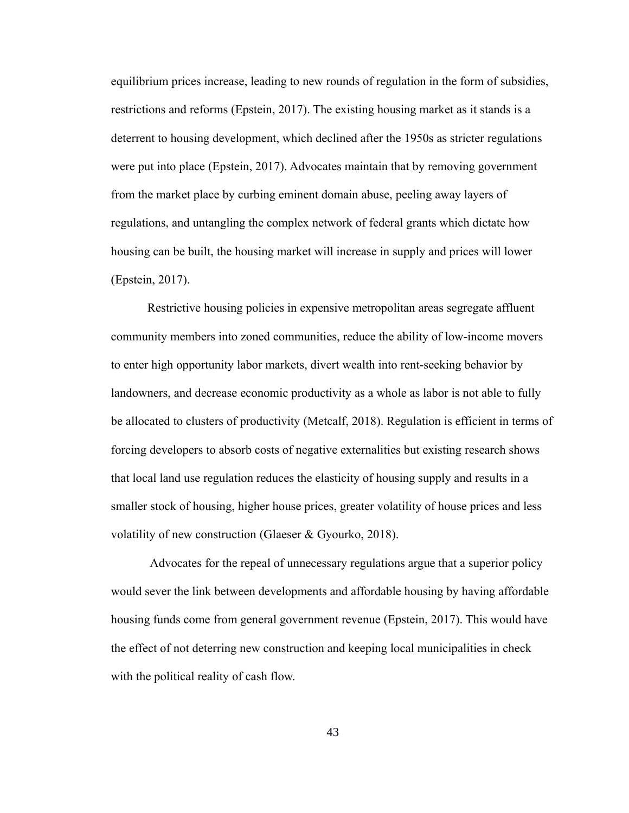equilibrium prices increase, leading to new rounds of regulation in the form of subsidies, restrictions and reforms (Epstein, 2017). The existing housing market as it stands is a deterrent to housing development, which declined after the 1950s as stricter regulations were put into place (Epstein, 2017). Advocates maintain that by removing government from the market place by curbing eminent domain abuse, peeling away layers of regulations, and untangling the complex network of federal grants which dictate how housing can be built, the housing market will increase in supply and prices will lower (Epstein, 2017).

Restrictive housing policies in expensive metropolitan areas segregate affluent community members into zoned communities, reduce the ability of low-income movers to enter high opportunity labor markets, divert wealth into rent-seeking behavior by landowners, and decrease economic productivity as a whole as labor is not able to fully be allocated to clusters of productivity (Metcalf, 2018). Regulation is efficient in terms of forcing developers to absorb costs of negative externalities but existing research shows that local land use regulation reduces the elasticity of housing supply and results in a smaller stock of housing, higher house prices, greater volatility of house prices and less volatility of new construction (Glaeser & Gyourko, 2018).

 Advocates for the repeal of unnecessary regulations argue that a superior policy would sever the link between developments and affordable housing by having affordable housing funds come from general government revenue (Epstein, 2017). This would have the effect of not deterring new construction and keeping local municipalities in check with the political reality of cash flow.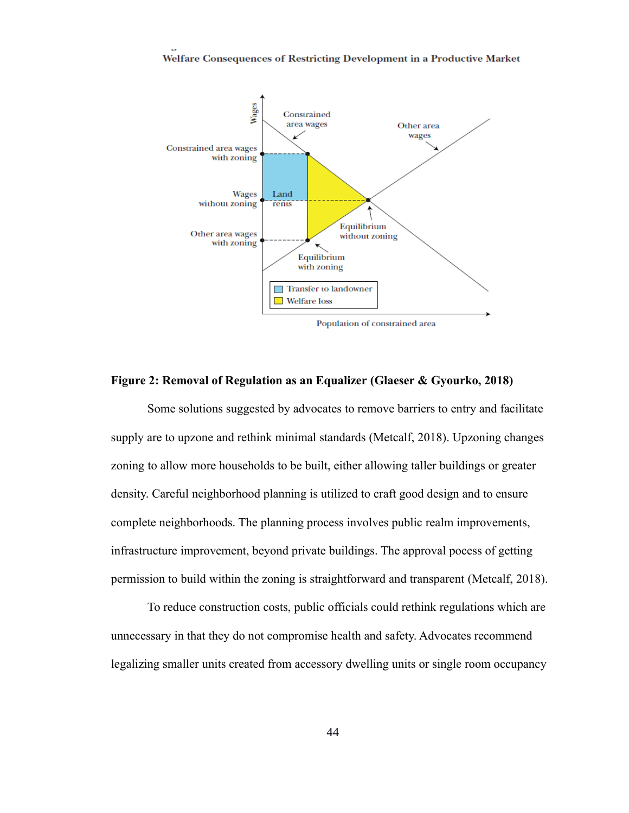

## **Figure 2: Removal of Regulation as an Equalizer (Glaeser & Gyourko, 2018)**

Some solutions suggested by advocates to remove barriers to entry and facilitate supply are to upzone and rethink minimal standards (Metcalf, 2018). Upzoning changes zoning to allow more households to be built, either allowing taller buildings or greater density. Careful neighborhood planning is utilized to craft good design and to ensure complete neighborhoods. The planning process involves public realm improvements, infrastructure improvement, beyond private buildings. The approval pocess of getting permission to build within the zoning is straightforward and transparent (Metcalf, 2018).

To reduce construction costs, public officials could rethink regulations which are unnecessary in that they do not compromise health and safety. Advocates recommend legalizing smaller units created from accessory dwelling units or single room occupancy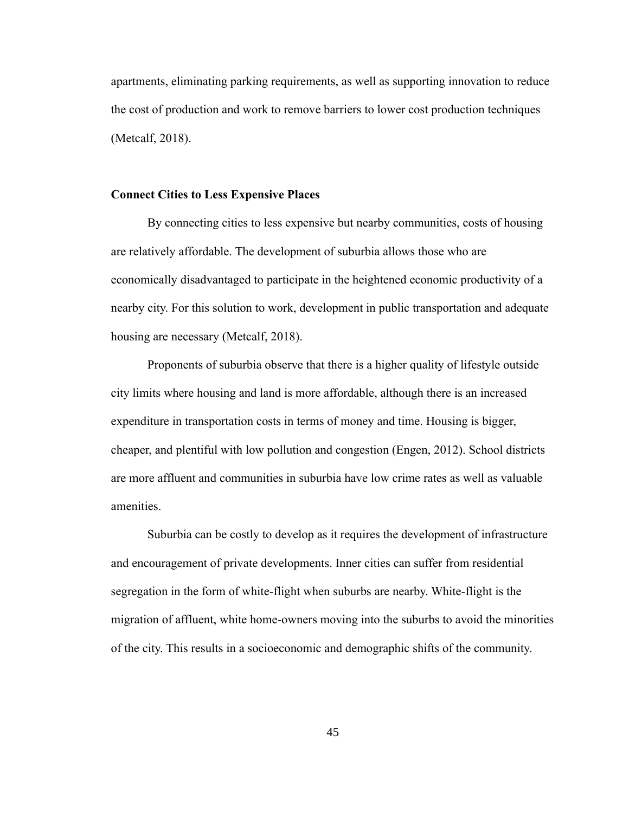apartments, eliminating parking requirements, as well as supporting innovation to reduce the cost of production and work to remove barriers to lower cost production techniques (Metcalf, 2018).

#### **Connect Cities to Less Expensive Places**

By connecting cities to less expensive but nearby communities, costs of housing are relatively affordable. The development of suburbia allows those who are economically disadvantaged to participate in the heightened economic productivity of a nearby city. For this solution to work, development in public transportation and adequate housing are necessary (Metcalf, 2018).

Proponents of suburbia observe that there is a higher quality of lifestyle outside city limits where housing and land is more affordable, although there is an increased expenditure in transportation costs in terms of money and time. Housing is bigger, cheaper, and plentiful with low pollution and congestion (Engen, 2012). School districts are more affluent and communities in suburbia have low crime rates as well as valuable amenities.

Suburbia can be costly to develop as it requires the development of infrastructure and encouragement of private developments. Inner cities can suffer from residential segregation in the form of white-flight when suburbs are nearby. White-flight is the migration of affluent, white home-owners moving into the suburbs to avoid the minorities of the city. This results in a socioeconomic and demographic shifts of the community.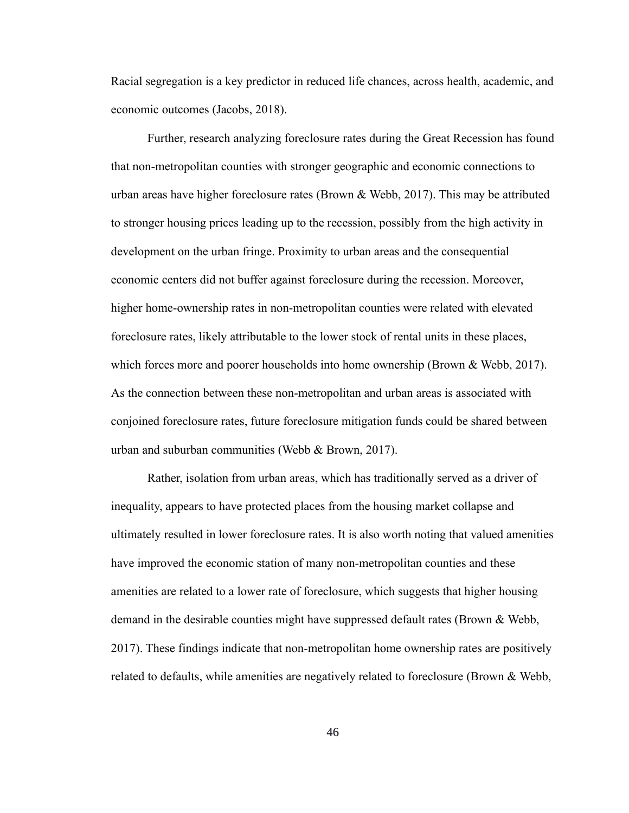Racial segregation is a key predictor in reduced life chances, across health, academic, and economic outcomes (Jacobs, 2018).

Further, research analyzing foreclosure rates during the Great Recession has found that non-metropolitan counties with stronger geographic and economic connections to urban areas have higher foreclosure rates (Brown & Webb, 2017). This may be attributed to stronger housing prices leading up to the recession, possibly from the high activity in development on the urban fringe. Proximity to urban areas and the consequential economic centers did not buffer against foreclosure during the recession. Moreover, higher home-ownership rates in non-metropolitan counties were related with elevated foreclosure rates, likely attributable to the lower stock of rental units in these places, which forces more and poorer households into home ownership (Brown & Webb, 2017). As the connection between these non-metropolitan and urban areas is associated with conjoined foreclosure rates, future foreclosure mitigation funds could be shared between urban and suburban communities (Webb & Brown, 2017).

Rather, isolation from urban areas, which has traditionally served as a driver of inequality, appears to have protected places from the housing market collapse and ultimately resulted in lower foreclosure rates. It is also worth noting that valued amenities have improved the economic station of many non-metropolitan counties and these amenities are related to a lower rate of foreclosure, which suggests that higher housing demand in the desirable counties might have suppressed default rates (Brown & Webb, 2017). These findings indicate that non-metropolitan home ownership rates are positively related to defaults, while amenities are negatively related to foreclosure (Brown & Webb,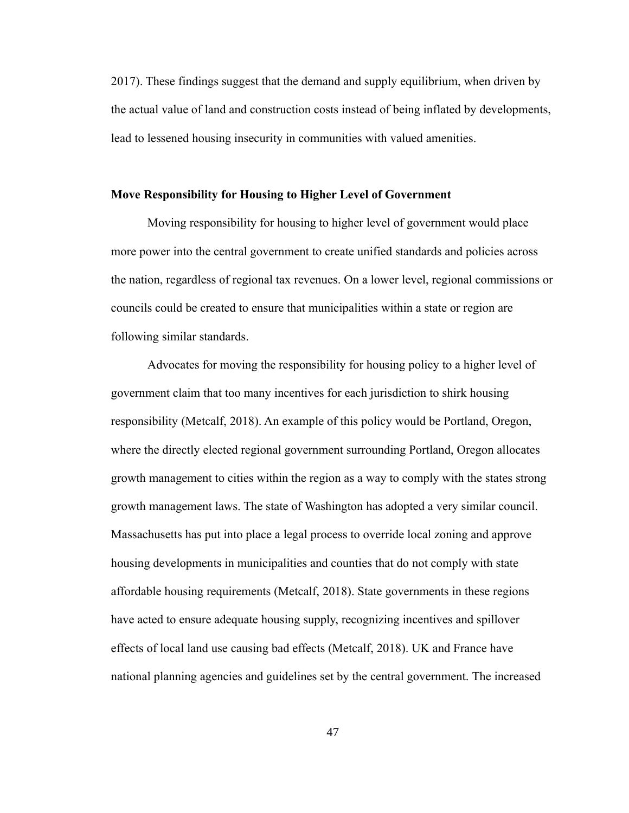2017). These findings suggest that the demand and supply equilibrium, when driven by the actual value of land and construction costs instead of being inflated by developments, lead to lessened housing insecurity in communities with valued amenities.

#### **Move Responsibility for Housing to Higher Level of Government**

Moving responsibility for housing to higher level of government would place more power into the central government to create unified standards and policies across the nation, regardless of regional tax revenues. On a lower level, regional commissions or councils could be created to ensure that municipalities within a state or region are following similar standards.

Advocates for moving the responsibility for housing policy to a higher level of government claim that too many incentives for each jurisdiction to shirk housing responsibility (Metcalf, 2018). An example of this policy would be Portland, Oregon, where the directly elected regional government surrounding Portland, Oregon allocates growth management to cities within the region as a way to comply with the states strong growth management laws. The state of Washington has adopted a very similar council. Massachusetts has put into place a legal process to override local zoning and approve housing developments in municipalities and counties that do not comply with state affordable housing requirements (Metcalf, 2018). State governments in these regions have acted to ensure adequate housing supply, recognizing incentives and spillover effects of local land use causing bad effects (Metcalf, 2018). UK and France have national planning agencies and guidelines set by the central government. The increased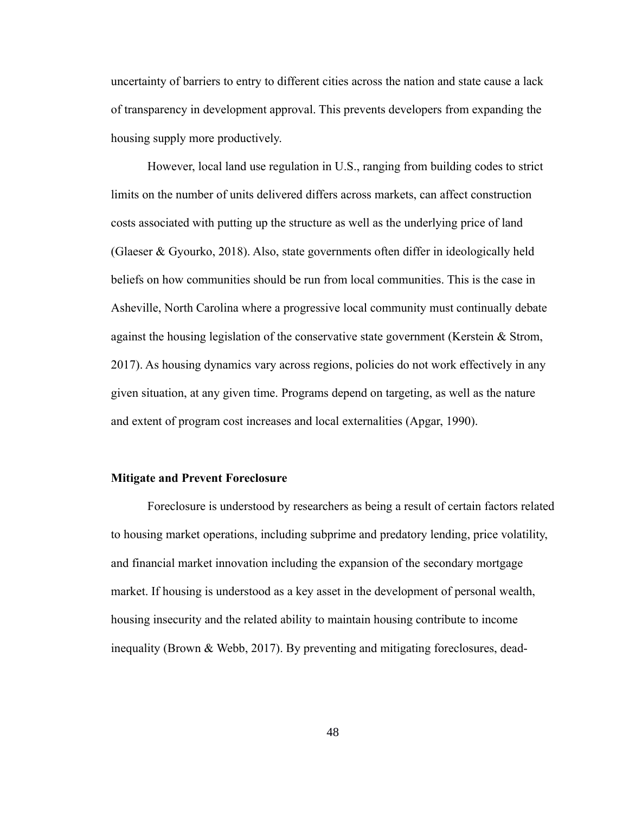uncertainty of barriers to entry to different cities across the nation and state cause a lack of transparency in development approval. This prevents developers from expanding the housing supply more productively.

However, local land use regulation in U.S., ranging from building codes to strict limits on the number of units delivered differs across markets, can affect construction costs associated with putting up the structure as well as the underlying price of land (Glaeser & Gyourko, 2018). Also, state governments often differ in ideologically held beliefs on how communities should be run from local communities. This is the case in Asheville, North Carolina where a progressive local community must continually debate against the housing legislation of the conservative state government (Kerstein & Strom, 2017). As housing dynamics vary across regions, policies do not work effectively in any given situation, at any given time. Programs depend on targeting, as well as the nature and extent of program cost increases and local externalities (Apgar, 1990).

#### **Mitigate and Prevent Foreclosure**

Foreclosure is understood by researchers as being a result of certain factors related to housing market operations, including subprime and predatory lending, price volatility, and financial market innovation including the expansion of the secondary mortgage market. If housing is understood as a key asset in the development of personal wealth, housing insecurity and the related ability to maintain housing contribute to income inequality (Brown & Webb, 2017). By preventing and mitigating foreclosures, dead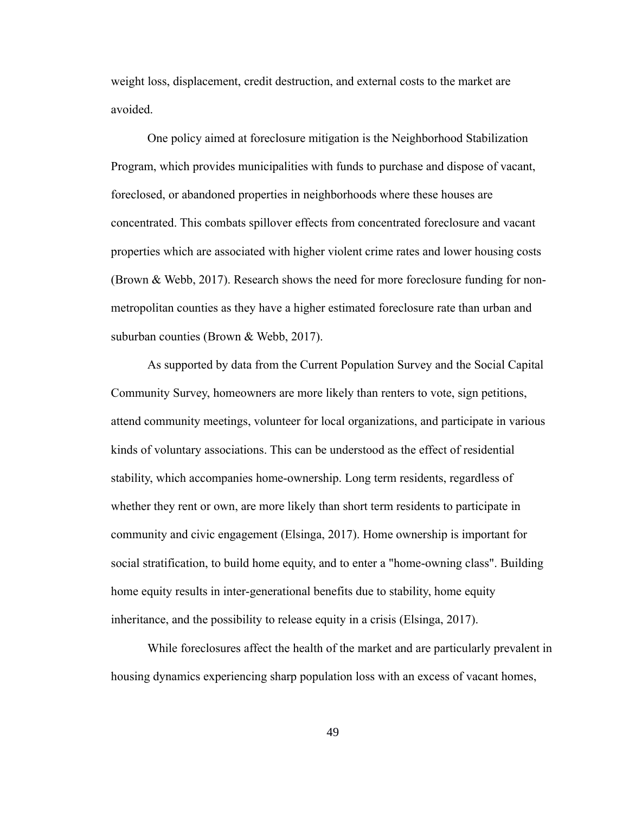weight loss, displacement, credit destruction, and external costs to the market are avoided.

One policy aimed at foreclosure mitigation is the Neighborhood Stabilization Program, which provides municipalities with funds to purchase and dispose of vacant, foreclosed, or abandoned properties in neighborhoods where these houses are concentrated. This combats spillover effects from concentrated foreclosure and vacant properties which are associated with higher violent crime rates and lower housing costs (Brown & Webb, 2017). Research shows the need for more foreclosure funding for nonmetropolitan counties as they have a higher estimated foreclosure rate than urban and suburban counties (Brown & Webb, 2017).

As supported by data from the Current Population Survey and the Social Capital Community Survey, homeowners are more likely than renters to vote, sign petitions, attend community meetings, volunteer for local organizations, and participate in various kinds of voluntary associations. This can be understood as the effect of residential stability, which accompanies home-ownership. Long term residents, regardless of whether they rent or own, are more likely than short term residents to participate in community and civic engagement (Elsinga, 2017). Home ownership is important for social stratification, to build home equity, and to enter a "home-owning class". Building home equity results in inter-generational benefits due to stability, home equity inheritance, and the possibility to release equity in a crisis (Elsinga, 2017).

While foreclosures affect the health of the market and are particularly prevalent in housing dynamics experiencing sharp population loss with an excess of vacant homes,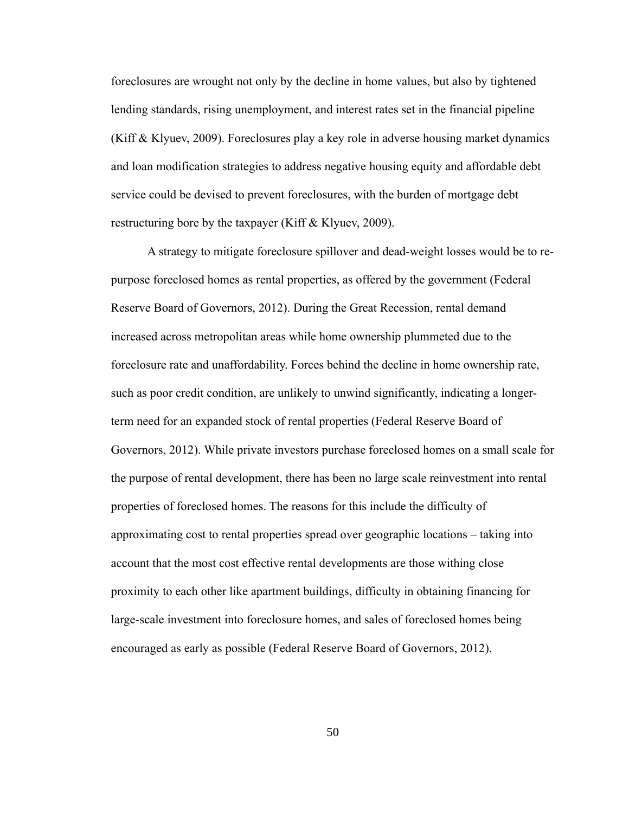foreclosures are wrought not only by the decline in home values, but also by tightened lending standards, rising unemployment, and interest rates set in the financial pipeline (Kiff & Klyuev, 2009). Foreclosures play a key role in adverse housing market dynamics and loan modification strategies to address negative housing equity and affordable debt service could be devised to prevent foreclosures, with the burden of mortgage debt restructuring bore by the taxpayer (Kiff & Klyuev, 2009).

A strategy to mitigate foreclosure spillover and dead-weight losses would be to repurpose foreclosed homes as rental properties, as offered by the government (Federal Reserve Board of Governors, 2012). During the Great Recession, rental demand increased across metropolitan areas while home ownership plummeted due to the foreclosure rate and unaffordability. Forces behind the decline in home ownership rate, such as poor credit condition, are unlikely to unwind significantly, indicating a longerterm need for an expanded stock of rental properties (Federal Reserve Board of Governors, 2012). While private investors purchase foreclosed homes on a small scale for the purpose of rental development, there has been no large scale reinvestment into rental properties of foreclosed homes. The reasons for this include the difficulty of approximating cost to rental properties spread over geographic locations – taking into account that the most cost effective rental developments are those withing close proximity to each other like apartment buildings, difficulty in obtaining financing for large-scale investment into foreclosure homes, and sales of foreclosed homes being encouraged as early as possible (Federal Reserve Board of Governors, 2012).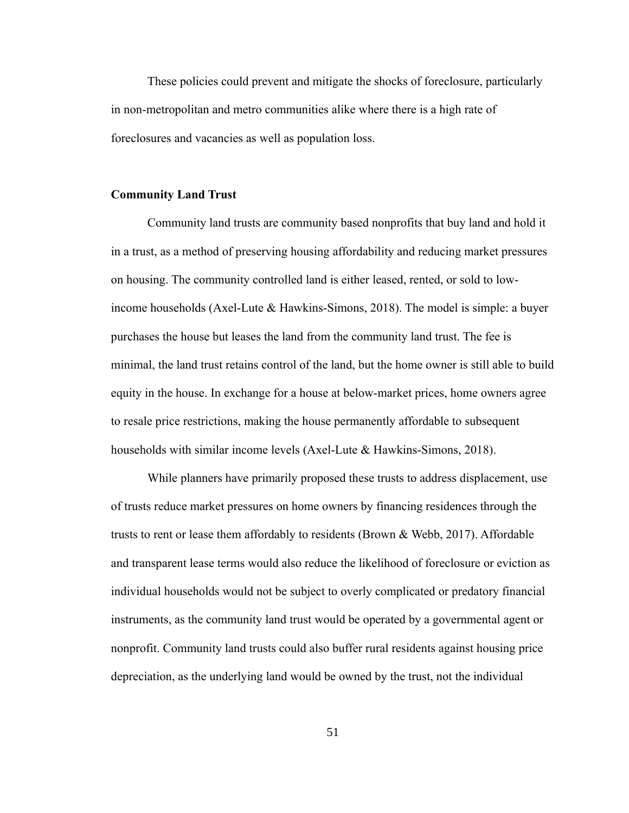These policies could prevent and mitigate the shocks of foreclosure, particularly in non-metropolitan and metro communities alike where there is a high rate of foreclosures and vacancies as well as population loss.

#### **Community Land Trust**

Community land trusts are community based nonprofits that buy land and hold it in a trust, as a method of preserving housing affordability and reducing market pressures on housing. The community controlled land is either leased, rented, or sold to lowincome households (Axel-Lute & Hawkins-Simons, 2018). The model is simple: a buyer purchases the house but leases the land from the community land trust. The fee is minimal, the land trust retains control of the land, but the home owner is still able to build equity in the house. In exchange for a house at below-market prices, home owners agree to resale price restrictions, making the house permanently affordable to subsequent households with similar income levels (Axel-Lute & Hawkins-Simons, 2018).

While planners have primarily proposed these trusts to address displacement, use of trusts reduce market pressures on home owners by financing residences through the trusts to rent or lease them affordably to residents (Brown & Webb, 2017). Affordable and transparent lease terms would also reduce the likelihood of foreclosure or eviction as individual households would not be subject to overly complicated or predatory financial instruments, as the community land trust would be operated by a governmental agent or nonprofit. Community land trusts could also buffer rural residents against housing price depreciation, as the underlying land would be owned by the trust, not the individual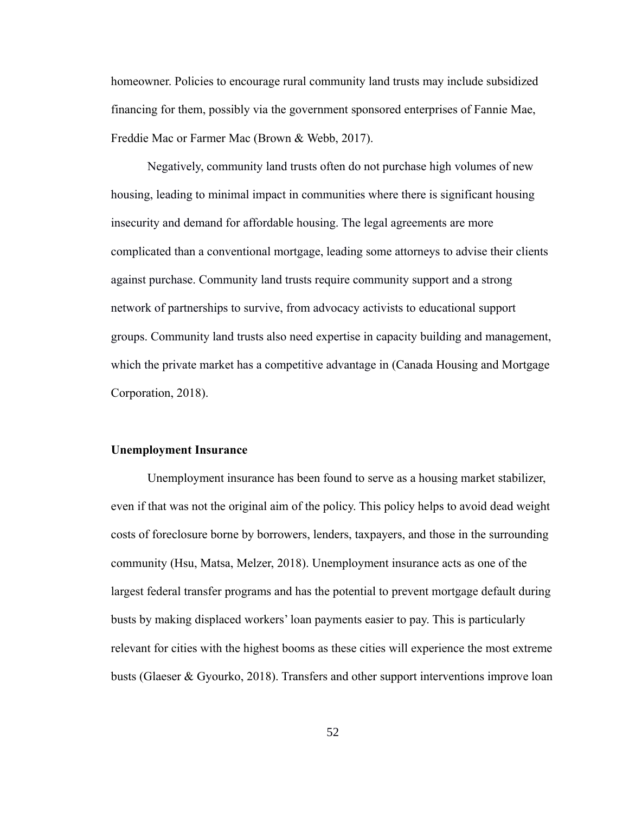homeowner. Policies to encourage rural community land trusts may include subsidized financing for them, possibly via the government sponsored enterprises of Fannie Mae, Freddie Mac or Farmer Mac (Brown & Webb, 2017).

Negatively, community land trusts often do not purchase high volumes of new housing, leading to minimal impact in communities where there is significant housing insecurity and demand for affordable housing. The legal agreements are more complicated than a conventional mortgage, leading some attorneys to advise their clients against purchase. Community land trusts require community support and a strong network of partnerships to survive, from advocacy activists to educational support groups. Community land trusts also need expertise in capacity building and management, which the private market has a competitive advantage in (Canada Housing and Mortgage Corporation, 2018).

#### **Unemployment Insurance**

Unemployment insurance has been found to serve as a housing market stabilizer, even if that was not the original aim of the policy. This policy helps to avoid dead weight costs of foreclosure borne by borrowers, lenders, taxpayers, and those in the surrounding community (Hsu, Matsa, Melzer, 2018). Unemployment insurance acts as one of the largest federal transfer programs and has the potential to prevent mortgage default during busts by making displaced workers' loan payments easier to pay. This is particularly relevant for cities with the highest booms as these cities will experience the most extreme busts (Glaeser & Gyourko, 2018). Transfers and other support interventions improve loan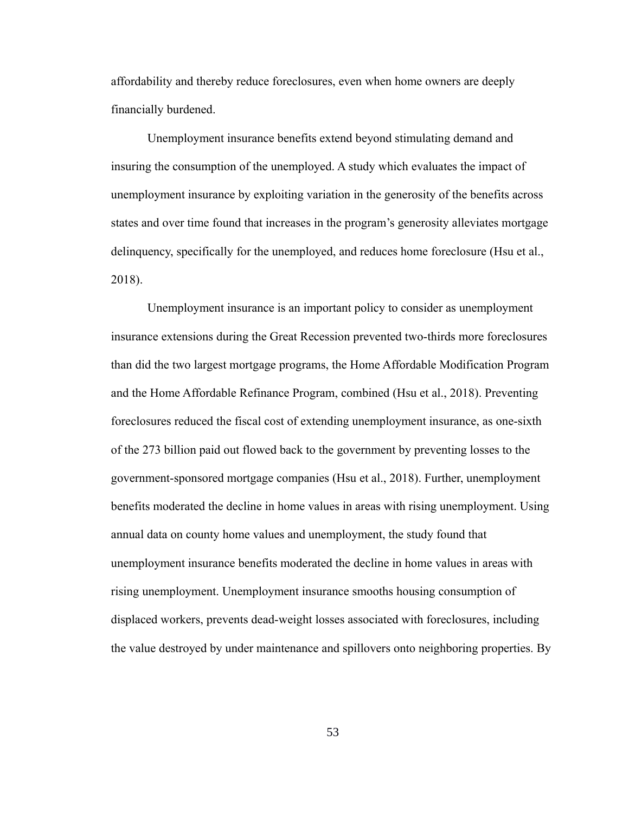affordability and thereby reduce foreclosures, even when home owners are deeply financially burdened.

Unemployment insurance benefits extend beyond stimulating demand and insuring the consumption of the unemployed. A study which evaluates the impact of unemployment insurance by exploiting variation in the generosity of the benefits across states and over time found that increases in the program's generosity alleviates mortgage delinquency, specifically for the unemployed, and reduces home foreclosure (Hsu et al., 2018).

Unemployment insurance is an important policy to consider as unemployment insurance extensions during the Great Recession prevented two-thirds more foreclosures than did the two largest mortgage programs, the Home Affordable Modification Program and the Home Affordable Refinance Program, combined (Hsu et al., 2018). Preventing foreclosures reduced the fiscal cost of extending unemployment insurance, as one-sixth of the 273 billion paid out flowed back to the government by preventing losses to the government-sponsored mortgage companies (Hsu et al., 2018). Further, unemployment benefits moderated the decline in home values in areas with rising unemployment. Using annual data on county home values and unemployment, the study found that unemployment insurance benefits moderated the decline in home values in areas with rising unemployment. Unemployment insurance smooths housing consumption of displaced workers, prevents dead-weight losses associated with foreclosures, including the value destroyed by under maintenance and spillovers onto neighboring properties. By

53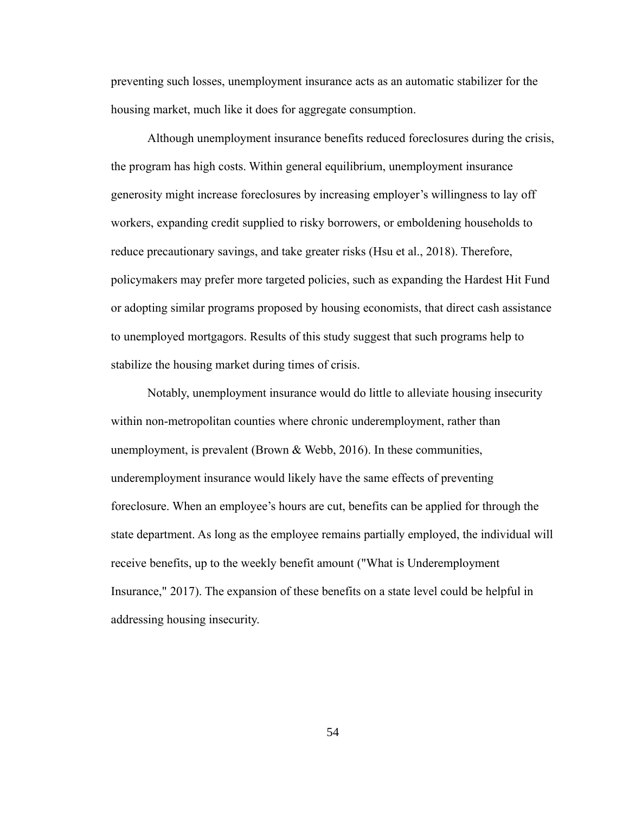preventing such losses, unemployment insurance acts as an automatic stabilizer for the housing market, much like it does for aggregate consumption.

Although unemployment insurance benefits reduced foreclosures during the crisis, the program has high costs. Within general equilibrium, unemployment insurance generosity might increase foreclosures by increasing employer's willingness to lay off workers, expanding credit supplied to risky borrowers, or emboldening households to reduce precautionary savings, and take greater risks (Hsu et al., 2018). Therefore, policymakers may prefer more targeted policies, such as expanding the Hardest Hit Fund or adopting similar programs proposed by housing economists, that direct cash assistance to unemployed mortgagors. Results of this study suggest that such programs help to stabilize the housing market during times of crisis.

Notably, unemployment insurance would do little to alleviate housing insecurity within non-metropolitan counties where chronic underemployment, rather than unemployment, is prevalent (Brown & Webb, 2016). In these communities, underemployment insurance would likely have the same effects of preventing foreclosure. When an employee's hours are cut, benefits can be applied for through the state department. As long as the employee remains partially employed, the individual will receive benefits, up to the weekly benefit amount ("What is Underemployment Insurance," 2017). The expansion of these benefits on a state level could be helpful in addressing housing insecurity.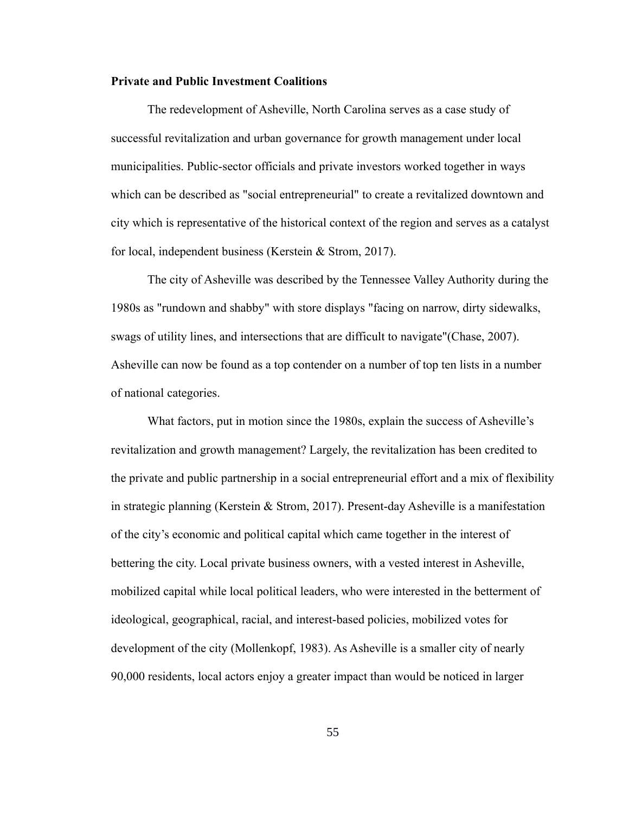## **Private and Public Investment Coalitions**

The redevelopment of Asheville, North Carolina serves as a case study of successful revitalization and urban governance for growth management under local municipalities. Public-sector officials and private investors worked together in ways which can be described as "social entrepreneurial" to create a revitalized downtown and city which is representative of the historical context of the region and serves as a catalyst for local, independent business (Kerstein & Strom, 2017).

The city of Asheville was described by the Tennessee Valley Authority during the 1980s as "rundown and shabby" with store displays "facing on narrow, dirty sidewalks, swags of utility lines, and intersections that are difficult to navigate"(Chase, 2007). Asheville can now be found as a top contender on a number of top ten lists in a number of national categories.

What factors, put in motion since the 1980s, explain the success of Asheville's revitalization and growth management? Largely, the revitalization has been credited to the private and public partnership in a social entrepreneurial effort and a mix of flexibility in strategic planning (Kerstein & Strom, 2017). Present-day Asheville is a manifestation of the city's economic and political capital which came together in the interest of bettering the city. Local private business owners, with a vested interest in Asheville, mobilized capital while local political leaders, who were interested in the betterment of ideological, geographical, racial, and interest-based policies, mobilized votes for development of the city (Mollenkopf, 1983). As Asheville is a smaller city of nearly 90,000 residents, local actors enjoy a greater impact than would be noticed in larger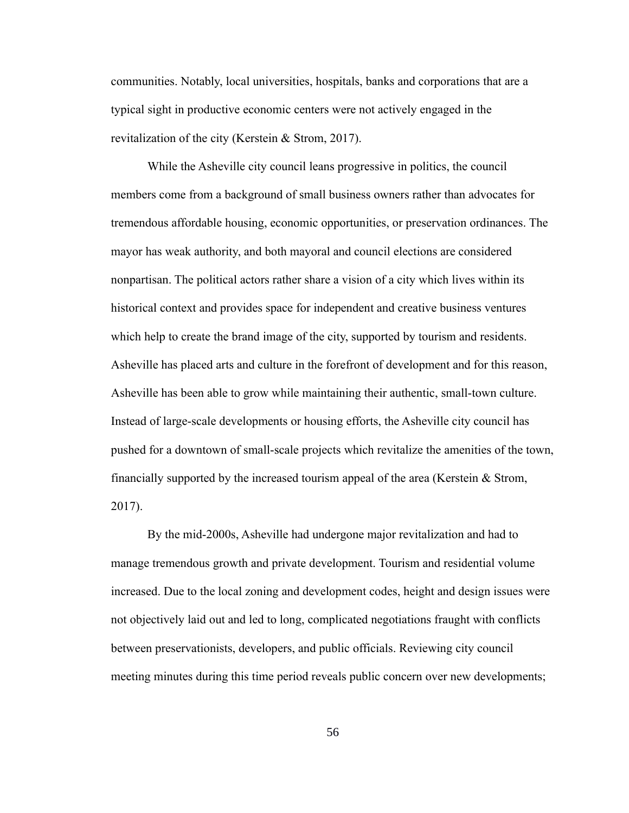communities. Notably, local universities, hospitals, banks and corporations that are a typical sight in productive economic centers were not actively engaged in the revitalization of the city (Kerstein & Strom, 2017).

While the Asheville city council leans progressive in politics, the council members come from a background of small business owners rather than advocates for tremendous affordable housing, economic opportunities, or preservation ordinances. The mayor has weak authority, and both mayoral and council elections are considered nonpartisan. The political actors rather share a vision of a city which lives within its historical context and provides space for independent and creative business ventures which help to create the brand image of the city, supported by tourism and residents. Asheville has placed arts and culture in the forefront of development and for this reason, Asheville has been able to grow while maintaining their authentic, small-town culture. Instead of large-scale developments or housing efforts, the Asheville city council has pushed for a downtown of small-scale projects which revitalize the amenities of the town, financially supported by the increased tourism appeal of the area (Kerstein & Strom, 2017).

By the mid-2000s, Asheville had undergone major revitalization and had to manage tremendous growth and private development. Tourism and residential volume increased. Due to the local zoning and development codes, height and design issues were not objectively laid out and led to long, complicated negotiations fraught with conflicts between preservationists, developers, and public officials. Reviewing city council meeting minutes during this time period reveals public concern over new developments;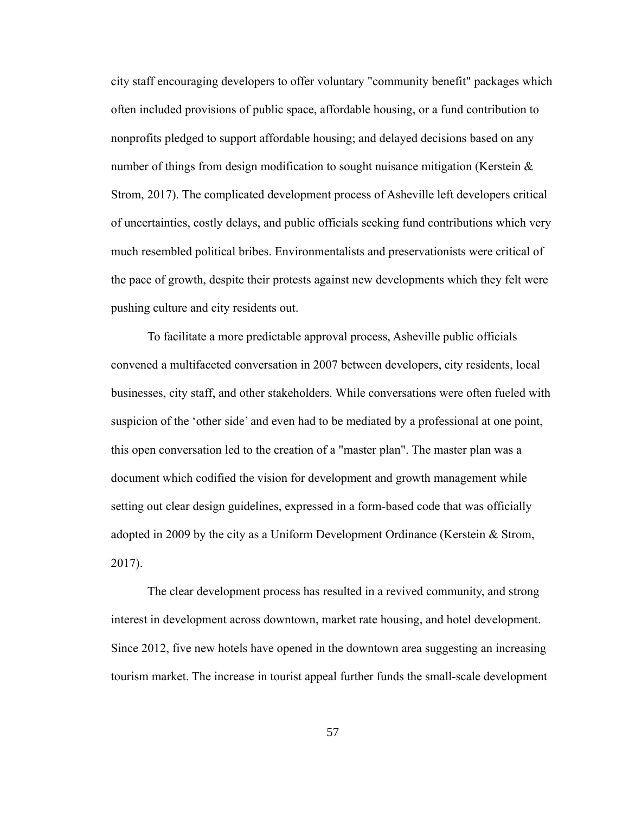city staff encouraging developers to offer voluntary "community benefit" packages which often included provisions of public space, affordable housing, or a fund contribution to nonprofits pledged to support affordable housing; and delayed decisions based on any number of things from design modification to sought nuisance mitigation (Kerstein  $\&$ Strom, 2017). The complicated development process of Asheville left developers critical of uncertainties, costly delays, and public officials seeking fund contributions which very much resembled political bribes. Environmentalists and preservationists were critical of the pace of growth, despite their protests against new developments which they felt were pushing culture and city residents out.

To facilitate a more predictable approval process, Asheville public officials convened a multifaceted conversation in 2007 between developers, city residents, local businesses, city staff, and other stakeholders. While conversations were often fueled with suspicion of the 'other side' and even had to be mediated by a professional at one point, this open conversation led to the creation of a "master plan". The master plan was a document which codified the vision for development and growth management while setting out clear design guidelines, expressed in a form-based code that was officially adopted in 2009 by the city as a Uniform Development Ordinance (Kerstein & Strom, 2017).

The clear development process has resulted in a revived community, and strong interest in development across downtown, market rate housing, and hotel development. Since 2012, five new hotels have opened in the downtown area suggesting an increasing tourism market. The increase in tourist appeal further funds the small-scale development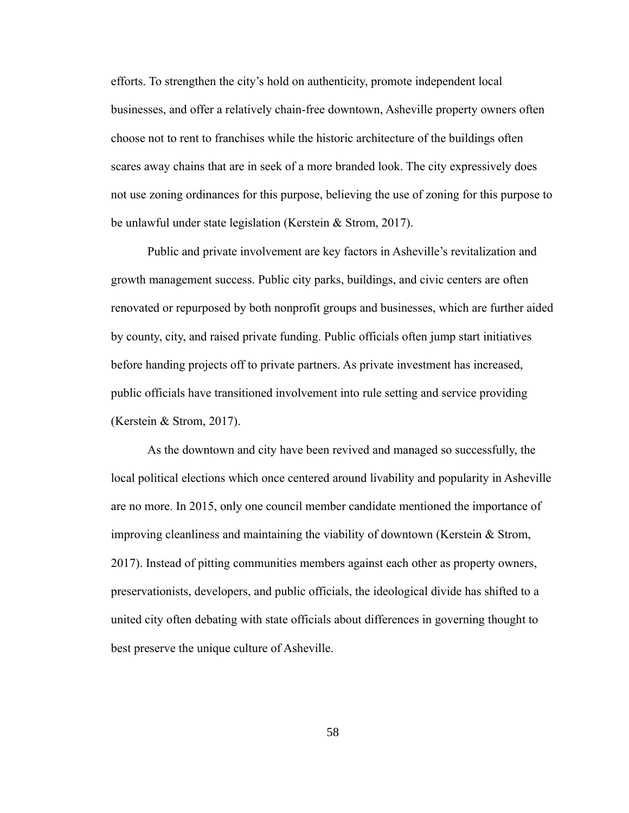efforts. To strengthen the city's hold on authenticity, promote independent local businesses, and offer a relatively chain-free downtown, Asheville property owners often choose not to rent to franchises while the historic architecture of the buildings often scares away chains that are in seek of a more branded look. The city expressively does not use zoning ordinances for this purpose, believing the use of zoning for this purpose to be unlawful under state legislation (Kerstein & Strom, 2017).

Public and private involvement are key factors in Asheville's revitalization and growth management success. Public city parks, buildings, and civic centers are often renovated or repurposed by both nonprofit groups and businesses, which are further aided by county, city, and raised private funding. Public officials often jump start initiatives before handing projects off to private partners. As private investment has increased, public officials have transitioned involvement into rule setting and service providing (Kerstein & Strom, 2017).

As the downtown and city have been revived and managed so successfully, the local political elections which once centered around livability and popularity in Asheville are no more. In 2015, only one council member candidate mentioned the importance of improving cleanliness and maintaining the viability of downtown (Kerstein & Strom, 2017). Instead of pitting communities members against each other as property owners, preservationists, developers, and public officials, the ideological divide has shifted to a united city often debating with state officials about differences in governing thought to best preserve the unique culture of Asheville.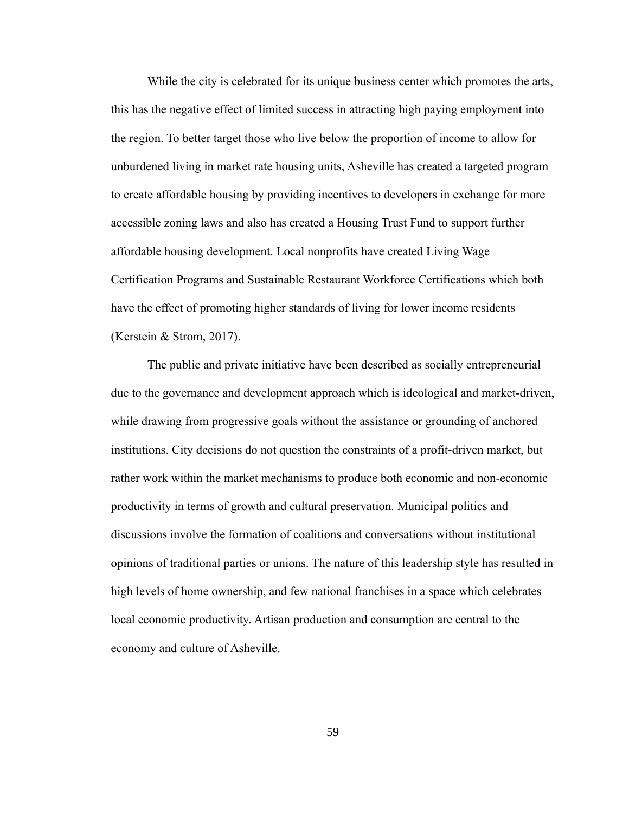While the city is celebrated for its unique business center which promotes the arts, this has the negative effect of limited success in attracting high paying employment into the region. To better target those who live below the proportion of income to allow for unburdened living in market rate housing units, Asheville has created a targeted program to create affordable housing by providing incentives to developers in exchange for more accessible zoning laws and also has created a Housing Trust Fund to support further affordable housing development. Local nonprofits have created Living Wage Certification Programs and Sustainable Restaurant Workforce Certifications which both have the effect of promoting higher standards of living for lower income residents (Kerstein & Strom, 2017).

The public and private initiative have been described as socially entrepreneurial due to the governance and development approach which is ideological and market-driven, while drawing from progressive goals without the assistance or grounding of anchored institutions. City decisions do not question the constraints of a profit-driven market, but rather work within the market mechanisms to produce both economic and non-economic productivity in terms of growth and cultural preservation. Municipal politics and discussions involve the formation of coalitions and conversations without institutional opinions of traditional parties or unions. The nature of this leadership style has resulted in high levels of home ownership, and few national franchises in a space which celebrates local economic productivity. Artisan production and consumption are central to the economy and culture of Asheville.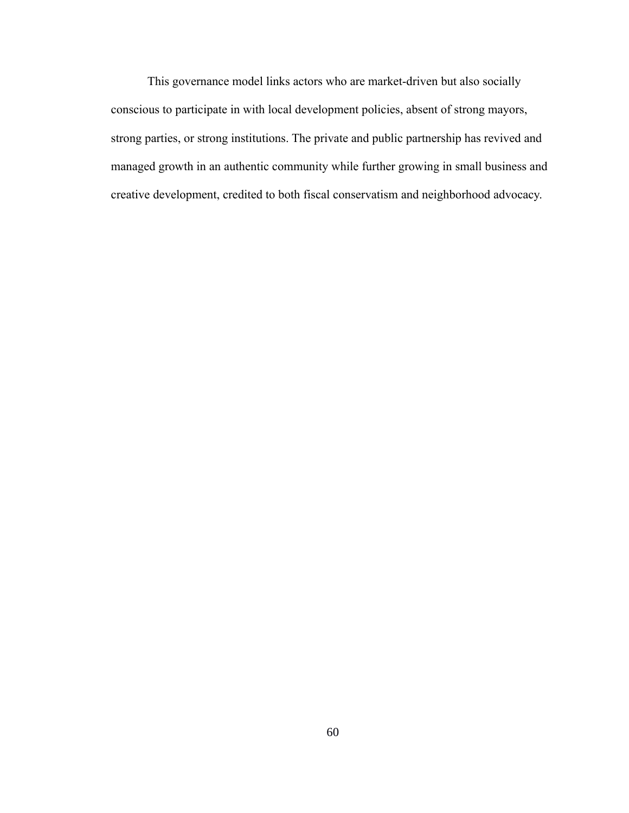This governance model links actors who are market-driven but also socially conscious to participate in with local development policies, absent of strong mayors, strong parties, or strong institutions. The private and public partnership has revived and managed growth in an authentic community while further growing in small business and creative development, credited to both fiscal conservatism and neighborhood advocacy.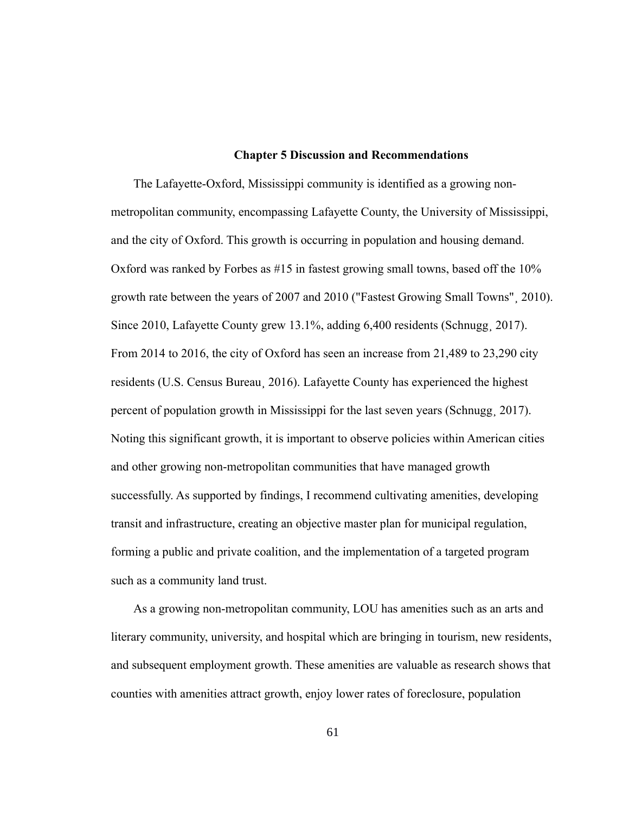#### **Chapter 5 Discussion and Recommendations**

The Lafayette-Oxford, Mississippi community is identified as a growing nonmetropolitan community, encompassing Lafayette County, the University of Mississippi, and the city of Oxford. This growth is occurring in population and housing demand. Oxford was ranked by Forbes as #15 in fastest growing small towns, based off the 10% growth rate between the years of 2007 and 2010 ("Fastest Growing Small Towns"¸ 2010). Since 2010, Lafayette County grew 13.1%, adding 6,400 residents (Schnugg, 2017). From 2014 to 2016, the city of Oxford has seen an increase from 21,489 to 23,290 city residents (U.S. Census Bureau¸ 2016). Lafayette County has experienced the highest percent of population growth in Mississippi for the last seven years (Schnugg¸ 2017). Noting this significant growth, it is important to observe policies within American cities and other growing non-metropolitan communities that have managed growth successfully. As supported by findings, I recommend cultivating amenities, developing transit and infrastructure, creating an objective master plan for municipal regulation, forming a public and private coalition, and the implementation of a targeted program such as a community land trust.

As a growing non-metropolitan community, LOU has amenities such as an arts and literary community, university, and hospital which are bringing in tourism, new residents, and subsequent employment growth. These amenities are valuable as research shows that counties with amenities attract growth, enjoy lower rates of foreclosure, population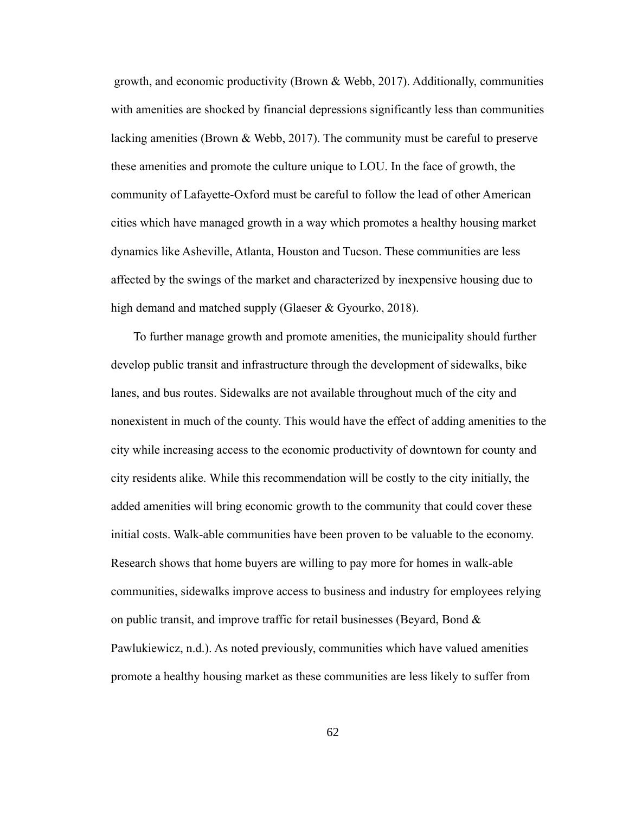growth, and economic productivity (Brown & Webb, 2017). Additionally, communities with amenities are shocked by financial depressions significantly less than communities lacking amenities (Brown & Webb, 2017). The community must be careful to preserve these amenities and promote the culture unique to LOU. In the face of growth, the community of Lafayette-Oxford must be careful to follow the lead of other American cities which have managed growth in a way which promotes a healthy housing market dynamics like Asheville, Atlanta, Houston and Tucson. These communities are less affected by the swings of the market and characterized by inexpensive housing due to high demand and matched supply (Glaeser & Gyourko, 2018).

To further manage growth and promote amenities, the municipality should further develop public transit and infrastructure through the development of sidewalks, bike lanes, and bus routes. Sidewalks are not available throughout much of the city and nonexistent in much of the county. This would have the effect of adding amenities to the city while increasing access to the economic productivity of downtown for county and city residents alike. While this recommendation will be costly to the city initially, the added amenities will bring economic growth to the community that could cover these initial costs. Walk-able communities have been proven to be valuable to the economy. Research shows that home buyers are willing to pay more for homes in walk-able communities, sidewalks improve access to business and industry for employees relying on public transit, and improve traffic for retail businesses (Beyard, Bond  $\&$ Pawlukiewicz, n.d.). As noted previously, communities which have valued amenities promote a healthy housing market as these communities are less likely to suffer from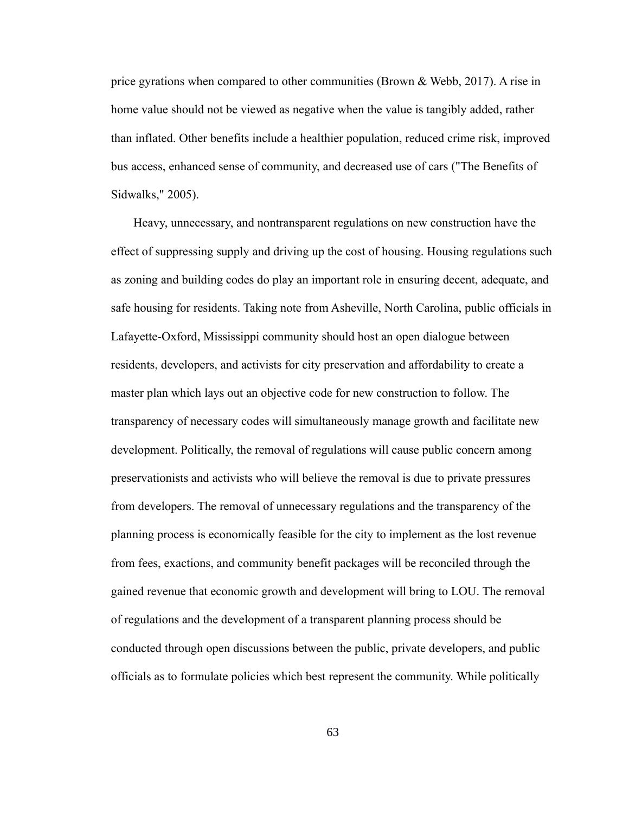price gyrations when compared to other communities (Brown & Webb, 2017). A rise in home value should not be viewed as negative when the value is tangibly added, rather than inflated. Other benefits include a healthier population, reduced crime risk, improved bus access, enhanced sense of community, and decreased use of cars ("The Benefits of Sidwalks," 2005).

Heavy, unnecessary, and nontransparent regulations on new construction have the effect of suppressing supply and driving up the cost of housing. Housing regulations such as zoning and building codes do play an important role in ensuring decent, adequate, and safe housing for residents. Taking note from Asheville, North Carolina, public officials in Lafayette-Oxford, Mississippi community should host an open dialogue between residents, developers, and activists for city preservation and affordability to create a master plan which lays out an objective code for new construction to follow. The transparency of necessary codes will simultaneously manage growth and facilitate new development. Politically, the removal of regulations will cause public concern among preservationists and activists who will believe the removal is due to private pressures from developers. The removal of unnecessary regulations and the transparency of the planning process is economically feasible for the city to implement as the lost revenue from fees, exactions, and community benefit packages will be reconciled through the gained revenue that economic growth and development will bring to LOU. The removal of regulations and the development of a transparent planning process should be conducted through open discussions between the public, private developers, and public officials as to formulate policies which best represent the community. While politically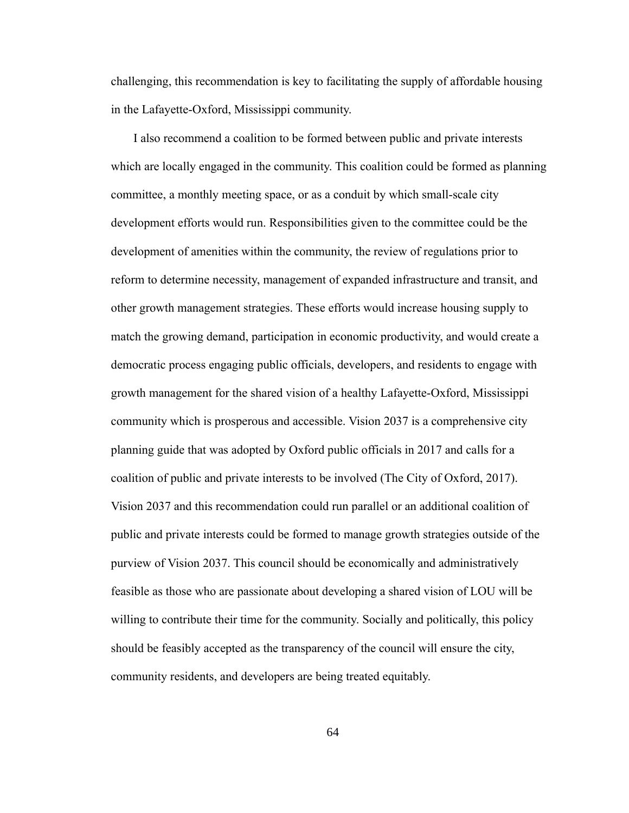challenging, this recommendation is key to facilitating the supply of affordable housing in the Lafayette-Oxford, Mississippi community.

I also recommend a coalition to be formed between public and private interests which are locally engaged in the community. This coalition could be formed as planning committee, a monthly meeting space, or as a conduit by which small-scale city development efforts would run. Responsibilities given to the committee could be the development of amenities within the community, the review of regulations prior to reform to determine necessity, management of expanded infrastructure and transit, and other growth management strategies. These efforts would increase housing supply to match the growing demand, participation in economic productivity, and would create a democratic process engaging public officials, developers, and residents to engage with growth management for the shared vision of a healthy Lafayette-Oxford, Mississippi community which is prosperous and accessible. Vision 2037 is a comprehensive city planning guide that was adopted by Oxford public officials in 2017 and calls for a coalition of public and private interests to be involved (The City of Oxford, 2017). Vision 2037 and this recommendation could run parallel or an additional coalition of public and private interests could be formed to manage growth strategies outside of the purview of Vision 2037. This council should be economically and administratively feasible as those who are passionate about developing a shared vision of LOU will be willing to contribute their time for the community. Socially and politically, this policy should be feasibly accepted as the transparency of the council will ensure the city, community residents, and developers are being treated equitably.

64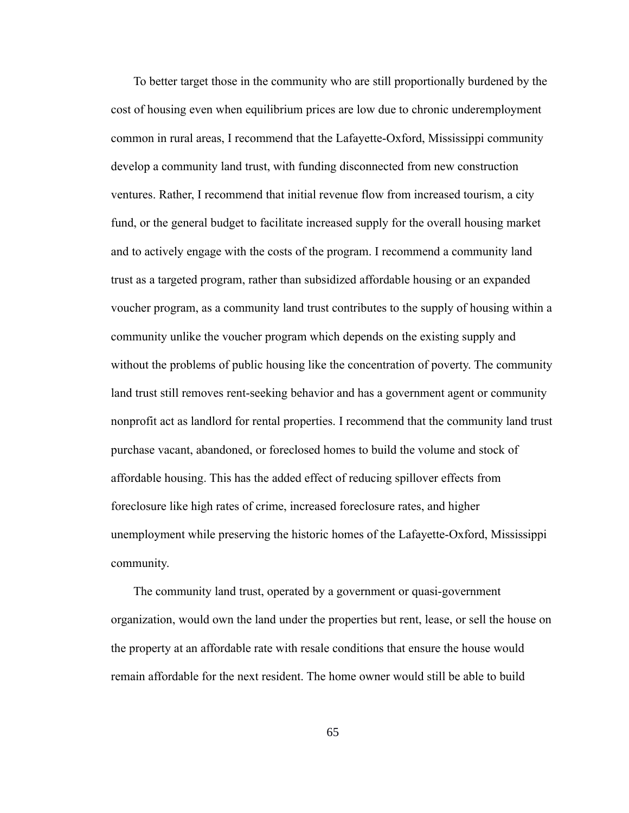To better target those in the community who are still proportionally burdened by the cost of housing even when equilibrium prices are low due to chronic underemployment common in rural areas, I recommend that the Lafayette-Oxford, Mississippi community develop a community land trust, with funding disconnected from new construction ventures. Rather, I recommend that initial revenue flow from increased tourism, a city fund, or the general budget to facilitate increased supply for the overall housing market and to actively engage with the costs of the program. I recommend a community land trust as a targeted program, rather than subsidized affordable housing or an expanded voucher program, as a community land trust contributes to the supply of housing within a community unlike the voucher program which depends on the existing supply and without the problems of public housing like the concentration of poverty. The community land trust still removes rent-seeking behavior and has a government agent or community nonprofit act as landlord for rental properties. I recommend that the community land trust purchase vacant, abandoned, or foreclosed homes to build the volume and stock of affordable housing. This has the added effect of reducing spillover effects from foreclosure like high rates of crime, increased foreclosure rates, and higher unemployment while preserving the historic homes of the Lafayette-Oxford, Mississippi community.

The community land trust, operated by a government or quasi-government organization, would own the land under the properties but rent, lease, or sell the house on the property at an affordable rate with resale conditions that ensure the house would remain affordable for the next resident. The home owner would still be able to build

65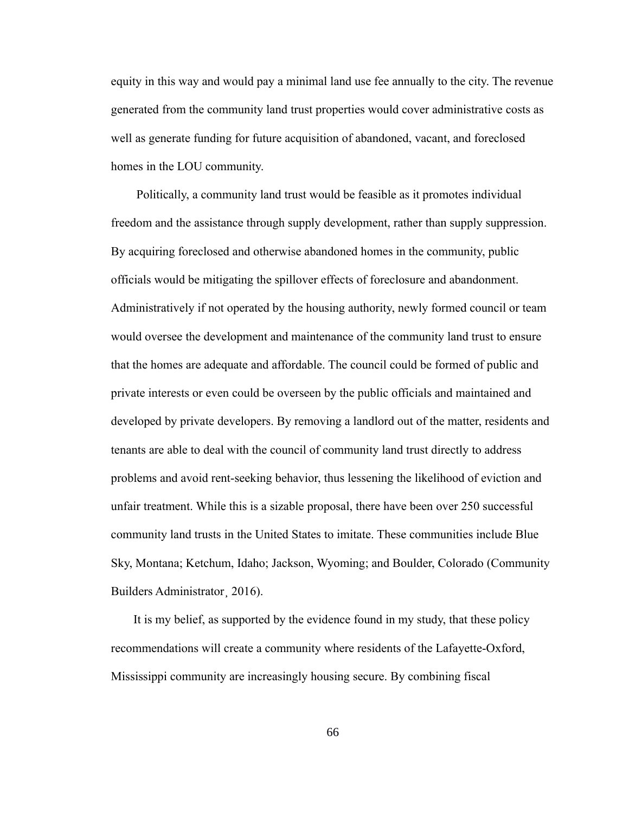equity in this way and would pay a minimal land use fee annually to the city. The revenue generated from the community land trust properties would cover administrative costs as well as generate funding for future acquisition of abandoned, vacant, and foreclosed homes in the LOU community.

 Politically, a community land trust would be feasible as it promotes individual freedom and the assistance through supply development, rather than supply suppression. By acquiring foreclosed and otherwise abandoned homes in the community, public officials would be mitigating the spillover effects of foreclosure and abandonment. Administratively if not operated by the housing authority, newly formed council or team would oversee the development and maintenance of the community land trust to ensure that the homes are adequate and affordable. The council could be formed of public and private interests or even could be overseen by the public officials and maintained and developed by private developers. By removing a landlord out of the matter, residents and tenants are able to deal with the council of community land trust directly to address problems and avoid rent-seeking behavior, thus lessening the likelihood of eviction and unfair treatment. While this is a sizable proposal, there have been over 250 successful community land trusts in the United States to imitate. These communities include Blue Sky, Montana; Ketchum, Idaho; Jackson, Wyoming; and Boulder, Colorado (Community Builders Administrator¸ 2016).

It is my belief, as supported by the evidence found in my study, that these policy recommendations will create a community where residents of the Lafayette-Oxford, Mississippi community are increasingly housing secure. By combining fiscal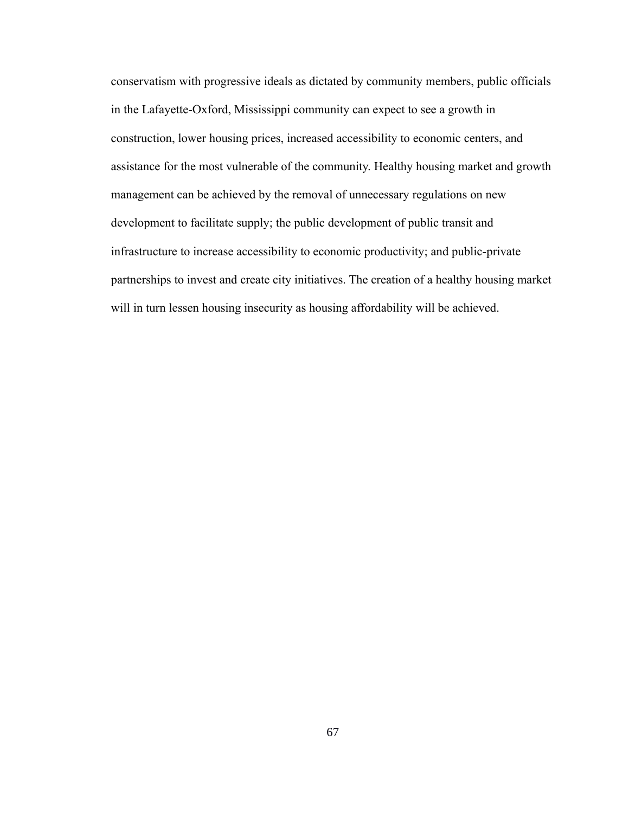conservatism with progressive ideals as dictated by community members, public officials in the Lafayette-Oxford, Mississippi community can expect to see a growth in construction, lower housing prices, increased accessibility to economic centers, and assistance for the most vulnerable of the community. Healthy housing market and growth management can be achieved by the removal of unnecessary regulations on new development to facilitate supply; the public development of public transit and infrastructure to increase accessibility to economic productivity; and public-private partnerships to invest and create city initiatives. The creation of a healthy housing market will in turn lessen housing insecurity as housing affordability will be achieved.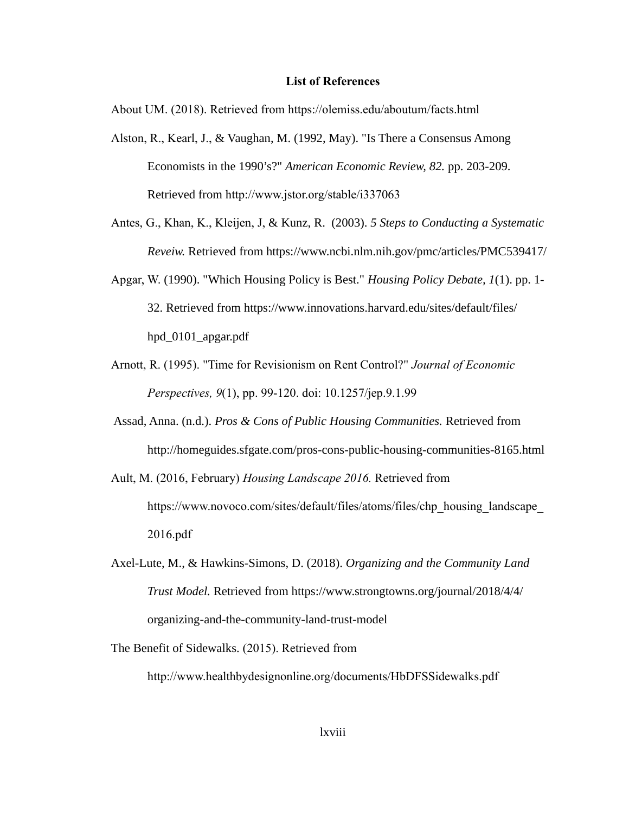## **List of References**

About UM. (2018). Retrieved from https://olemiss.edu/aboutum/facts.html

- Alston, R., Kearl, J., & Vaughan, M. (1992, May). "Is There a Consensus Among Economists in the 1990's?" *American Economic Review, 82.* pp. 203-209. Retrieved from http://www.jstor.org/stable/i337063
- Antes, G., Khan, K., Kleijen, J, & Kunz, R. (2003). *5 Steps to Conducting a Systematic Reveiw.* Retrieved from https://www.ncbi.nlm.nih.gov/pmc/articles/PMC539417/
- Apgar, W. (1990). "Which Housing Policy is Best." *Housing Policy Debate, 1*(1). pp. 1- 32. Retrieved from https://www.innovations.harvard.edu/sites/default/files/ hpd\_0101\_apgar.pdf
- Arnott, R. (1995). "Time for Revisionism on Rent Control?" *Journal of Economic Perspectives, 9*(1), pp. 99-120. doi: 10.1257/jep.9.1.99
- Assad, Anna. (n.d.). *Pros & Cons of Public Housing Communities.* Retrieved from http://homeguides.sfgate.com/pros-cons-public-housing-communities-8165.html
- Ault, M. (2016, February) *Housing Landscape 2016.* Retrieved from https://www.novoco.com/sites/default/files/atoms/files/chp\_housing\_landscape 2016.pdf
- Axel-Lute, M., & Hawkins-Simons, D. (2018). *Organizing and the Community Land Trust Model.* Retrieved from https://www.strongtowns.org/journal/2018/4/4/ organizing-and-the-community-land-trust-model
- The Benefit of Sidewalks. (2015). Retrieved from http://www.healthbydesignonline.org/documents/HbDFSSidewalks.pdf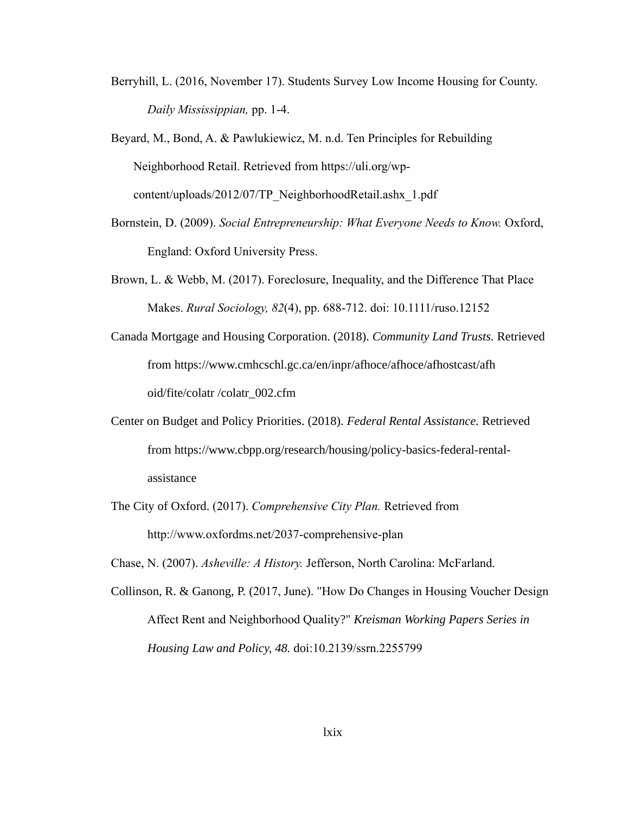Berryhill, L. (2016, November 17). Students Survey Low Income Housing for County. *Daily Mississippian,* pp. 1-4.

Beyard, M., Bond, A. & Pawlukiewicz, M. n.d. Ten Principles for Rebuilding Neighborhood Retail. Retrieved from https://uli.org/wpcontent/uploads/2012/07/TP\_NeighborhoodRetail.ashx\_1.pdf

- Bornstein, D. (2009). *Social Entrepreneurship: What Everyone Needs to Know.* Oxford, England: Oxford University Press.
- Brown, L. & Webb, M. (2017). Foreclosure, Inequality, and the Difference That Place Makes. *Rural Sociology, 82*(4), pp. 688-712. doi: 10.1111/ruso.12152

Canada Mortgage and Housing Corporation. (2018). *Community Land Trusts.* Retrieved from https://www.cmhcschl.gc.ca/en/inpr/afhoce/afhoce/afhostcast/afh oid/fite/colatr /colatr\_002.cfm

- Center on Budget and Policy Priorities. (2018). *Federal Rental Assistance.* Retrieved from https://www.cbpp.org/research/housing/policy-basics-federal-rentalassistance
- The City of Oxford. (2017). *Comprehensive City Plan.* Retrieved from http://www.oxfordms.net/2037-comprehensive-plan

Chase, N. (2007). *Asheville: A History.* Jefferson, North Carolina: McFarland.

Collinson, R. & Ganong, P. (2017, June). "How Do Changes in Housing Voucher Design Affect Rent and Neighborhood Quality?" *Kreisman Working Papers Series in Housing Law and Policy, 48.* doi:10.2139/ssrn.2255799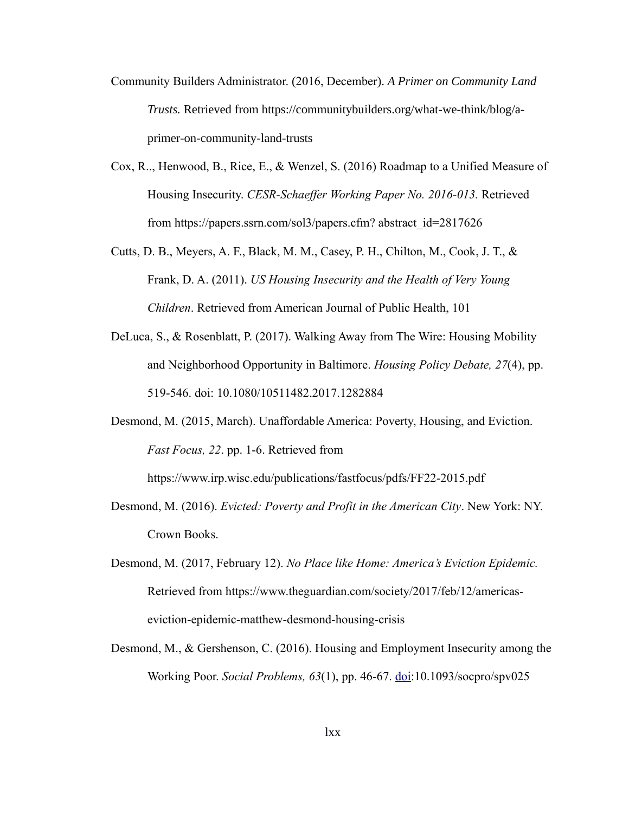- Community Builders Administrator. (2016, December). *A Primer on Community Land Trusts.* Retrieved from https://communitybuilders.org/what-we-think/blog/aprimer-on-community-land-trusts
- Cox, R.., Henwood, B., Rice, E., & Wenzel, S. (2016) Roadmap to a Unified Measure of Housing Insecurity. *CESR-Schaeffer Working Paper No. 2016-013.* Retrieved from https://papers.ssrn.com/sol3/papers.cfm? abstract\_id=2817626
- Cutts, D. B., Meyers, A. F., Black, M. M., Casey, P. H., Chilton, M., Cook, J. T., & Frank, D. A. (2011). *US Housing Insecurity and the Health of Very Young Children*. Retrieved from American Journal of Public Health, 101
- DeLuca, S., & Rosenblatt, P. (2017). Walking Away from The Wire: Housing Mobility and Neighborhood Opportunity in Baltimore. *Housing Policy Debate, 27*(4), pp. 519-546. doi: [10.1080/10511482.2017.1282884](https://doi.org/10.1080/10511482.2017.1282884)
- Desmond, M. (2015, March). Unaffordable America: Poverty, Housing, and Eviction. *Fast Focus, 22*. pp. 1-6. Retrieved from

https://www.irp.wisc.edu/publications/fastfocus/pdfs/FF22-2015.pdf

- Desmond, M. (2016). *Evicted: Poverty and Profit in the American City*. New York: NY. Crown Books.
- Desmond, M. (2017, February 12). *No Place like Home: America's Eviction Epidemic.*  Retrieved from https://www.theguardian.com/society/2017/feb/12/americaseviction-epidemic-matthew-desmond-housing-crisis
- Desmond, M., & Gershenson, C. (2016). Housing and Employment Insecurity among the Working Poor. *Social Problems, 63*(1), pp. 46-67. [doi:](https://doi/)10.1093/socpro/spv025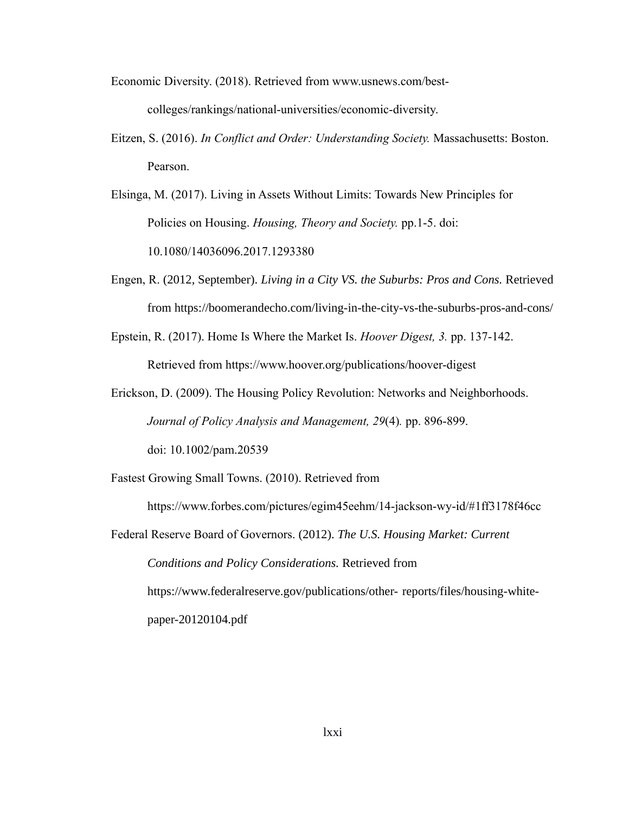Economic Diversity. (2018). Retrieved from www.usnews.com/best-

colleges/rankings/national-universities/economic-diversity.

- Eitzen, S. (2016). *In Conflict and Order: Understanding Society.* Massachusetts: Boston. Pearson.
- Elsinga, M. (2017). Living in Assets Without Limits: Towards New Principles for Policies on Housing. *Housing, Theory and Society.* pp.1-5. doi: 10.1080/14036096.2017.1293380
- Engen, R. (2012, September). *Living in a City VS. the Suburbs: Pros and Cons.* Retrieved from https://boomerandecho.com/living-in-the-city-vs-the-suburbs-pros-and-cons/
- Epstein, R. (2017). Home Is Where the Market Is. *Hoover Digest, 3.* pp. 137-142. Retrieved from<https://www.hoover.org/publications/hoover-digest>
- Erickson, D. (2009). The Housing Policy Revolution: Networks and Neighborhoods. *Journal of Policy Analysis and Management, 29*(4)*.* pp. 896-899. doi: 10.1002/pam.20539
- Fastest Growing Small Towns. (2010). Retrieved from https://www.forbes.com/pictures/egim45eehm/14-jackson-wy-id/#1ff3178f46cc Federal Reserve Board of Governors. (2012). *The U.S. Housing Market: Current Conditions and Policy Considerations.* Retrieved from

https://www.federalreserve.gov/publications/other- reports/files/housing-whitepaper-20120104.pdf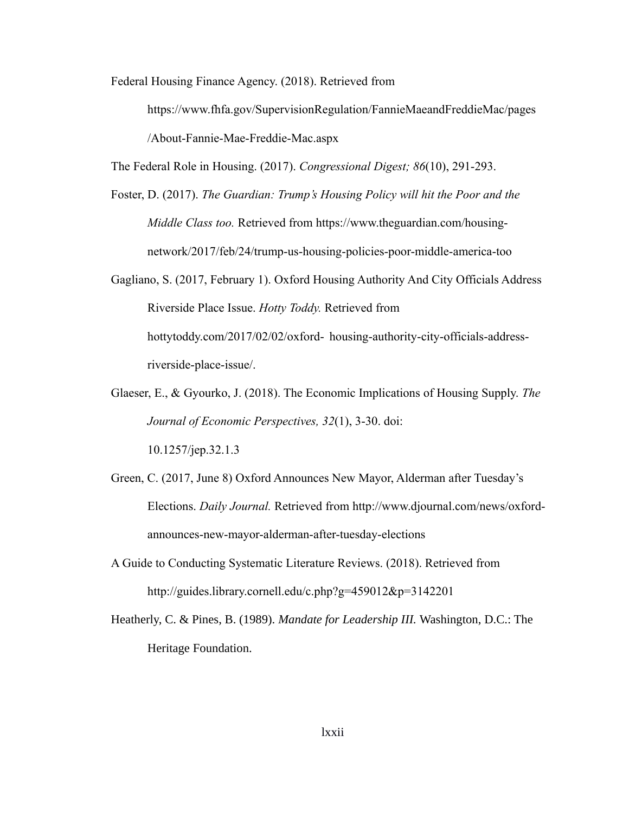Federal Housing Finance Agency. (2018). Retrieved from

<https://www.fhfa.gov/SupervisionRegulation/FannieMaeandFreddieMac/pages> [/About-F](https://www.fhfa.gov/SupervisionRegulation/FannieMaeandFreddieMac/Pages/About-)annie-Mae-Freddie-Mac.aspx

The Federal Role in Housing. (2017). *Congressional Digest; 86*(10), 291-293.

- Foster, D. (2017). *The Guardian: Trump's Housing Policy will hit the Poor and the Middle Class too.* Retrieved from https://www.theguardian.com/housingnetwork/2017/feb/24/trump-us-housing-policies-poor-middle-america-too
- Gagliano, S. (2017, February 1). Oxford Housing Authority And City Officials Address Riverside Place Issue. *Hotty Toddy.* Retrieved from hottytoddy.com/2017/02/02/oxford- housing-authority-city-officials-addressriverside-place-issue/.
- Glaeser, E., & Gyourko, J. (2018). The Economic Implications of Housing Supply. *The Journal of Economic Perspectives, 32*(1), 3-30. doi: 10.1257/jep.32.1.3
- Green, C. (2017, June 8) Oxford Announces New Mayor, Alderman after Tuesday's Elections. *Daily Journal.* Retrieved from http://www.djournal.com/news/oxfordannounces-new-mayor-alderman-after-tuesday-elections
- A Guide to Conducting Systematic Literature Reviews. (2018). Retrieved from http://guides.library.cornell.edu/c.php?g=459012&p=3142201
- Heatherly, C. & Pines, B. (1989). *Mandate for Leadership III.* Washington, D.C.: The Heritage Foundation.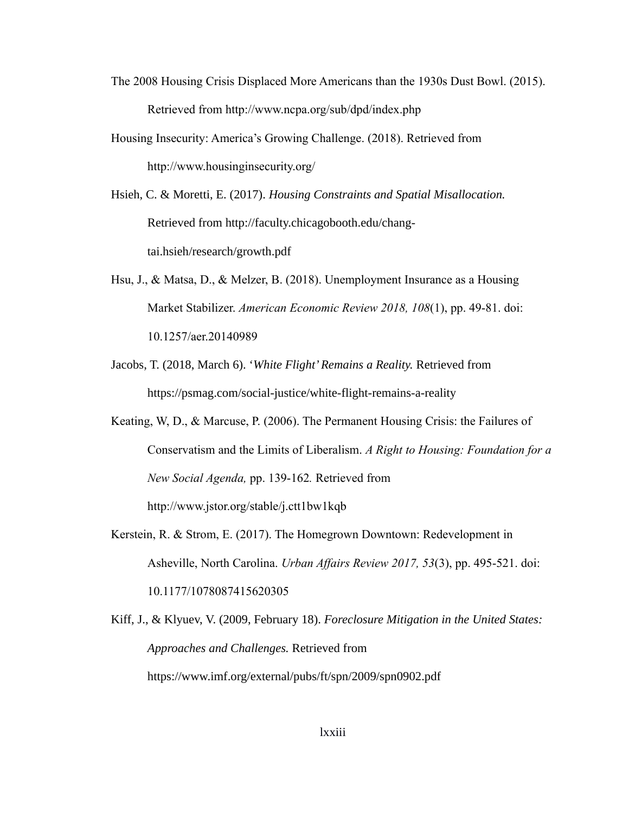- The 2008 Housing Crisis Displaced More Americans than the 1930s Dust Bowl. (2015). Retrieved from http://www.ncpa.org/sub/dpd/index.php
- Housing Insecurity: America's Growing Challenge. (2018). Retrieved from <http://www.housinginsecurity.org/>
- Hsieh, C. & Moretti, E. (2017). *Housing Constraints and Spatial Misallocation.*  Retrieved from http://faculty.chicagobooth.edu/changtai.hsieh/research/growth.pdf
- Hsu, J., & Matsa, D., & Melzer, B. (2018). Unemployment Insurance as a Housing Market Stabilizer. *American Economic Review 2018, 108*(1), pp. 49-81. doi: 10.1257/aer.20140989
- Jacobs, T. (2018, March 6). '*White Flight' Remains a Reality.* Retrieved from https://psmag.com/social-justice/white-flight-remains-a-reality
- Keating, W, D., & Marcuse, P. (2006). The Permanent Housing Crisis: the Failures of Conservatism and the Limits of Liberalism. *A Right to Housing: Foundation for a New Social Agenda,* pp. 139-162*.* Retrieved from http://www.jstor.org/stable/j.ctt1bw1kqb
- Kerstein, R. & Strom, E. (2017). The Homegrown Downtown: Redevelopment in Asheville, North Carolina. *Urban Affairs Review 2017, 53*(3), pp. 495-521. doi: 10.1177/1078087415620305
- Kiff, J., & Klyuev, V. (2009, February 18). *Foreclosure Mitigation in the United States: Approaches and Challenges.* Retrieved from https://www.imf.org/external/pubs/ft/spn/2009/spn0902.pdf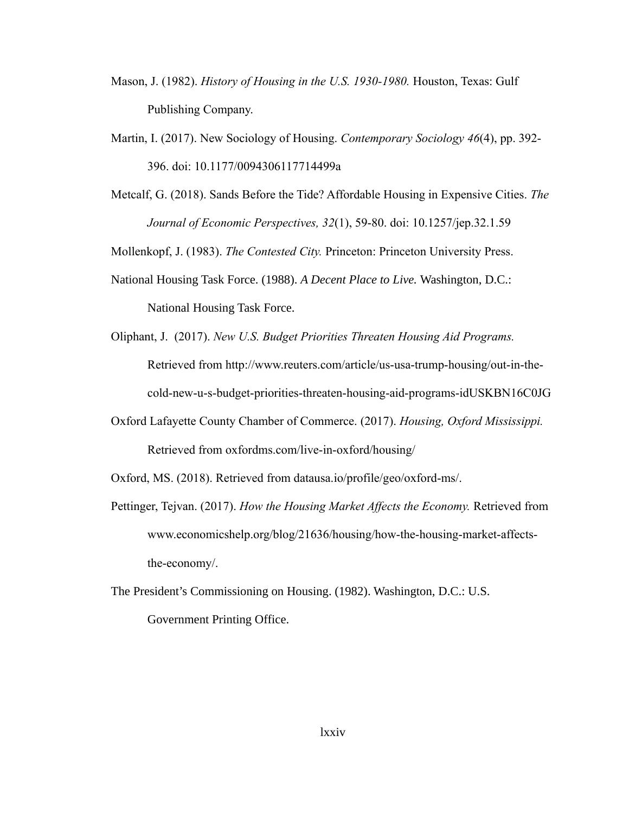- Mason, J. (1982). *History of Housing in the U.S. 1930-1980.* Houston, Texas: Gulf Publishing Company.
- Martin, I. (2017). New Sociology of Housing. *Contemporary Sociology 46*(4), pp. 392- 396. doi: 10.1177/0094306117714499a
- Metcalf, G. (2018). Sands Before the Tide? Affordable Housing in Expensive Cities. *The Journal of Economic Perspectives, 32*(1), 59-80. doi: 10.1257/jep.32.1.59

Mollenkopf, J. (1983). *The Contested City.* Princeton: Princeton University Press.

- National Housing Task Force. (1988). *A Decent Place to Live.* Washington, D.C.: National Housing Task Force.
- Oliphant, J. (2017). *New U.S. Budget Priorities Threaten Housing Aid Programs.*  Retrieved from http://www.reuters.com/article/us-usa-trump-housing/out-in-thecold-new-u-s-budget-priorities-threaten-housing-aid-programs-idUSKBN16C0JG
- Oxford Lafayette County Chamber of Commerce. (2017). *Housing, Oxford Mississippi.* Retrieved from oxfordms.com/live-in-oxford/housing/

Oxford, MS. (2018). Retrieved from datausa.io/profile/geo/oxford-ms/.

- Pettinger, Tejvan. (2017). *How the Housing Market Affects the Economy.* Retrieved from www.economicshelp.org/blog/21636/housing/how-the-housing-market-affectsthe-economy/.
- The President's Commissioning on Housing. (1982). Washington, D.C.: U.S. Government Printing Office.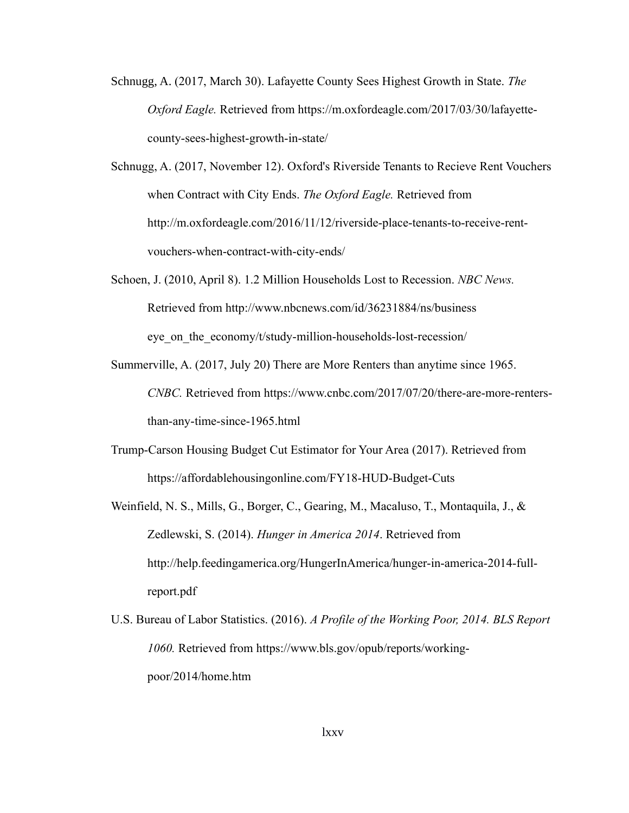- Schnugg, A. (2017, March 30). Lafayette County Sees Highest Growth in State. *The Oxford Eagle.* Retrieved from https://m.oxfordeagle.com/2017/03/30/lafayettecounty-sees-highest-growth-in-state/
- Schnugg, A. (2017, November 12). Oxford's Riverside Tenants to Recieve Rent Vouchers when Contract with City Ends. *The Oxford Eagle.* Retrieved from http://m.oxfordeagle.com/2016/11/12/riverside-place-tenants-to-receive-rentvouchers-when-contract-with-city-ends/
- Schoen, J. (2010, April 8). 1.2 Million Households Lost to Recession. *NBC News.*  Retrieved from http://www.nbcnews.com/id/36231884/ns/business eye on the economy/t/study-million-households-lost-recession/
- Summerville, A. (2017, July 20) There are More Renters than anytime since 1965. *CNBC.* Retrieved from https://www.cnbc.com/2017/07/20/there-are-more-rentersthan-any-time-since-1965.html
- Trump-Carson Housing Budget Cut Estimator for Your Area (2017). Retrieved from https://affordablehousingonline.com/FY18-HUD-Budget-Cuts
- Weinfield, N. S., Mills, G., Borger, C., Gearing, M., Macaluso, T., Montaquila, J., & Zedlewski, S. (2014). *Hunger in America 2014*. Retrieved from [http://help.feedingamerica.org/HungerInAmerica/hunger-in-america-2014-full](http://help.feedingamerica.org/HungerInAmerica/hunger-in-america-2014-full-)report.pdf
- U.S. Bureau of Labor Statistics. (2016). *[A Profile of the Working Poor, 2014.](http://www.bls.gov/opub/reports/working-poor/2014/home.htm) BLS Report 1060.* Retrieved from https://www.bls.gov/opub/reports/workingpoor/2014/home.htm